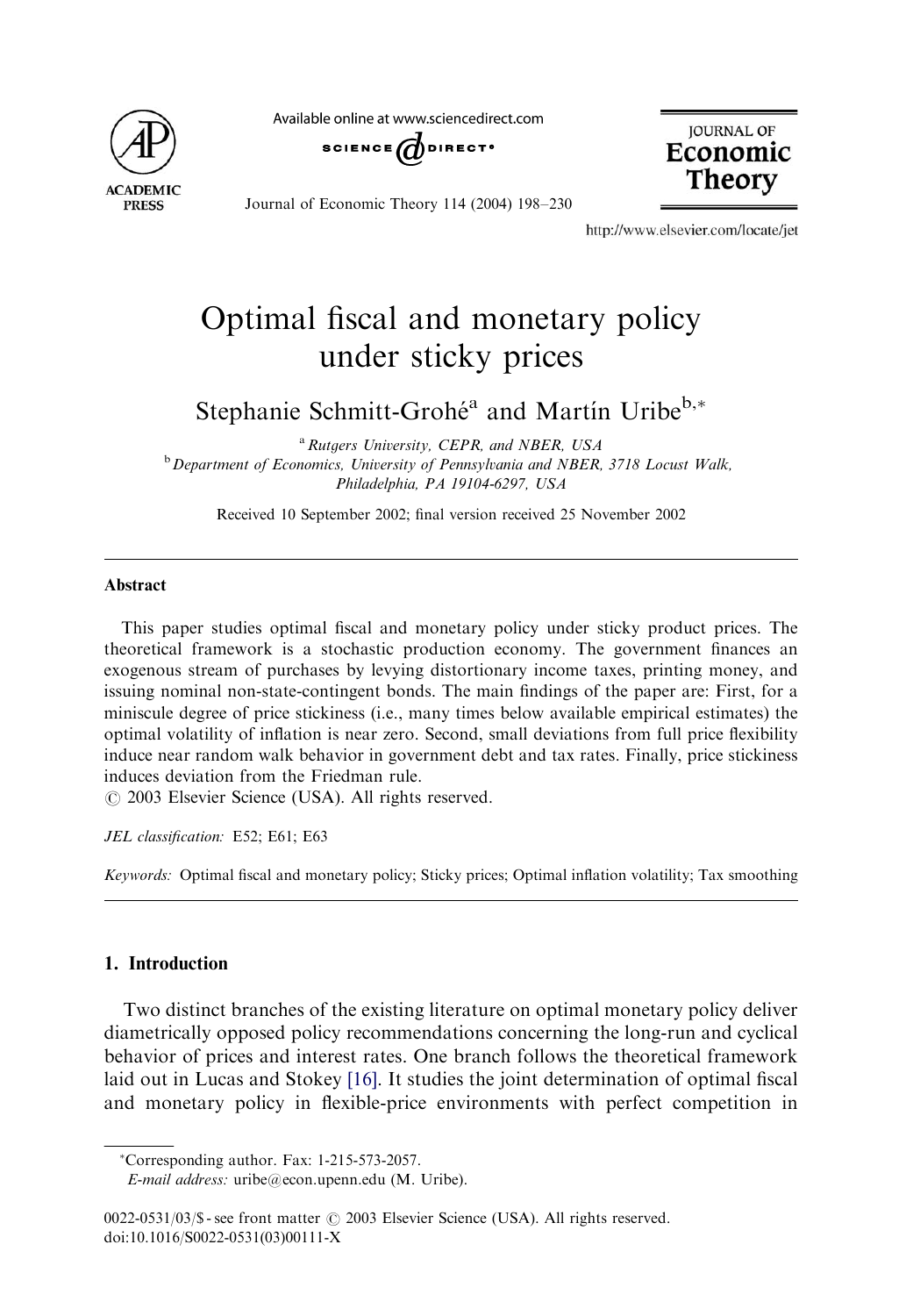

Available online at www.sciencedirect.com



**JOURNAL OF** Economic Theory

Journal of Economic Theory 114 (2004) 198–230

http://www.elsevier.com/locate/jet

# Optimal fiscal and monetary policy under sticky prices

Stephanie Schmitt-Grohé<sup>a</sup> and Martín Uribe<sup>b,\*</sup>

<sup>a</sup> Rutgers University, CEPR, and NBER, USA  $b$  Department of Economics, University of Pennsylvania and NBER, 3718 Locust Walk, Philadelphia, PA 19104-6297, USA

Received 10 September 2002; final version received 25 November 2002

#### Abstract

This paper studies optimal fiscal and monetary policy under sticky product prices. The theoretical framework is a stochastic production economy. The government finances an exogenous stream of purchases by levying distortionary income taxes, printing money, and issuing nominal non-state-contingent bonds. The main findings of the paper are: First, for a miniscule degree of price stickiness (i.e., many times below available empirical estimates) the optimal volatility of inflation is near zero. Second, small deviations from full price flexibility induce near random walk behavior in government debt and tax rates. Finally, price stickiness induces deviation from the Friedman rule.

 $\odot$  2003 Elsevier Science (USA). All rights reserved.

JEL classification: E52; E61; E63

Keywords: Optimal fiscal and monetary policy; Sticky prices; Optimal inflation volatility; Tax smoothing

# 1. Introduction

Two distinct branches of the existing literature on optimal monetary policy deliver diametrically opposed policy recommendations concerning the long-run and cyclical behavior of prices and interest rates. One branch follows the theoretical framework laid out in Lucas and Stokey [\[16\]](#page-32-0). It studies the joint determination of optimal fiscal and monetary policy in flexible-price environments with perfect competition in

Corresponding author. Fax: 1-215-573-2057.

E-mail address: uribe@econ.upenn.edu (M. Uribe).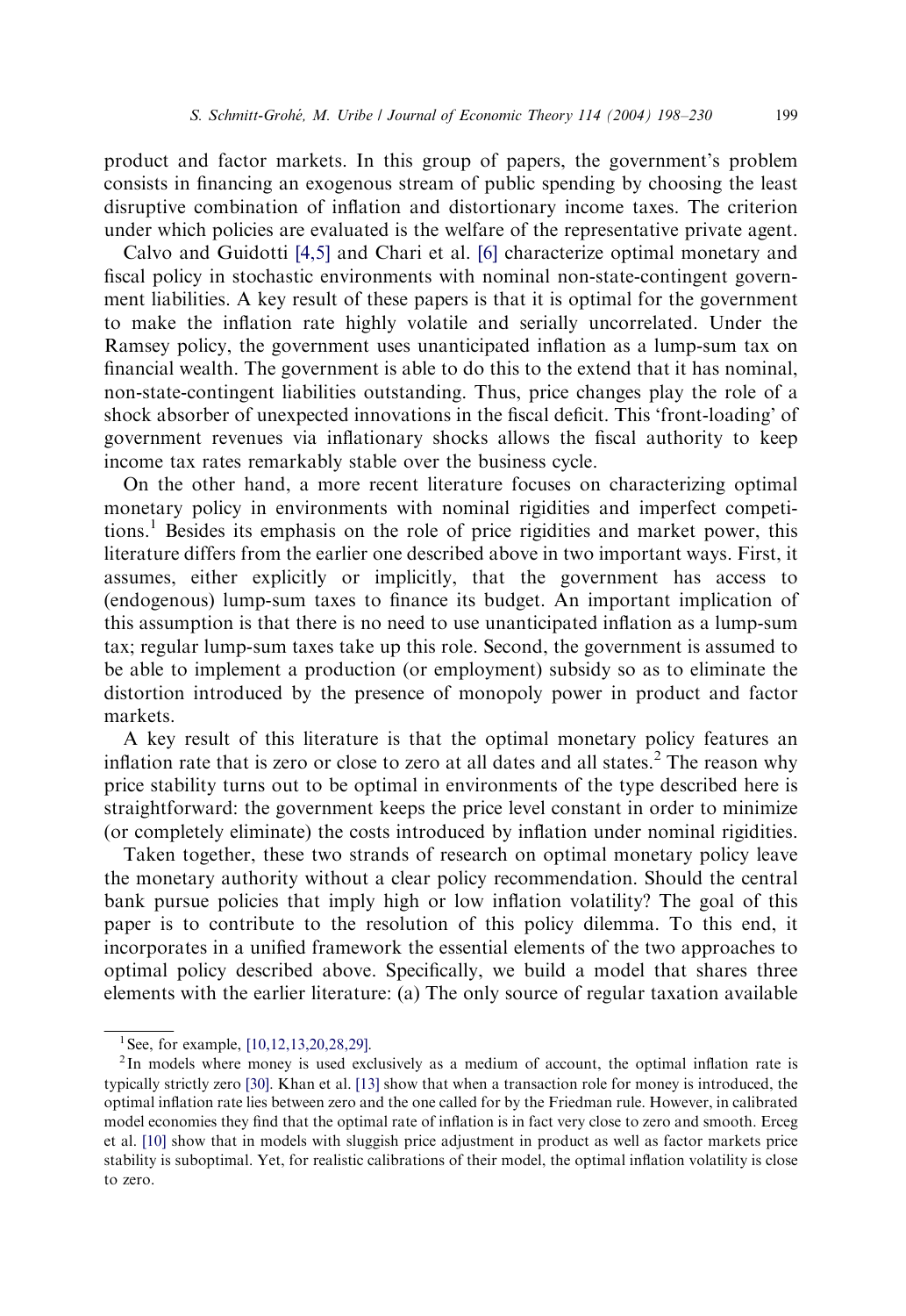product and factor markets. In this group of papers, the government's problem consists in financing an exogenous stream of public spending by choosing the least disruptive combination of inflation and distortionary income taxes. The criterion under which policies are evaluated is the welfare of the representative private agent.

Calvo and Guidotti  $[4,5]$  and Chari et al.  $[6]$  characterize optimal monetary and fiscal policy in stochastic environments with nominal non-state-contingent government liabilities. A key result of these papers is that it is optimal for the government to make the inflation rate highly volatile and serially uncorrelated. Under the Ramsey policy, the government uses unanticipatedinflation as a lump-sum tax on financial wealth. The government is able to do this to the extend that it has nominal, non-state-contingent liabilities outstanding. Thus, price changes play the role of a shock absorber of unexpected innovations in the fiscal deficit. This 'front-loading' of government revenues via inflationary shocks allows the fiscal authority to keep income tax rates remarkably stable over the business cycle.

On the other hand, a more recent literature focuses on characterizing optimal monetary policy in environments with nominal rigidities and imperfect competitions.1 Besides its emphasis on the role of price rigidities and market power, this literature differs from the earlier one described above in two important ways. First, it assumes, either explicitly or implicitly, that the government has access to (endogenous) lump-sum taxes to finance its budget. An important implication of this assumption is that there is no need to use unanticipated inflation as a lump-sum tax; regular lump-sum taxes take up this role. Second, the government is assumed to be able to implement a production (or employment) subsidy so as to eliminate the distortion introduced by the presence of monopoly power in product and factor markets.

A key result of this literature is that the optimal monetary policy features an inflation rate that is zero or close to zero at all dates and all states.<sup>2</sup> The reason why price stability turns out to be optimal in environments of the type described here is straightforward: the government keeps the price level constant in order to minimize (or completely eliminate) the costs introduced by inflation under nominal rigidities.

Taken together, these two strands of research on optimal monetary policy leave the monetary authority without a clear policy recommendation. Should the central bank pursue policies that imply high or low inflation volatility? The goal of this paper is to contribute to the resolution of this policy dilemma. To this end, it incorporates in a unified framework the essential elements of the two approaches to optimal policy described above. Specifically, we build a model that shares three elements with the earlier literature: (a) The only source of regular taxation available

<sup>&</sup>lt;sup>1</sup> See, for example, [\[10,12,13,20,28,29\]](#page-32-0).

<sup>&</sup>lt;sup>2</sup>In models where money is used exclusively as a medium of account, the optimal inflation rate is typically strictly zero [\[30\]](#page-32-0). Khan et al. [\[13\]](#page-32-0) show that when a transaction role for money is introduced, the optimal inflation rate lies between zero and the one called for by the Friedman rule. However, in calibrated model economies they find that the optimal rate of inflation is in fact very close to zero and smooth. Erceg et al. [\[10\]](#page-32-0) show that in models with sluggish price adjustment in product as well as factor markets price stability is suboptimal. Yet, for realistic calibrations of their model, the optimal inflation volatility is close to zero.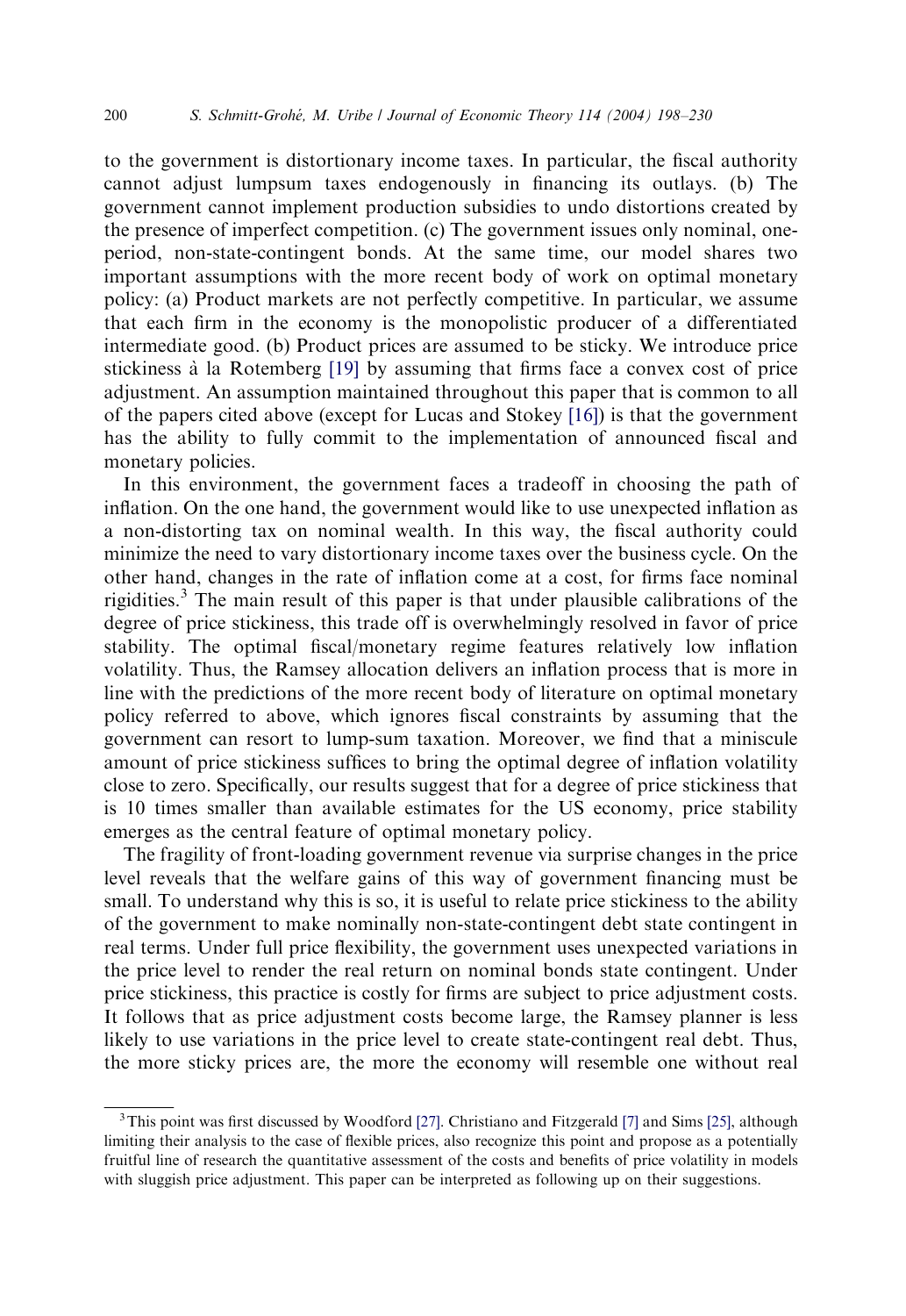to the government is distortionary income taxes. In particular, the fiscal authority cannot adjust lumpsum taxes endogenously in financing its outlays. (b) The government cannot implement production subsidies to undo distortions created by the presence of imperfect competition. (c) The government issues only nominal, oneperiod, non-state-contingent bonds. At the same time, our model shares two important assumptions with the more recent body of work on optimal monetary policy: (a) Product markets are not perfectly competitive. In particular, we assume that each firm in the economy is the monopolistic producer of a differentiated intermediate good. (b) Product prices are assumed to be sticky. We introduce price stickiness a` la Rotemberg [\[19\]](#page-32-0) by assuming that firms face a convex cost of price adjustment. An assumption maintained throughout this paper that is common to all of the papers cited above (except for Lucas and Stokey  $[16]$ ) is that the government has the ability to fully commit to the implementation of announced fiscal and monetary policies.

In this environment, the government faces a tradeoff in choosing the path of inflation. On the one hand, the government would like to use unexpected inflation as a non-distorting tax on nominal wealth. In this way, the fiscal authority could minimize the need to vary distortionary income taxes over the business cycle. On the other hand, changes in the rate of inflation come at a cost, for firms face nominal rigidities.<sup>3</sup> The main result of this paper is that under plausible calibrations of the degree of price stickiness, this trade off is overwhelmingly resolved in favor of price stability. The optimal fiscal/monetary regime features relatively low inflation volatility. Thus, the Ramsey allocation delivers an inflation process that is more in line with the predictions of the more recent body of literature on optimal monetary policy referred to above, which ignores fiscal constraints by assuming that the government can resort to lump-sum taxation. Moreover, we find that a miniscule amount of price stickiness suffices to bring the optimal degree of inflation volatility close to zero. Specifically, our results suggest that for a degree of price stickiness that is 10 times smaller than available estimates for the US economy, price stability emerges as the central feature of optimal monetary policy.

The fragility of front-loading government revenue via surprise changes in the price level reveals that the welfare gains of this way of government financing must be small. To understand why this is so, it is useful to relate price stickiness to the ability of the government to make nominally non-state-contingent debt state contingent in real terms. Under full price flexibility, the government uses unexpected variations in the price level to render the real return on nominal bonds state contingent. Under price stickiness, this practice is costly for firms are subject to price adjustment costs. It follows that as price adjustment costs become large, the Ramsey planner is less likely to use variations in the price level to create state-contingent real debt. Thus, the more sticky prices are, the more the economy will resemble one without real

 $3$ This point was first discussed by Woodford [\[27\].](#page-32-0) Christiano and Fitzgerald [\[7\]](#page-31-0) and Sims [\[25\],](#page-32-0) although limiting their analysis to the case of flexible prices, also recognize this point and propose as a potentially fruitful line of research the quantitative assessment of the costs andbenefits of price volatility in models with sluggish price adjustment. This paper can be interpreted as following up on their suggestions.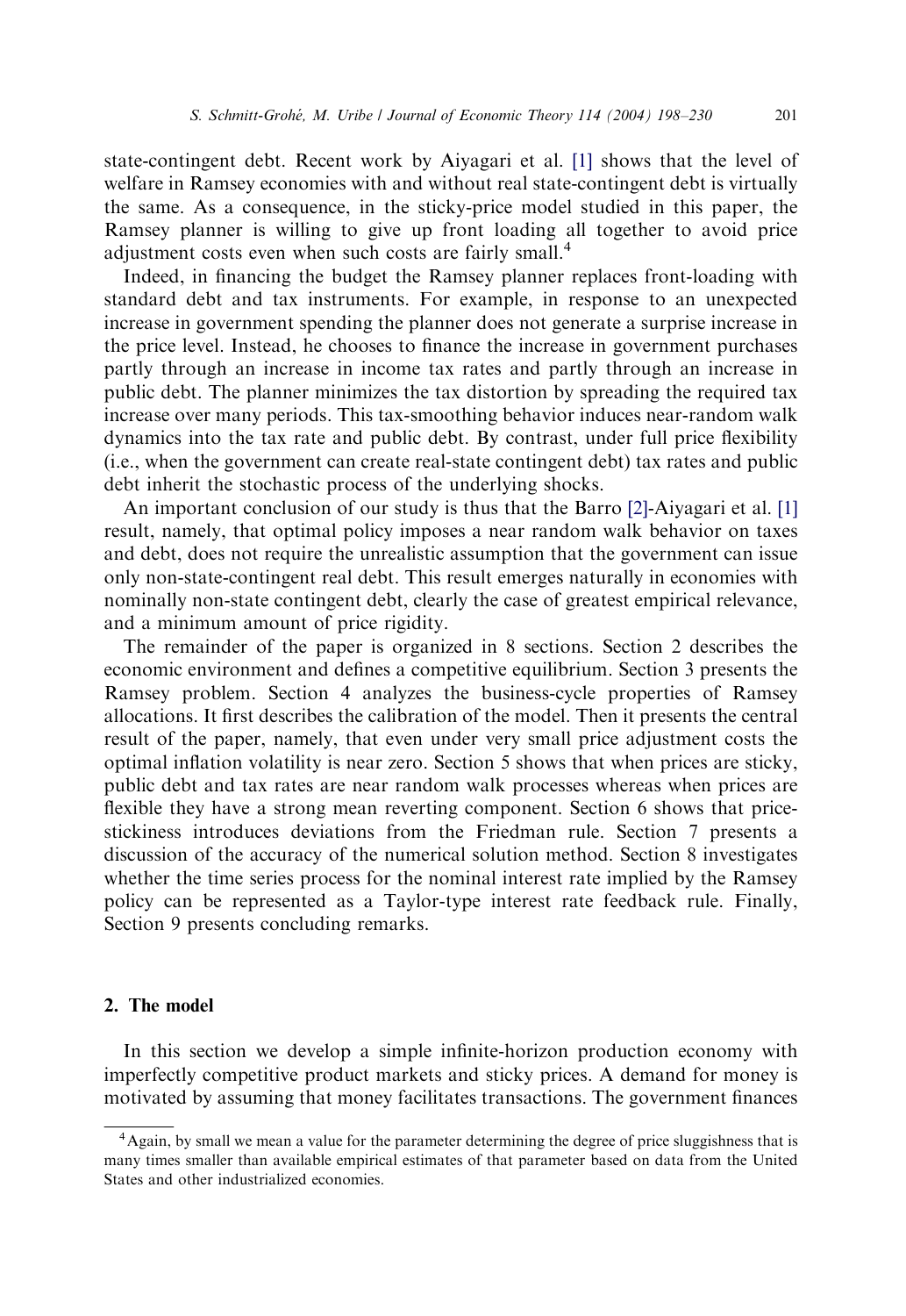state-contingent debt. Recent work by Aiyagari et al. [\[1\]](#page-31-0) shows that the level of welfare in Ramsey economies with and without real state-contingent debt is virtually the same. As a consequence, in the sticky-price model studied in this paper, the Ramsey planner is willing to give up front loading all together to avoid price adjustment costs even when such costs are fairly small.<sup>4</sup>

Indeed, in financing the budget the Ramsey planner replaces front-loading with standard debt and tax instruments. For example, in response to an unexpected increase in government spending the planner does not generate a surprise increase in the price level. Instead, he chooses to finance the increase in government purchases partly through an increase in income tax rates and partly through an increase in public debt. The planner minimizes the tax distortion by spreading the required tax increase over many periods. This tax-smoothing behavior induces near-random walk dynamics into the tax rate and public debt. By contrast, under full price flexibility (i.e., when the government can create real-state contingent debt) tax rates and public debt inherit the stochastic process of the underlying shocks.

An important conclusion of our study is thus that the Barro [\[2\]-](#page-31-0)Aiyagari et al. [\[1\]](#page-31-0) result, namely, that optimal policy imposes a near random walk behavior on taxes and debt, does not require the unrealistic assumption that the government can issue only non-state-contingent real debt. This result emerges naturally in economies with nominally non-state contingent debt, clearly the case of greatest empirical relevance, anda minimum amount of price rigidity.

The remainder of the paper is organized in 8 sections. Section 2 describes the economic environment anddefines a competitive equilibrium. Section 3 presents the Ramsey problem. Section 4 analyzes the business-cycle properties of Ramsey allocations. It first describes the calibration of the model. Then it presents the central result of the paper, namely, that even under very small price adjustment costs the optimal inflation volatility is near zero. Section 5 shows that when prices are sticky, public debt and tax rates are near random walk processes whereas when prices are flexible they have a strong mean reverting component. Section 6 shows that pricestickiness introduces deviations from the Friedman rule. Section 7 presents a discussion of the accuracy of the numerical solution method. Section 8 investigates whether the time series process for the nominal interest rate implied by the Ramsey policy can be representedas a Taylor-type interest rate feedback rule. Finally, Section 9 presents concluding remarks.

# 2. The model

In this section we develop a simple infinite-horizon production economy with imperfectly competitive product markets and sticky prices. A demand for money is motivated by assuming that money facilitates transactions. The government finances

<sup>&</sup>lt;sup>4</sup> Again, by small we mean a value for the parameter determining the degree of price sluggishness that is many times smaller than available empirical estimates of that parameter basedon data from the United States and other industrialized economies.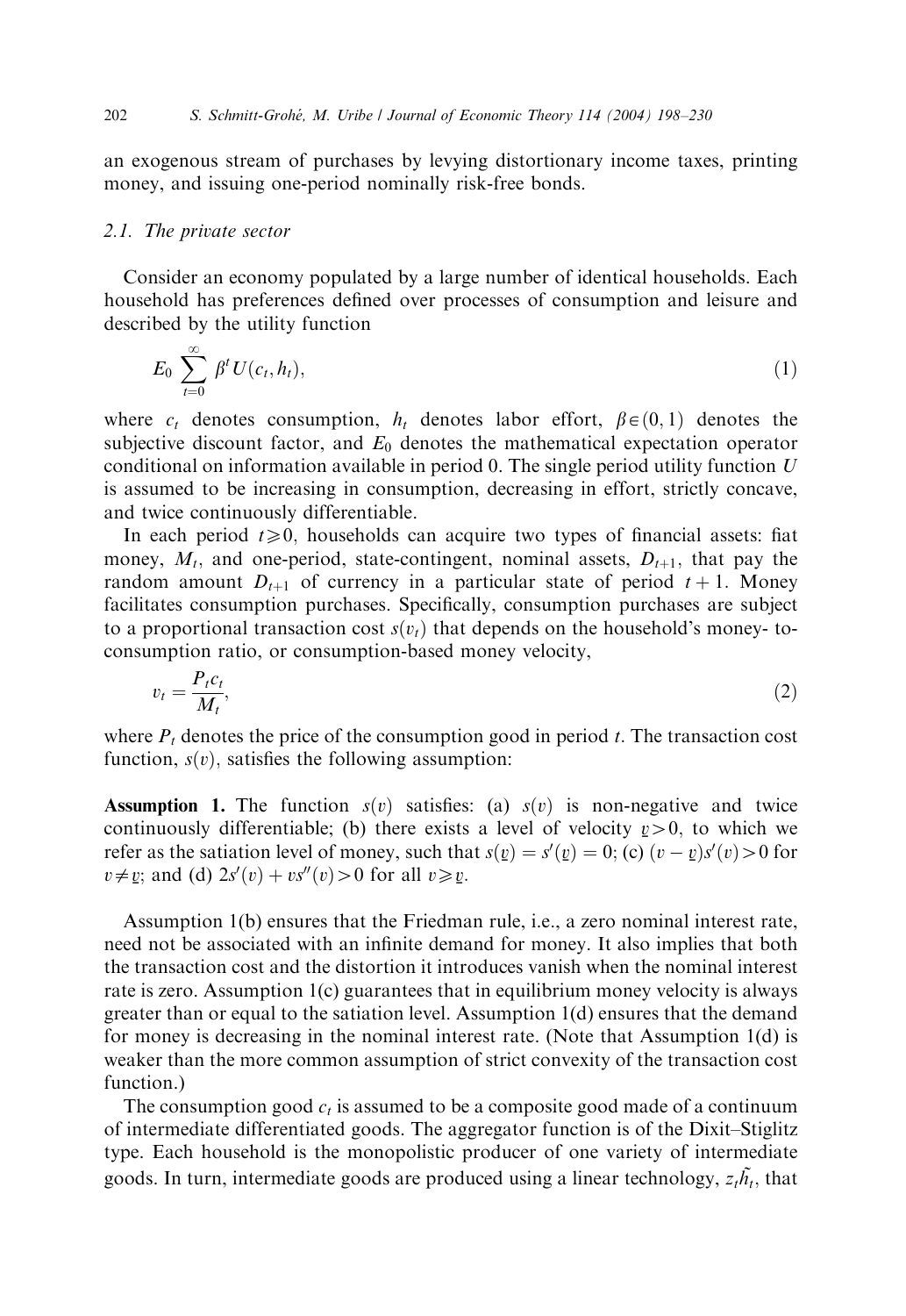an exogenous stream of purchases by levying distortionary income taxes, printing money, and issuing one-period nominally risk-free bonds.

# 2.1. The private sector

Consider an economy populated by a large number of identical households. Each household has preferences defined over processes of consumption and leisure and described by the utility function

$$
E_0 \sum_{t=0}^{\infty} \beta^t U(c_t, h_t), \qquad (1)
$$

where  $c_t$  denotes consumption,  $h_t$  denotes labor effort,  $\beta \in (0,1)$  denotes the subjective discount factor, and  $E_0$  denotes the mathematical expectation operator conditional on information available in period  $0$ . The single period utility function  $U$ is assumed to be increasing in consumption, decreasing in effort, strictly concave, and twice continuously differentiable.

In each period  $t\geq0$ , households can acquire two types of financial assets: fiat money,  $M_t$ , and one-period, state-contingent, nominal assets,  $D_{t+1}$ , that pay the random amount  $D_{t+1}$  of currency in a particular state of period  $t+1$ . Money facilitates consumption purchases. Specifically, consumption purchases are subject to a proportional transaction cost  $s(v_t)$  that depends on the household's money- toconsumption ratio, or consumption-based money velocity,

$$
v_t = \frac{P_t c_t}{M_t},\tag{2}
$$

where  $P_t$  denotes the price of the consumption good in period t. The transaction cost function,  $s(v)$ , satisfies the following assumption:

**Assumption 1.** The function  $s(v)$  satisfies: (a)  $s(v)$  is non-negative and twice continuously differentiable; (b) there exists a level of velocity  $y > 0$ , to which we<br>refer as the satistion level of money such that  $s(x) = s'(x) = 0$ ; (c)  $(x - y)s'(x) > 0$  for refer as the satiation level of money, such that  $s(y) = s'(y) = 0$ ; (c)  $(v - y)s'(v) > 0$  for % %  $v \neq v$ ; and (d)  $2s'(v) + vs''(v) > 0$  for all  $v \ge v$ .

Assumption 1(b) ensures that the Friedman rule, i.e., a zero nominal interest rate, need not be associated with an infinite demand for money. It also implies that both the transaction cost and the distortion it introduces vanish when the nominal interest rate is zero. Assumption 1(c) guarantees that in equilibrium money velocity is always greater than or equal to the satiation level. Assumption 1(d) ensures that the demand for money is decreasing in the nominal interest rate. (Note that Assumption 1(d) is weaker than the more common assumption of strict convexity of the transaction cost function.)

The consumption good  $c_t$  is assumed to be a composite good made of a continuum of intermediate differentiated goods. The aggregator function is of the Dixit–Stiglitz type. Each household is the monopolistic producer of one variety of intermediate goods. In turn, intermediate goods are produced using a linear technology,  $z_t \tilde{h_t}$ , that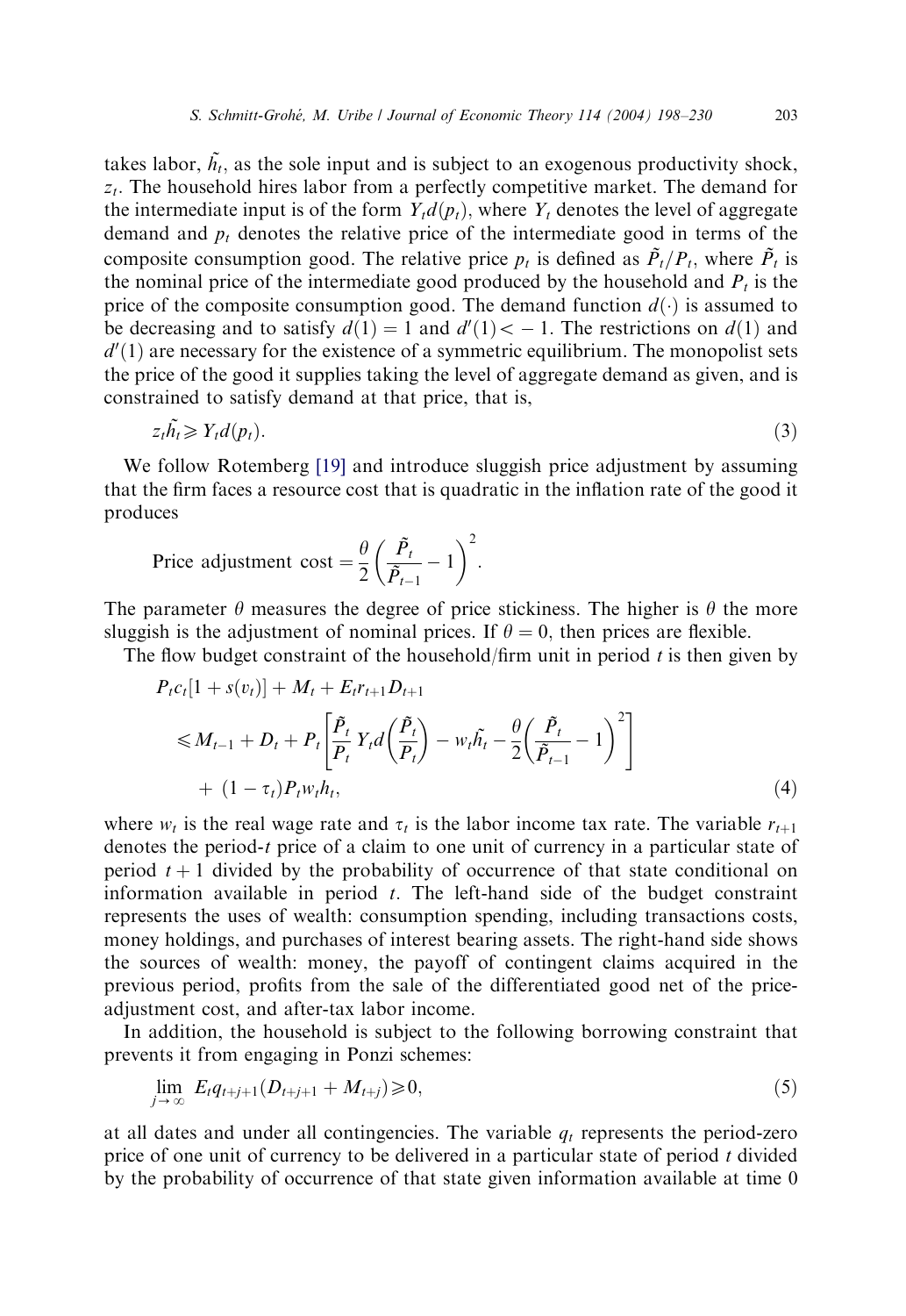takes labor,  $\tilde{h}_t$ , as the sole input and is subject to an exogenous productivity shock,  $z_t$ . The household hires labor from a perfectly competitive market. The demand for the intermediate input is of the form  $Y_t d(p_t)$ , where  $Y_t$  denotes the level of aggregate demand and  $p_t$  denotes the relative price of the intermediate good in terms of the composite consumption good. The relative price  $p_t$  is defined as  $\tilde{P}_t/P_t$ , where  $\tilde{P}_t$  is the nominal price of the intermediate good produced by the household and  $P_t$  is the price of the composite consumption good. The demand function  $d(\cdot)$  is assumed to be decreasing and to satisfy  $d(1) = 1$  and  $d'(1) < -1$ . The restrictions on  $d(1)$  and  $d'(1)$  are necessary for the existence of a symmetric equilibrium. The monopolist sets the price of the good it supplies taking the level of aggregate demand as given, and is constrained to satisfy demand at that price, that is,

$$
z_t \tilde{h_t} \ge Y_t d(p_t). \tag{3}
$$

We follow Rotemberg [\[19\]](#page-32-0) and introduce sluggish price adjustment by assuming that the firm faces a resource cost that is quadratic in the inflation rate of the good it produces

Price adjustment cost = 
$$
\frac{\theta}{2} \left( \frac{\tilde{P}_t}{\tilde{P}_{t-1}} - 1 \right)^2.
$$

The parameter  $\theta$  measures the degree of price stickiness. The higher is  $\theta$  the more sluggish is the adjustment of nominal prices. If  $\theta = 0$ , then prices are flexible.

The flow budget constraint of the household/firm unit in period  $t$  is then given by

$$
P_{t}c_{t}[1 + s(v_{t})] + M_{t} + E_{t}r_{t+1}D_{t+1}
$$
  
\n
$$
\leq M_{t-1} + D_{t} + P_{t}\left[\frac{\tilde{P}_{t}}{P_{t}}Y_{t}d\left(\frac{\tilde{P}_{t}}{P_{t}}\right) - w_{t}\tilde{h}_{t} - \frac{\theta}{2}\left(\frac{\tilde{P}_{t}}{\tilde{P}_{t-1}} - 1\right)^{2}\right]
$$
  
\n
$$
+ (1 - \tau_{t})P_{t}w_{t}h_{t}, \qquad (4)
$$

where  $w_t$  is the real wage rate and  $\tau_t$  is the labor income tax rate. The variable  $r_{t+1}$ denotes the period-t price of a claim to one unit of currency in a particular state of period  $t + 1$  divided by the probability of occurrence of that state conditional on information available in period  $t$ . The left-hand side of the budget constraint represents the uses of wealth: consumption spending, including transactions costs, money holdings, and purchases of interest bearing assets. The right-hand side shows the sources of wealth: money, the payoff of contingent claims acquiredin the previous period, profits from the sale of the differentiated good net of the priceadjustment cost, and after-tax labor income.

In addition, the household is subject to the following borrowing constraint that prevents it from engaging in Ponzi schemes:

$$
\lim_{j \to \infty} E_t q_{t+j+1} (D_{t+j+1} + M_{t+j}) \geq 0,
$$
\n(5)

at all dates and under all contingencies. The variable  $q_t$  represents the period-zero price of one unit of currency to be delivered in a particular state of period  $t$  divided by the probability of occurrence of that state given information available at time 0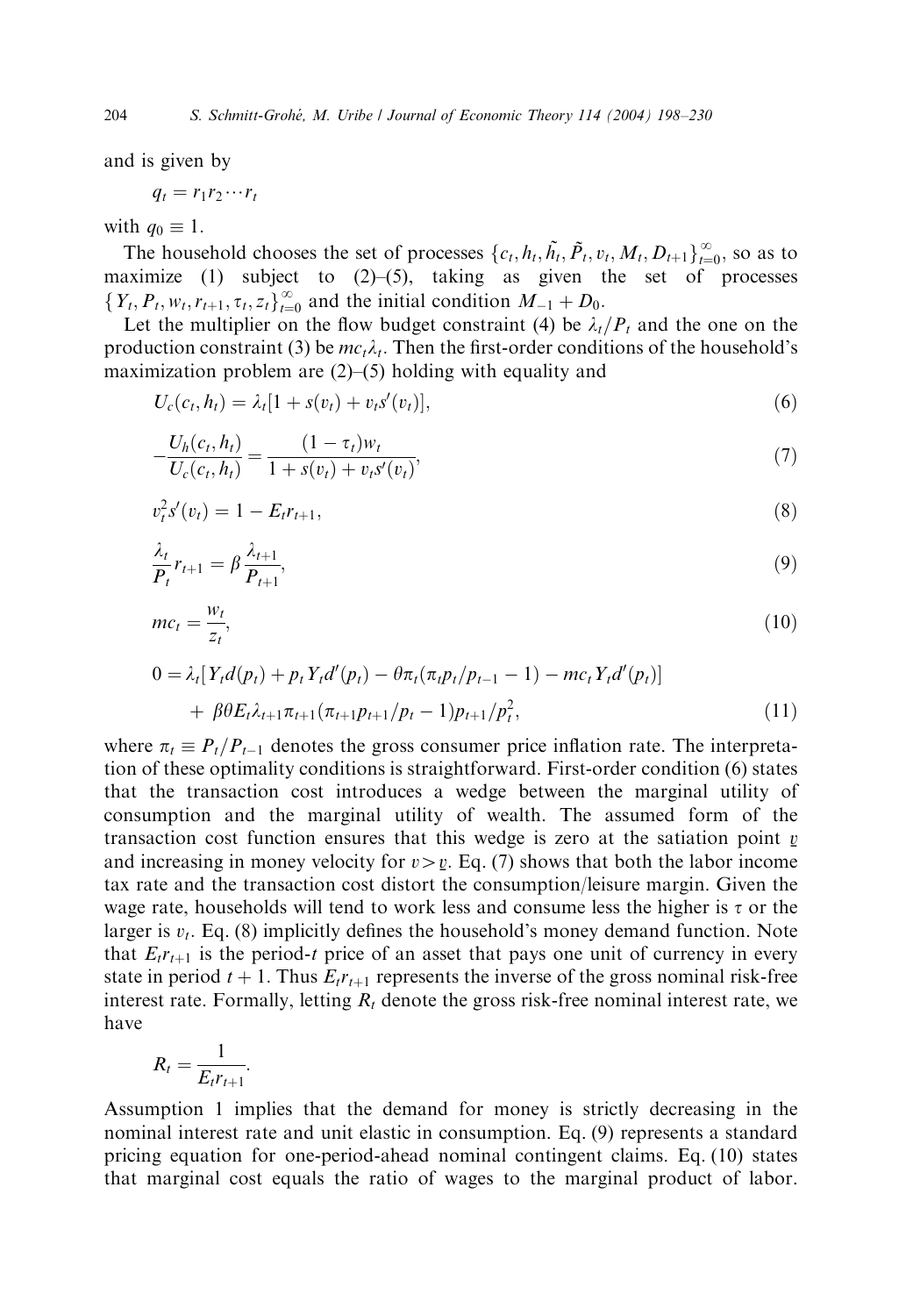and is given by

 $q_t = r_1r_2\cdots r_t$ 

with  $q_0 \equiv 1$ .

The household chooses the set of processes  $\{c_t, h_t, \tilde{h_t}, \tilde{P_t}, v_t, M_t, D_{t+1}\}_{t=0}^{\infty}$ , so as to maximize (1) subject to  $(2)$ –(5), taking as given the set of processes  $\{Y_t, P_t, w_t, r_{t+1}, \tau_t, z_t\}_{t=0}^{\infty}$  and the initial condition  $M_{-1} + D_0$ .

Let the multiplier on the flow budget constraint (4) be  $\lambda_t/P_t$  and the one on the production constraint (3) be  $mc_t\lambda_t$ . Then the first-order conditions of the household's maximization problem are  $(2)$ – $(5)$  holding with equality and

$$
U_c(c_t, h_t) = \lambda_t [1 + s(v_t) + v_t s'(v_t)],
$$
\n(6)

$$
-\frac{U_h(c_t, h_t)}{U_c(c_t, h_t)} = \frac{(1 - \tau_t)w_t}{1 + s(v_t) + v_t s'(v_t)},
$$
\n(7)

$$
v_t^2 s'(v_t) = 1 - E_t r_{t+1},\tag{8}
$$

$$
\frac{\lambda_t}{P_t} r_{t+1} = \beta \frac{\lambda_{t+1}}{P_{t+1}},\tag{9}
$$

$$
mc_t = \frac{w_t}{z_t},\tag{10}
$$

$$
0 = \lambda_t [Y_t d(p_t) + p_t Y_t d'(p_t) - \theta \pi_t (\pi_t p_t / p_{t-1} - 1) - mc_t Y_t d'(p_t)]
$$
  
+  $\beta \theta E_t \lambda_{t+1} \pi_{t+1} (\pi_{t+1} p_{t+1} / p_t - 1) p_{t+1} / p_t^2,$  (11)

where  $\pi_t \equiv P_t/P_{t-1}$  denotes the gross consumer price inflation rate. The interpretation of these optimality conditions is straightforward. First-order condition (6) states that the transaction cost introduces a wedge between the marginal utility of consumption and the marginal utility of wealth. The assumed form of the transaction cost function ensures that this wedge is zero at the satiation point  $\underline{v}$ <br>and increasing in money velocity for  $v > v$ . Eq. (7) shows that both the labor income and increasing in money velocity for  $v > v$ . Eq. (7) shows that both the labor income tax rate and the transaction cost distort the consumption/leisure margin. Given the tax rate and the transaction cost distort the consumption/leisure margin. Given the wage rate, households will tend to work less and consume less the higher is  $\tau$  or the larger is  $v_t$ . Eq. (8) implicitly defines the household's money demand function. Note that  $E_t r_{t+1}$  is the period-t price of an asset that pays one unit of currency in every state in period  $t + 1$ . Thus  $E_t r_{t+1}$  represents the inverse of the gross nominal risk-free interest rate. Formally, letting  $R_t$  denote the gross risk-free nominal interest rate, we have

$$
R_t = \frac{1}{E_t r_{t+1}}.
$$

Assumption 1 implies that the demand for money is strictly decreasing in the nominal interest rate andunit elastic in consumption. Eq. (9) represents a standard pricing equation for one-period-ahead nominal contingent claims. Eq. (10) states that marginal cost equals the ratio of wages to the marginal product of labor.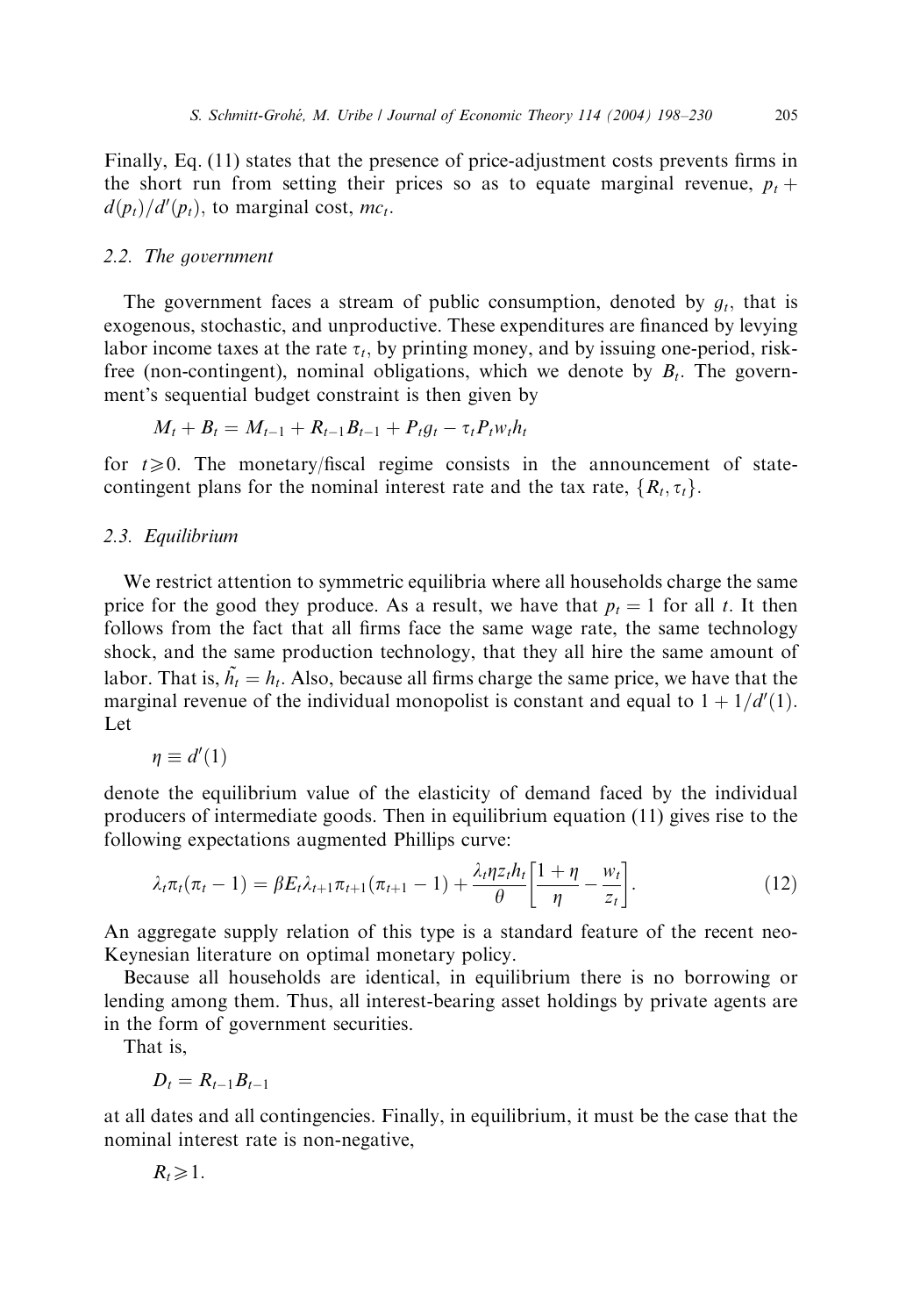Finally, Eq. (11) states that the presence of price-adjustment costs prevents firms in the short run from setting their prices so as to equate marginal revenue,  $p_t$  +  $d(p_t)/d'(p_t)$ , to marginal cost, mc<sub>t</sub>.

#### 2.2. The government

The government faces a stream of public consumption, denoted by  $g_t$ , that is exogenous, stochastic, and unproductive. These expenditures are financed by levying labor income taxes at the rate  $\tau_t$ , by printing money, and by issuing one-period, riskfree (non-contingent), nominal obligations, which we denote by  $B_t$ . The government's sequential budget constraint is then given by

$$
M_t + B_t = M_{t-1} + R_{t-1}B_{t-1} + P_t g_t - \tau_t P_t w_t h_t
$$

for  $t\geq0$ . The monetary/fiscal regime consists in the announcement of statecontingent plans for the nominal interest rate and the tax rate,  $\{R_t, \tau_t\}$ .

#### 2.3. Equilibrium

We restrict attention to symmetric equilibria where all households charge the same price for the good they produce. As a result, we have that  $p_t = 1$  for all t. It then follows from the fact that all firms face the same wage rate, the same technology shock, and the same production technology, that they all hire the same amount of labor. That is,  $\tilde{h}_t = h_t$ . Also, because all firms charge the same price, we have that the marginal revenue of the individual monopolist is constant and equal to  $1 + 1/d'(1)$ . Let

$$
\eta \equiv d'(1)
$$

denote the equilibrium value of the elasticity of demand faced by the individual producers of intermediate goods. Then in equilibrium equation (11) gives rise to the following expectations augmented Phillips curve:

$$
\lambda_t \pi_t(\pi_t - 1) = \beta E_t \lambda_{t+1} \pi_{t+1}(\pi_{t+1} - 1) + \frac{\lambda_t \eta z_t h_t}{\theta} \left[ \frac{1 + \eta}{\eta} - \frac{w_t}{z_t} \right]. \tag{12}
$$

An aggregate supply relation of this type is a standard feature of the recent neo-Keynesian literature on optimal monetary policy.

Because all households are identical, in equilibrium there is no borrowing or lending among them. Thus, all interest-bearing asset holdings by private agents are in the form of government securities.

That is,

$$
D_t = R_{t-1}B_{t-1}
$$

at all dates and all contingencies. Finally, in equilibrium, it must be the case that the nominal interest rate is non-negative,

$$
R_t\!\geq 1.
$$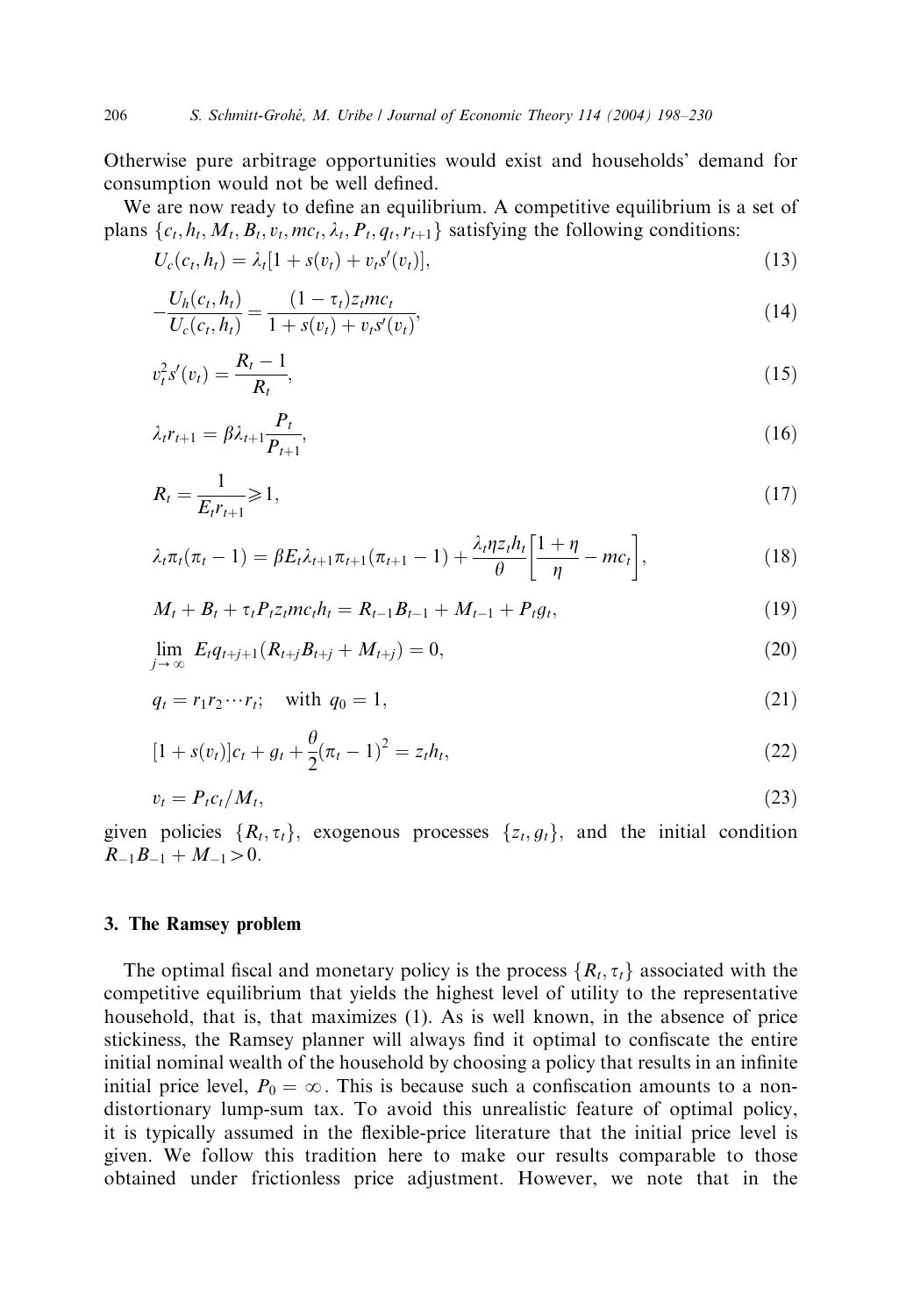Otherwise pure arbitrage opportunities would exist and households' demand for consumption would not be well defined.

We are now ready to define an equilibrium. A competitive equilibrium is a set of plans  $\{c_t, h_t, M_t, B_t, v_t, mc_t, \lambda_t, P_t, q_t, r_{t+1}\}\$  satisfying the following conditions:

$$
U_c(c_t, h_t) = \lambda_t [1 + s(v_t) + v_t s'(v_t)],
$$
\n(13)

$$
-\frac{U_h(c_t, h_t)}{U_c(c_t, h_t)} = \frac{(1 - \tau_t)z_t mc_t}{1 + s(v_t) + v_t s'(v_t)},
$$
\n(14)

$$
v_t^2 s'(v_t) = \frac{R_t - 1}{R_t},\tag{15}
$$

$$
\lambda_t r_{t+1} = \beta \lambda_{t+1} \frac{P_t}{P_{t+1}},\tag{16}
$$

$$
R_t = \frac{1}{E_t r_{t+1}} \ge 1,\tag{17}
$$

$$
\lambda_t \pi_t(\pi_t - 1) = \beta E_t \lambda_{t+1} \pi_{t+1}(\pi_{t+1} - 1) + \frac{\lambda_t \eta z_t h_t}{\theta} \left[ \frac{1 + \eta}{\eta} - mc_t \right],
$$
\n(18)

$$
M_t + B_t + \tau_t P_t z_t m c_t h_t = R_{t-1} B_{t-1} + M_{t-1} + P_t g_t, \qquad (19)
$$

$$
\lim_{j \to \infty} E_t q_{t+j+1} (R_{t+j} B_{t+j} + M_{t+j}) = 0, \tag{20}
$$

$$
q_t = r_1 r_2 \cdots r_t; \quad \text{with } q_0 = 1,
$$
\n
$$
(21)
$$

$$
[1 + s(v_t)]c_t + g_t + \frac{\theta}{2}(\pi_t - 1)^2 = z_t h_t,
$$
\n(22)

$$
v_t = P_t c_t / M_t,\tag{23}
$$

given policies  $\{R_t, \tau_t\}$ , exogenous processes  $\{z_t, g_t\}$ , and the initial condition  $R_{-1}B_{-1} + M_{-1} > 0.$ 

# 3. The Ramsey problem

The optimal fiscal and monetary policy is the process  $\{R_t, \tau_t\}$  associated with the competitive equilibrium that yields the highest level of utility to the representative household, that is, that maximizes (1). As is well known, in the absence of price stickiness, the Ramsey planner will always find it optimal to confiscate the entire initial nominal wealth of the household by choosing a policy that results in an infinite initial price level,  $P_0 = \infty$ . This is because such a confiscation amounts to a nondistortionary lump-sum tax. To avoid this unrealistic feature of optimal policy, it is typically assumed in the flexible-price literature that the initial price level is given. We follow this tradition here to make our results comparable to those obtained under frictionless price adjustment. However, we note that in the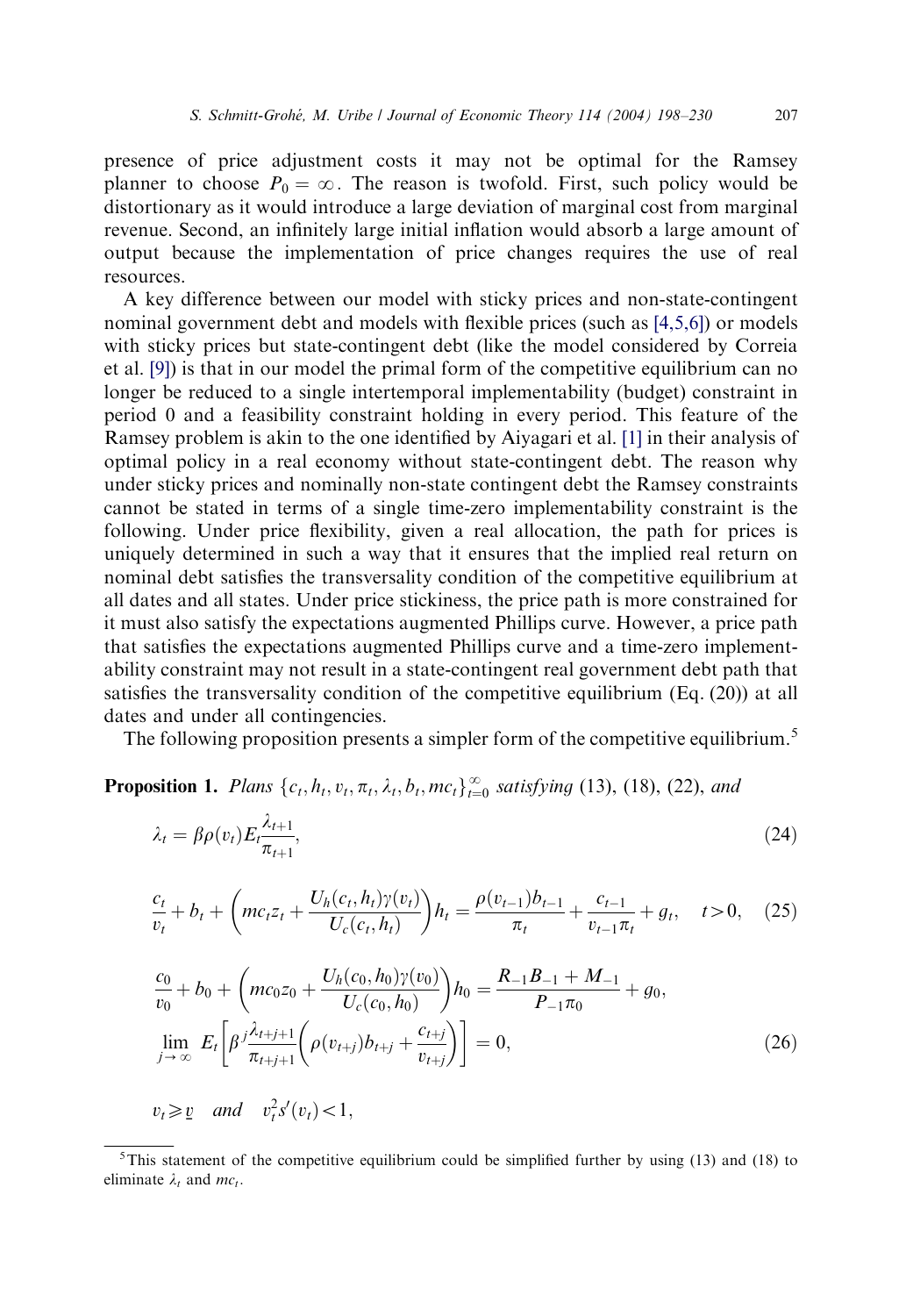presence of price adjustment costs it may not be optimal for the Ramsey planner to choose  $P_0 = \infty$ . The reason is twofold. First, such policy would be distortionary as it would introduce a large deviation of marginal cost from marginal revenue. Second, an infinitely large initial inflation would absorb a large amount of output because the implementation of price changes requires the use of real resources.

A key difference between our model with sticky prices and non-state-contingent nominal government debt and models with flexible prices (such as [\[4,5,6\]\)](#page-31-0) or models with sticky prices but state-contingent debt (like the model considered by Correia et al. [\[9\]\)](#page-32-0) is that in our model the primal form of the competitive equilibrium can no longer be reduced to a single intertemporal implementability (budget) constraint in period0 anda feasibility constraint holding in every period. This feature of the Ramsey problem is akin to the one identified by Aiyagari et al. [\[1\]](#page-31-0) in their analysis of optimal policy in a real economy without state-contingent debt. The reason why under sticky prices and nominally non-state contingent debt the Ramsey constraints cannot be statedin terms of a single time-zero implementability constraint is the following. Under price flexibility, given a real allocation, the path for prices is uniquely determined in such a way that it ensures that the implied real return on nominal debt satisfies the transversality condition of the competitive equilibrium at all dates and all states. Under price stickiness, the price path is more constrained for it must also satisfy the expectations augmented Phillips curve. However, a price path that satisfies the expectations augmented Phillips curve and a time-zero implementability constraint may not result in a state-contingent real government debt path that satisfies the transversality condition of the competitive equilibrium (Eq. (20)) at all dates and under all contingencies.

The following proposition presents a simpler form of the competitive equilibrium.<sup>5</sup>

**Proposition 1.** Plans  $\{c_t, h_t, v_t, \pi_t, \lambda_t, b_t, mc_t\}_{t=0}^{\infty}$  satisfying (13), (18), (22), and

$$
\lambda_t = \beta \rho(v_t) E_t \frac{\lambda_{t+1}}{\pi_{t+1}},\tag{24}
$$

$$
\frac{c_t}{v_t} + b_t + \left( mc_t z_t + \frac{U_h(c_t, h_t) \gamma(v_t)}{U_c(c_t, h_t)} \right) h_t = \frac{\rho(v_{t-1}) b_{t-1}}{\pi_t} + \frac{c_{t-1}}{v_{t-1} \pi_t} + g_t, \quad t > 0, \quad (25)
$$

$$
\frac{c_0}{v_0} + b_0 + \left( mc_0 z_0 + \frac{U_h(c_0, h_0) \gamma(v_0)}{U_c(c_0, h_0)} \right) h_0 = \frac{R_{-1} B_{-1} + M_{-1}}{P_{-1} \pi_0} + g_0,
$$
\n
$$
\lim_{j \to \infty} E_t \left[ \beta \frac{\gamma^{\lambda_{t+j+1}}}{\pi_{t+j+1}} \left( \rho(v_{t+j}) b_{t+j} + \frac{c_{t+j}}{v_{t+j}} \right) \right] = 0,
$$
\n(26)

 $v_t \geq v$  and  $v_t^2 s'(v_t) < 1$ ,

 $5$ This statement of the competitive equilibrium could be simplified further by using (13) and (18) to eliminate  $\lambda_t$  and  $mc_t$ .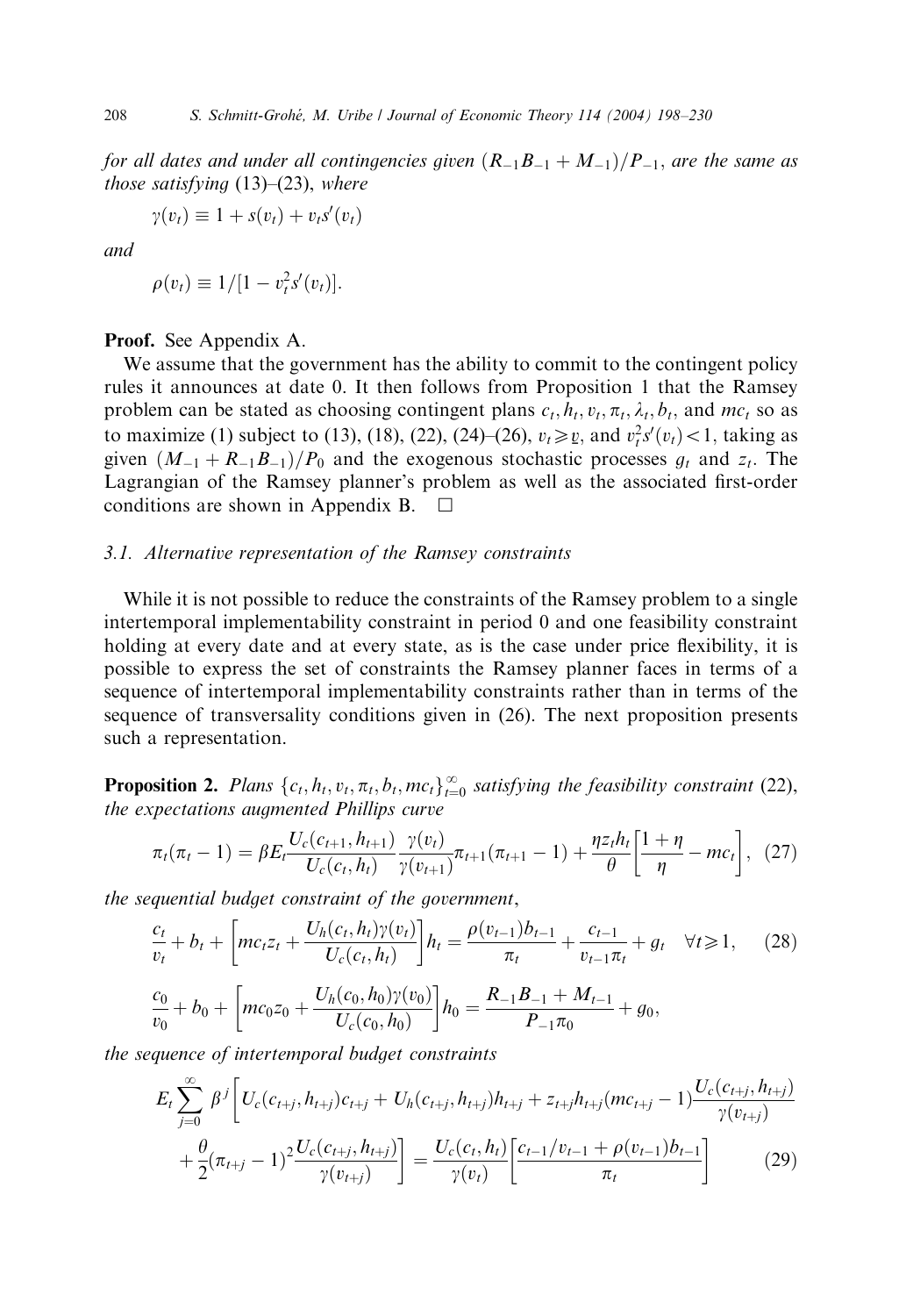for all dates and under all contingencies given  $(R_{-1}B_{-1} + M_{-1})/P_{-1}$ , are the same as those satisfying  $(13)$ – $(23)$ , where

$$
\gamma(v_t) \equiv 1 + s(v_t) + v_t s'(v_t)
$$

and

$$
\rho(v_t) \equiv 1/[1 - v_t^2 s'(v_t)].
$$

Proof. See Appendix A.

We assume that the government has the ability to commit to the contingent policy rules it announces at date 0. It then follows from Proposition 1 that the Ramsey problem can be stated as choosing contingent plans  $c_t$ ,  $h_t$ ,  $v_t$ ,  $\pi_t$ ,  $\lambda_t$ ,  $b_t$ , and  $mc_t$  so as to maximize (1) subject to (13), (18), (22), (24)–(26),  $v_t \ge v_t$ , and  $v_t^2 s'(v_t) < 1$ , taking as given  $(M_{-1} + R_{-1}B_{-1})/P_0$  and the exogenous stochastic processes  $g_t$  and  $z_t$ . The Lagrangian of the Ramsey planner's problem as well as the associated first-order conditions are shown in Appendix B.  $\Box$ 

# 3.1. Alternative representation of the Ramsey constraints

While it is not possible to reduce the constraints of the Ramsey problem to a single intertemporal implementability constraint in period 0 and one feasibility constraint holding at every date and at every state, as is the case under price flexibility, it is possible to express the set of constraints the Ramsey planner faces in terms of a sequence of intertemporal implementability constraints rather than in terms of the sequence of transversality conditions given in (26). The next proposition presents such a representation.

**Proposition 2.** Plans  $\{c_t, h_t, v_t, \pi_t, b_t, mc_t\}_{t=0}^{\infty}$  satisfying the feasibility constraint (22), the expectations augmented Phillips curve

$$
\pi_t(\pi_t - 1) = \beta E_t \frac{U_c(c_{t+1}, h_{t+1})}{U_c(c_t, h_t)} \frac{\gamma(v_t)}{\gamma(v_{t+1})} \pi_{t+1}(\pi_{t+1} - 1) + \frac{\eta z_t h_t}{\theta} \left[ \frac{1 + \eta}{\eta} - mc_t \right], \tag{27}
$$

the sequential budget constraint of the government,

$$
\frac{c_t}{v_t} + b_t + \left[ mc_t z_t + \frac{U_h(c_t, h_t) \gamma(v_t)}{U_c(c_t, h_t)} \right] h_t = \frac{\rho(v_{t-1}) b_{t-1}}{\pi_t} + \frac{c_{t-1}}{v_{t-1} \pi_t} + g_t \quad \forall t \ge 1,
$$
 (28)

$$
\frac{c_0}{v_0} + b_0 + \left[ mc_0 z_0 + \frac{U_h(c_0, h_0) \gamma(v_0)}{U_c(c_0, h_0)} \right] h_0 = \frac{R_{-1} B_{-1} + M_{t-1}}{P_{-1} \pi_0} + g_0,
$$

the sequence of intertemporal budget constraints

$$
E_{t} \sum_{j=0}^{\infty} \beta^{j} \left[ U_{c}(c_{t+j}, h_{t+j})c_{t+j} + U_{h}(c_{t+j}, h_{t+j})h_{t+j} + z_{t+j}h_{t+j}(mc_{t+j} - 1) \frac{U_{c}(c_{t+j}, h_{t+j})}{\gamma(v_{t+j})} + \frac{\theta}{2}(\pi_{t+j} - 1)^{2} \frac{U_{c}(c_{t+j}, h_{t+j})}{\gamma(v_{t+j})} \right] = \frac{U_{c}(c_{t}, h_{t})}{\gamma(v_{t})} \left[ \frac{c_{t-1}/v_{t-1} + \rho(v_{t-1})b_{t-1}}{\pi_{t}} \right] \tag{29}
$$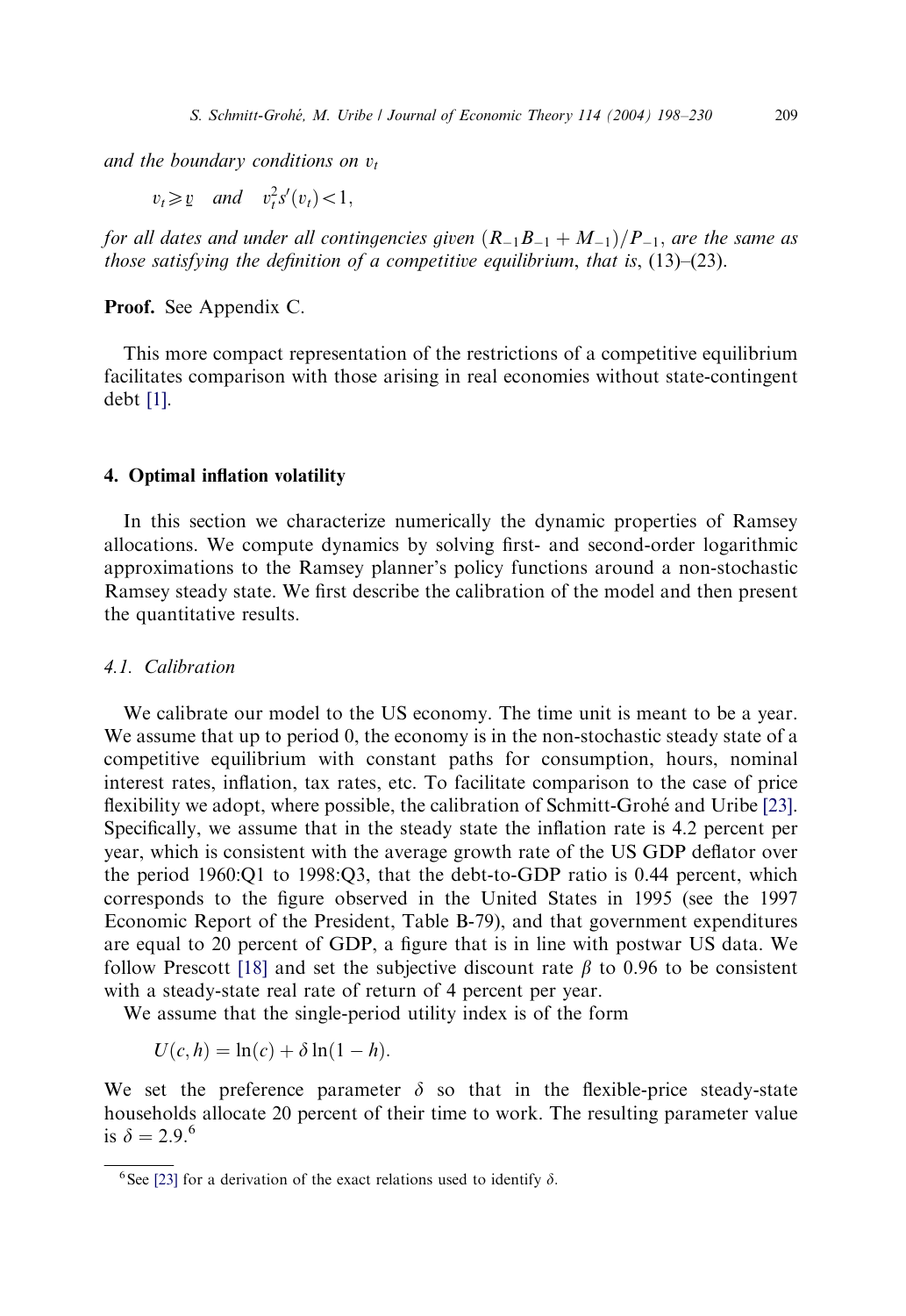and the boundary conditions on  $v_t$ 

 $v_t \geq v$  and  $v_t^2 s'(v_t) < 1$ ,

for all dates and under all contingencies given  $(R_{-1}B_{-1} + M_{-1})/P_{-1}$ , are the same as those satisfying the definition of a competitive equilibrium, that is,  $(13)$ – $(23)$ .

# Proof. See Appendix C.

This more compact representation of the restrictions of a competitive equilibrium facilitates comparison with those arising in real economies without state-contingent debt [\[1\]](#page-31-0).

# 4. Optimal inflation volatility

In this section we characterize numerically the dynamic properties of Ramsey allocations. We compute dynamics by solving first- and second-order logarithmic approximations to the Ramsey planner's policy functions arounda non-stochastic Ramsey steady state. We first describe the calibration of the model and then present the quantitative results.

# 4.1. Calibration

We calibrate our model to the US economy. The time unit is meant to be a year. We assume that up to period 0, the economy is in the non-stochastic steady state of a competitive equilibrium with constant paths for consumption, hours, nominal interest rates, inflation, tax rates, etc. To facilitate comparison to the case of price flexibility we adopt, where possible, the calibration of Schmitt-Grohé and Uribe [\[23\].](#page-32-0) Specifically, we assume that in the steady state the inflation rate is 4.2 percent per year, which is consistent with the average growth rate of the US GDP deflator over the period  $1960:Q1$  to  $1998:Q3$ , that the debt-to-GDP ratio is 0.44 percent, which corresponds to the figure observed in the United States in 1995 (see the 1997 Economic Report of the President, Table B-79), and that government expenditures are equal to 20 percent of GDP, a figure that is in line with postwar US data. We follow Prescott [\[18\]](#page-32-0) and set the subjective discount rate  $\beta$  to 0.96 to be consistent with a steady-state real rate of return of 4 percent per year.

We assume that the single-period utility index is of the form

 $U(c, h) = \ln(c) + \delta \ln(1 - h).$ 

We set the preference parameter  $\delta$  so that in the flexible-price steady-state households allocate 20 percent of their time to work. The resulting parameter value is  $\delta = 2.9.^6$ 

<sup>&</sup>lt;sup>6</sup>See [\[23\]](#page-32-0) for a derivation of the exact relations used to identify  $\delta$ .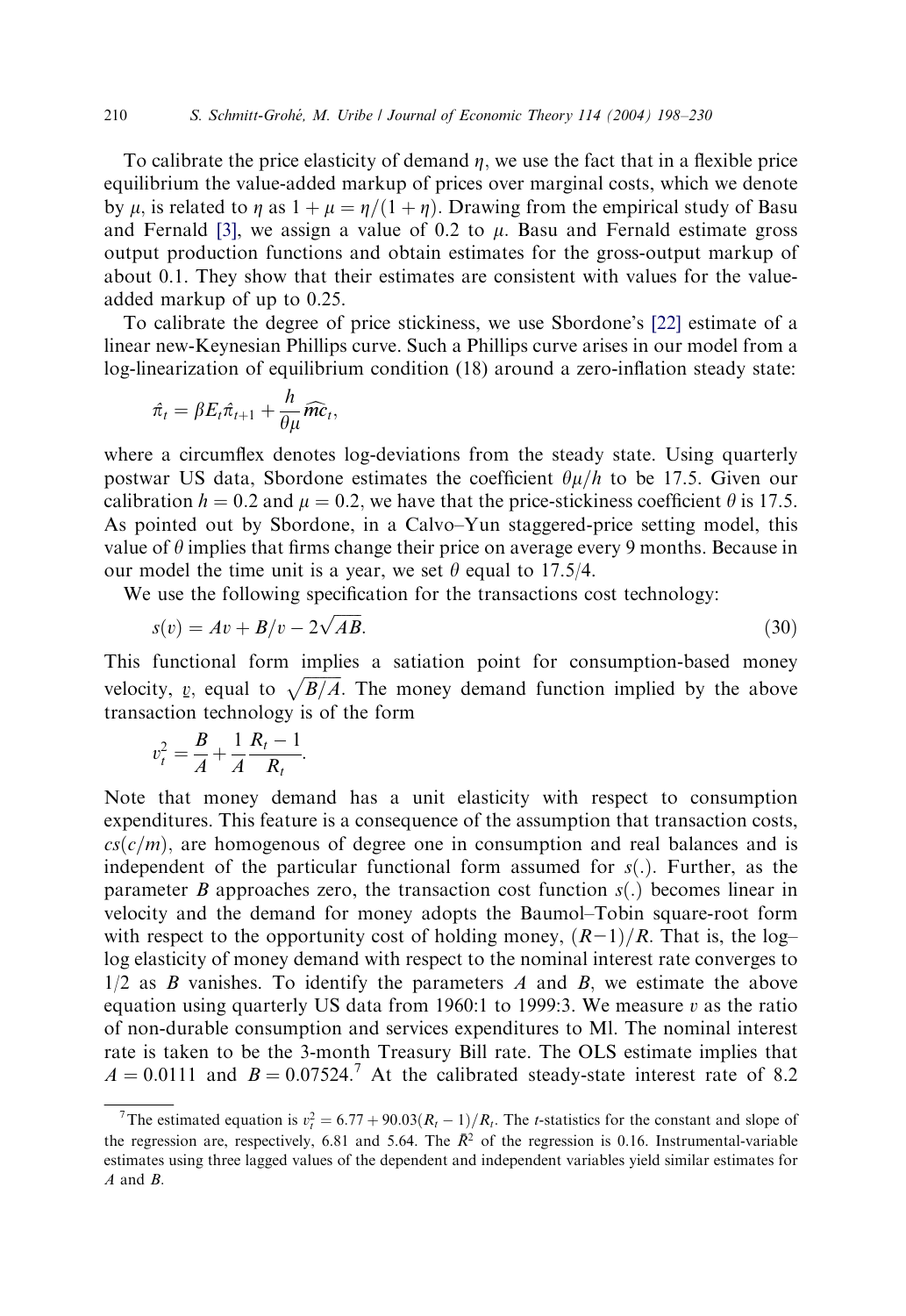To calibrate the price elasticity of demand  $\eta$ , we use the fact that in a flexible price equilibrium the value-added markup of prices over marginal costs, which we denote by u, is related to  $\eta$  as  $1 + \mu = \eta/(1 + \eta)$ . Drawing from the empirical study of Basu and Fernald [\[3\]](#page-31-0), we assign a value of 0.2 to  $\mu$ . Basu and Fernald estimate gross output production functions and obtain estimates for the gross-output markup of about 0.1. They show that their estimates are consistent with values for the valueadded markup of up to 0.25.

To calibrate the degree of price stickiness, we use Sbordone's [\[22\]](#page-32-0) estimate of a linear new-Keynesian Phillips curve. Such a Phillips curve arises in our model from a log-linearization of equilibrium condition (18) around a zero-inflation steady state:

$$
\hat{\pi}_t = \beta E_t \hat{\pi}_{t+1} + \frac{h}{\theta \mu} \widehat{mc}_t,
$$

where a circumflex denotes log-deviations from the steady state. Using quarterly postwar US data, Sbordone estimates the coefficient  $\theta\mu/h$  to be 17.5. Given our calibration  $h = 0.2$  and  $\mu = 0.2$ , we have that the price-stickiness coefficient  $\theta$  is 17.5. As pointed out by Sbordone, in a Calvo–Yun staggered-price setting model, this value of  $\theta$  implies that firms change their price on average every 9 months. Because in our model the time unit is a year, we set  $\theta$  equal to 17.5/4.

We use the following specification for the transactions cost technology:

$$
s(v) = Av + B/v - 2\sqrt{AB}.
$$
\n(30)

This functional form implies a satiation point for consumption-basedmoney velocity,  $\dot{v}$ , equal to  $\sqrt{B/A}$ . The money demand function implied by the above<br>transaction technology is of the form transaction technology is of the form

$$
v_t^2 = \frac{B}{A} + \frac{1}{A} \frac{R_t - 1}{R_t}.
$$

Note that money demand has a unit elasticity with respect to consumption expenditures. This feature is a consequence of the assumption that transaction costs,  $cs(c/m)$ , are homogenous of degree one in consumption and real balances and is independent of the particular functional form assumed for  $s(.)$ . Further, as the parameter B approaches zero, the transaction cost function  $s(.)$  becomes linear in velocity and the demand for money adopts the Baumol–Tobin square-root form with respect to the opportunity cost of holding money,  $(R-1)/R$ . That is, the log– log elasticity of money demand with respect to the nominal interest rate converges to  $1/2$  as B vanishes. To identify the parameters A and B, we estimate the above equation using quarterly US data from 1960:1 to 1999:3. We measure  $v$  as the ratio of non-durable consumption and services expenditures to Ml. The nominal interest rate is taken to be the 3-month Treasury Bill rate. The OLS estimate implies that  $A = 0.0111$  and  $B = 0.07524$ .<sup>7</sup> At the calibrated steady-state interest rate of 8.2

<sup>&</sup>lt;sup>7</sup>The estimated equation is  $v_t^2 = 6.77 + 90.03(R_t - 1)/R_t$ . The *t*-statistics for the constant and slope of the regression are, respectively, 6.81 and 5.64. The  $\bar{R}^2$  of the regression is 0.16. Instrumental-variable estimates using three lagged values of the dependent and independent variables yield similar estimates for  $A$  and  $B$ .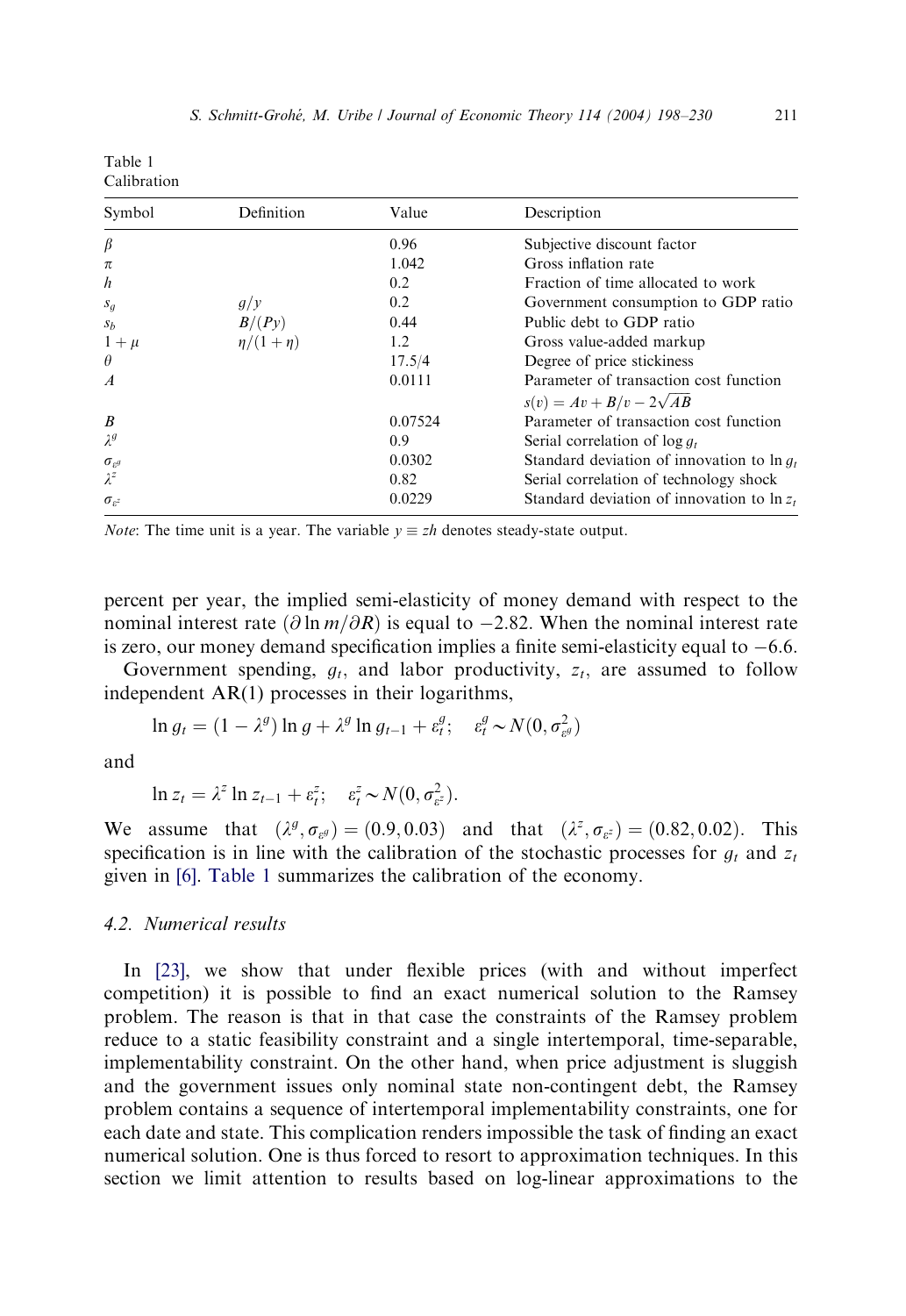| Calibration              |                 |         |                                               |  |  |  |
|--------------------------|-----------------|---------|-----------------------------------------------|--|--|--|
| Symbol                   | Definition      | Value   | Description                                   |  |  |  |
| $\beta$                  |                 | 0.96    | Subjective discount factor                    |  |  |  |
| $\pi$                    |                 | 1.042   | Gross inflation rate                          |  |  |  |
| h                        |                 | 0.2     | Fraction of time allocated to work            |  |  |  |
| $S_d$                    | g/y             | 0.2     | Government consumption to GDP ratio           |  |  |  |
| $S_h$                    | B/(Py)          | 0.44    | Public debt to GDP ratio                      |  |  |  |
| $1 + \mu$                | $\eta/(1+\eta)$ | 1.2     | Gross value-added markup                      |  |  |  |
| $\theta$                 |                 | 17.5/4  | Degree of price stickiness                    |  |  |  |
| $\overline{A}$           |                 | 0.0111  | Parameter of transaction cost function        |  |  |  |
|                          |                 |         | $s(v) = Av + B/v - 2\sqrt{AB}$                |  |  |  |
| $\boldsymbol{B}$         |                 | 0.07524 | Parameter of transaction cost function        |  |  |  |
| $\lambda^g$              |                 | 0.9     | Serial correlation of $\log q_t$              |  |  |  |
| $\sigma_{\varepsilon^g}$ |                 | 0.0302  | Standard deviation of innovation to $\ln q_t$ |  |  |  |
| $\lambda^z$              |                 | 0.82    | Serial correlation of technology shock        |  |  |  |
| $\sigma_{\varepsilon^z}$ |                 | 0.0229  | Standard deviation of innovation to $\ln z_t$ |  |  |  |

*Note*: The time unit is a year. The variable  $y \equiv zh$  denotes steady-state output.

percent per year, the implied semi-elasticity of money demand with respect to the nominal interest rate  $(\partial \ln m/\partial R)$  is equal to -2.82. When the nominal interest rate is zero, our money demand specification implies a finite semi-elasticity equal to  $-6.6$ .

Government spending,  $q_t$ , and labor productivity,  $z_t$ , are assumed to follow independent AR(1) processes in their logarithms,

$$
\ln g_t = (1 - \lambda^g) \ln g + \lambda^g \ln g_{t-1} + \varepsilon_t^g; \quad \varepsilon_t^g \sim N(0, \sigma_{\varepsilon^g}^2)
$$

and

Table 1

$$
\ln z_t = \lambda^z \ln z_{t-1} + \varepsilon_t^z; \quad \varepsilon_t^z \sim N(0, \sigma_{\varepsilon^z}^2).
$$

We assume that  $(\lambda^g, \sigma_{\varepsilon^g}) = (0.9, 0.03)$  and that  $(\lambda^z, \sigma_{\varepsilon^z}) = (0.82, 0.02)$ . This specification is in line with the calibration of the stochastic processes for  $q_t$  and  $z_t$ given in [\[6\].](#page-31-0) Table 1 summarizes the calibration of the economy.

# 4.2. Numerical results

In [\[23\],](#page-32-0) we show that under flexible prices (with and without imperfect competition) it is possible to findan exact numerical solution to the Ramsey problem. The reason is that in that case the constraints of the Ramsey problem reduce to a static feasibility constraint and a single intertemporal, time-separable, implementability constraint. On the other hand, when price adjustment is sluggish and the government issues only nominal state non-contingent debt, the Ramsey problem contains a sequence of intertemporal implementability constraints, one for each date and state. This complication renders impossible the task of finding an exact numerical solution. One is thus forced to resort to approximation techniques. In this section we limit attention to results based on log-linear approximations to the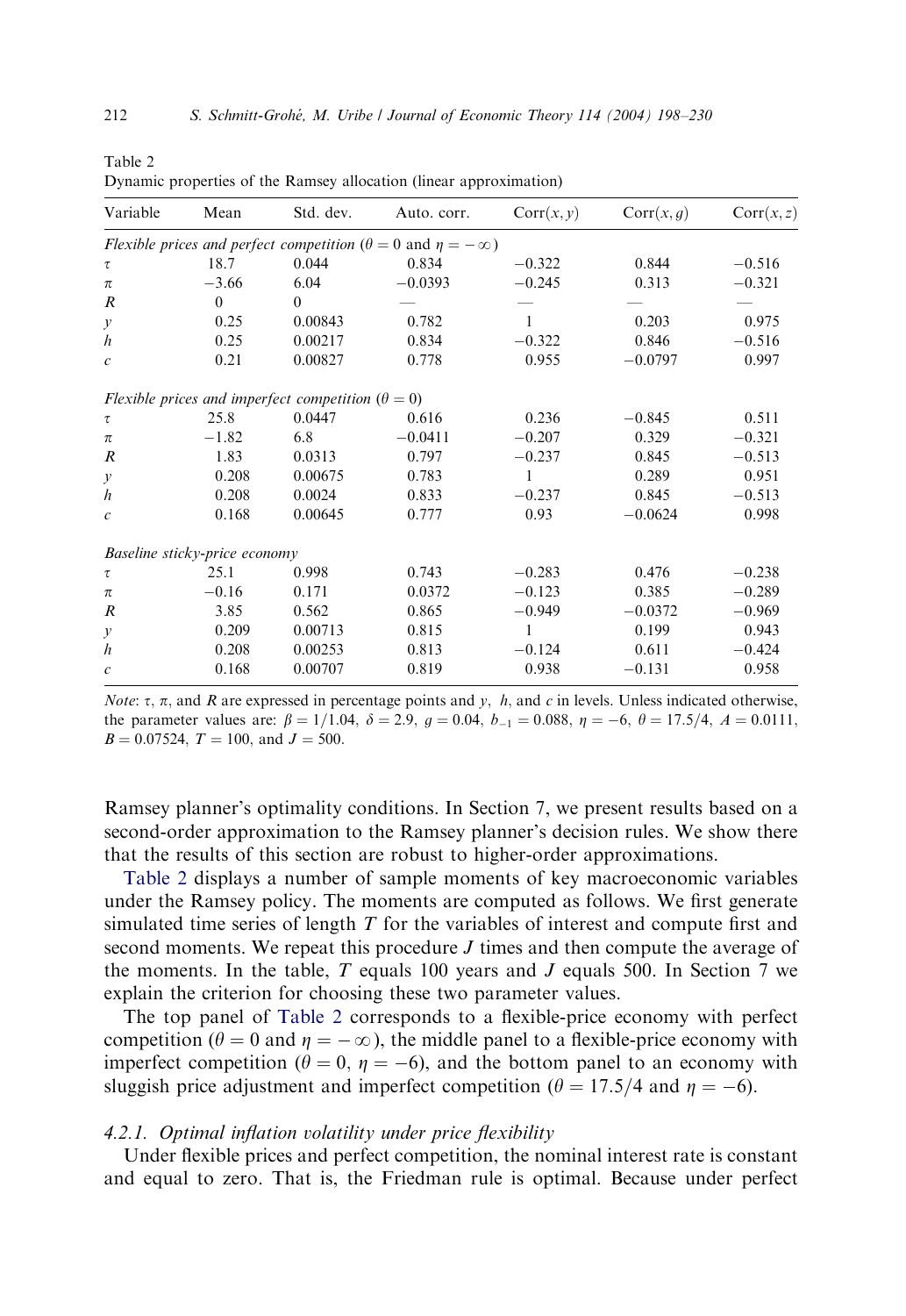| Variable          | Mean                          | Std. dev.                                                  | Auto. corr.                                                                          | Corr(x, y)   | Corr(x, g) | Corr(x, z) |
|-------------------|-------------------------------|------------------------------------------------------------|--------------------------------------------------------------------------------------|--------------|------------|------------|
|                   |                               |                                                            | <i>Flexible prices and perfect competition</i> ( $\theta = 0$ and $\eta = -\infty$ ) |              |            |            |
| $\tau$            | 18.7                          | 0.044                                                      | 0.834                                                                                | $-0.322$     | 0.844      | $-0.516$   |
| $\pi$             | $-3.66$                       | 6.04                                                       | $-0.0393$                                                                            | $-0.245$     | 0.313      | $-0.321$   |
| $\overline{R}$    | $\Omega$                      | $\Omega$                                                   |                                                                                      |              |            |            |
| $\mathcal{V}$     | 0.25                          | 0.00843                                                    | 0.782                                                                                | $\mathbf{1}$ | 0.203      | 0.975      |
| h                 | 0.25                          | 0.00217                                                    | 0.834                                                                                | $-0.322$     | 0.846      | $-0.516$   |
| $\mathcal{C}_{0}$ | 0.21                          | 0.00827                                                    | 0.778                                                                                | 0.955        | $-0.0797$  | 0.997      |
|                   |                               | Flexible prices and imperfect competition ( $\theta = 0$ ) |                                                                                      |              |            |            |
| $\tau$            | 25.8                          | 0.0447                                                     | 0.616                                                                                | 0.236        | $-0.845$   | 0.511      |
| $\pi$             | $-1.82$                       | 6.8                                                        | $-0.0411$                                                                            | $-0.207$     | 0.329      | $-0.321$   |
| $\boldsymbol{R}$  | 1.83                          | 0.0313                                                     | 0.797                                                                                | $-0.237$     | 0.845      | $-0.513$   |
| $\mathcal{V}$     | 0.208                         | 0.00675                                                    | 0.783                                                                                | 1            | 0.289      | 0.951      |
| $\boldsymbol{h}$  | 0.208                         | 0.0024                                                     | 0.833                                                                                | $-0.237$     | 0.845      | $-0.513$   |
| $\mathcal{C}_{0}$ | 0.168                         | 0.00645                                                    | 0.777                                                                                | 0.93         | $-0.0624$  | 0.998      |
|                   | Baseline sticky-price economy |                                                            |                                                                                      |              |            |            |
| $\tau$            | 25.1                          | 0.998                                                      | 0.743                                                                                | $-0.283$     | 0.476      | $-0.238$   |
| $\pi$             | $-0.16$                       | 0.171                                                      | 0.0372                                                                               | $-0.123$     | 0.385      | $-0.289$   |
| $\boldsymbol{R}$  | 3.85                          | 0.562                                                      | 0.865                                                                                | $-0.949$     | $-0.0372$  | $-0.969$   |
| $\mathcal{Y}$     | 0.209                         | 0.00713                                                    | 0.815                                                                                | 1            | 0.199      | 0.943      |
| h                 | 0.208                         | 0.00253                                                    | 0.813                                                                                | $-0.124$     | 0.611      | $-0.424$   |
| $\mathcal{C}_{0}$ | 0.168                         | 0.00707                                                    | 0.819                                                                                | 0.938        | $-0.131$   | 0.958      |

<span id="page-14-0"></span>Table 2 Dynamic properties of the Ramsey allocation (linear approximation)

*Note:*  $\tau$ ,  $\pi$ , and R are expressed in percentage points and y, h, and c in levels. Unless indicated otherwise, the parameter values are:  $\beta = 1/1.04$ ,  $\delta = 2.9$ ,  $g = 0.04$ ,  $b_{-1} = 0.088$ ,  $\eta = -6$ ,  $\theta = 17.5/4$ ,  $A = 0.0111$ ,  $B = 0.07524$ ,  $T = 100$ , and  $J = 500$ .

Ramsey planner's optimality conditions. In Section 7, we present results based on a second-order approximation to the Ramsey planner's decision rules. We show there that the results of this section are robust to higher-order approximations.

Table 2 displays a number of sample moments of key macroeconomic variables under the Ramsey policy. The moments are computed as follows. We first generate simulated time series of length  $T$  for the variables of interest and compute first and second moments. We repeat this procedure  $J$  times and then compute the average of the moments. In the table,  $T$  equals 100 years and  $J$  equals 500. In Section 7 we explain the criterion for choosing these two parameter values.

The top panel of Table 2 corresponds to a flexible-price economy with perfect competition ( $\theta = 0$  and  $\eta = -\infty$ ), the middle panel to a flexible-price economy with imperfect competition ( $\theta = 0$ ,  $\eta = -6$ ), and the bottom panel to an economy with sluggish price adjustment and imperfect competition ( $\theta = 17.5/4$  and  $\eta = -6$ ).

#### 4.2.1. Optimal inflation volatility under price flexibility

Under flexible prices and perfect competition, the nominal interest rate is constant and equal to zero. That is, the Friedman rule is optimal. Because under perfect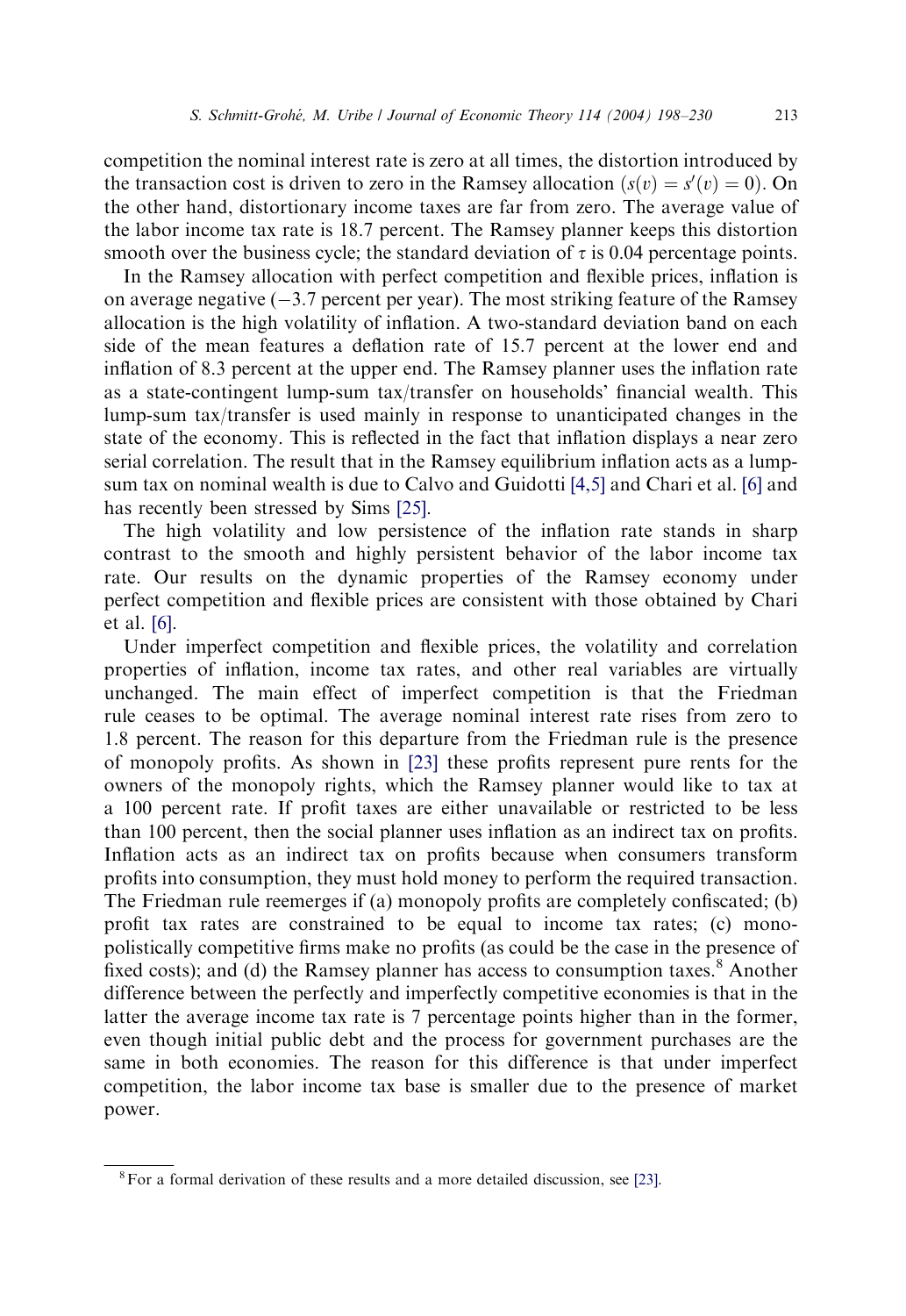competition the nominal interest rate is zero at all times, the distortion introduced by the transaction cost is driven to zero in the Ramsey allocation  $(s(v) = s'(v) = 0)$ . On the other hand, distortionary income taxes are far from zero. The average value of the labor income tax rate is 18.7 percent. The Ramsey planner keeps this distortion smooth over the business cycle; the standard deviation of  $\tau$  is 0.04 percentage points.

In the Ramsey allocation with perfect competition andflexible prices, inflation is on average negative  $(-3.7 \text{ percent per year})$ . The most striking feature of the Ramsey allocation is the high volatility of inflation. A two-standard deviation band on each side of the mean features a deflation rate of 15.7 percent at the lower end and inflation of 8.3 percent at the upper end. The Ramsey planner uses the inflation rate as a state-contingent lump-sum tax/transfer on households' financial wealth. This lump-sum tax/transfer is used mainly in response to unanticipated changes in the state of the economy. This is reflectedin the fact that inflation displays a near zero serial correlation. The result that in the Ramsey equilibrium inflation acts as a lumpsum tax on nominal wealth is due to Calvo and Guidotti [\[4,5\]](#page-31-0) andChari et al. [\[6\]](#page-31-0) and has recently been stressed by Sims [\[25\]](#page-32-0).

The high volatility and low persistence of the inflation rate stands in sharp contrast to the smooth and highly persistent behavior of the labor income tax rate. Our results on the dynamic properties of the Ramsey economy under perfect competition and flexible prices are consistent with those obtained by Chari et al. [\[6\].](#page-31-0)

Under imperfect competition and flexible prices, the volatility and correlation properties of inflation, income tax rates, andother real variables are virtually unchanged. The main effect of imperfect competition is that the Friedman rule ceases to be optimal. The average nominal interest rate rises from zero to 1.8 percent. The reason for this departure from the Friedman rule is the presence of monopoly profits. As shown in [\[23\]](#page-32-0) these profits represent pure rents for the owners of the monopoly rights, which the Ramsey planner would like to tax at a 100 percent rate. If profit taxes are either unavailable or restricted to be less than 100 percent, then the social planner uses inflation as an indirect tax on profits. Inflation acts as an indirect tax on profits because when consumers transform profits into consumption, they must hold money to perform the required transaction. The Friedman rule reemerges if (a) monopoly profits are completely confiscated; (b) profit tax rates are constrained to be equal to income tax rates; (c) monopolistically competitive firms make no profits (as could be the case in the presence of fixed costs); and (d) the Ramsey planner has access to consumption taxes. $8$  Another difference between the perfectly and imperfectly competitive economies is that in the latter the average income tax rate is 7 percentage points higher than in the former, even though initial public debt and the process for government purchases are the same in both economies. The reason for this difference is that under imperfect competition, the labor income tax base is smaller due to the presence of market power.

<sup>8</sup>For a formal derivation of these results and a more detailed discussion, see [\[23\]](#page-32-0).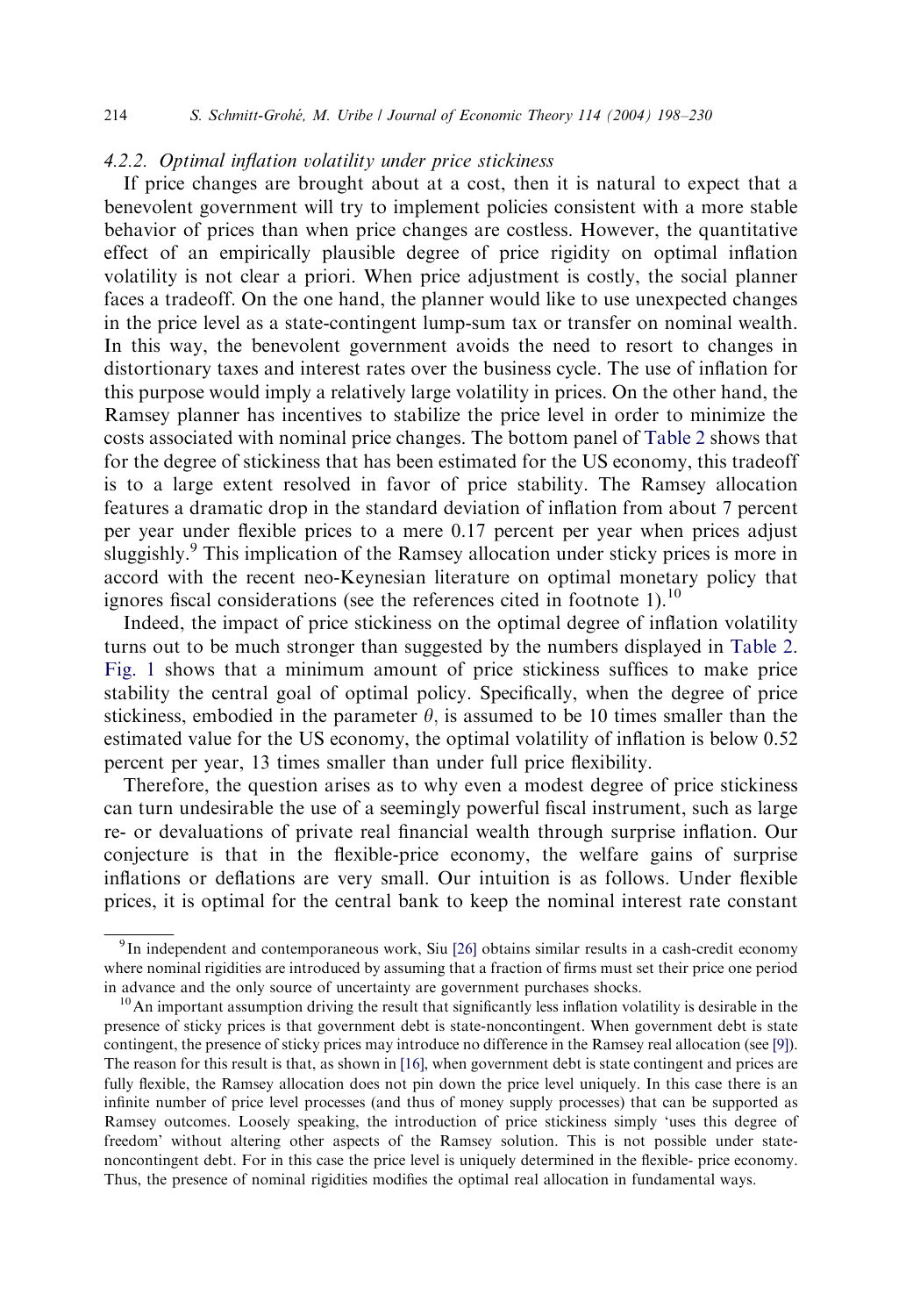#### 4.2.2. Optimal inflation volatility under price stickiness

If price changes are brought about at a cost, then it is natural to expect that a benevolent government will try to implement policies consistent with a more stable behavior of prices than when price changes are costless. However, the quantitative effect of an empirically plausible degree of price rigidity on optimal inflation volatility is not clear a priori. When price adjustment is costly, the social planner faces a tradeoff. On the one hand, the planner would like to use unexpected changes in the price level as a state-contingent lump-sum tax or transfer on nominal wealth. In this way, the benevolent government avoids the need to resort to changes in distortionary taxes and interest rates over the business cycle. The use of inflation for this purpose wouldimply a relatively large volatility in prices. On the other hand, the Ramsey planner has incentives to stabilize the price level in order to minimize the costs associatedwith nominal price changes. The bottom panel of [Table 2](#page-14-0) shows that for the degree of stickiness that has been estimated for the US economy, this tradeoff is to a large extent resolvedin favor of price stability. The Ramsey allocation features a dramatic drop in the standard deviation of inflation from about 7 percent per year under flexible prices to a mere 0.17 percent per year when prices adjust sluggishly.<sup>9</sup> This implication of the Ramsey allocation under sticky prices is more in accord with the recent neo-Keynesian literature on optimal monetary policy that ignores fiscal considerations (see the references cited in footnote 1).<sup>10</sup>

Indeed, the impact of price stickiness on the optimal degree of inflation volatility turns out to be much stronger than suggested by the numbers displayed in [Table 2.](#page-14-0) [Fig. 1](#page-17-0) shows that a minimum amount of price stickiness suffices to make price stability the central goal of optimal policy. Specifically, when the degree of price stickiness, embodied in the parameter  $\theta$ , is assumed to be 10 times smaller than the estimated value for the US economy, the optimal volatility of inflation is below 0.52 percent per year, 13 times smaller than under full price flexibility.

Therefore, the question arises as to why even a modest degree of price stickiness can turn undesirable the use of a seemingly powerful fiscal instrument, such as large re- or devaluations of private real financial wealth through surprise inflation. Our conjecture is that in the flexible-price economy, the welfare gains of surprise inflations or deflations are very small. Our intuition is as follows. Under flexible prices, it is optimal for the central bank to keep the nominal interest rate constant

 $9<sup>9</sup>$ In independent and contemporaneous work, Siu [\[26\]](#page-32-0) obtains similar results in a cash-credit economy where nominal rigidities are introduced by assuming that a fraction of firms must set their price one period in advance and the only source of uncertainty are government purchases shocks.<br><sup>10</sup>An important assumption driving the result that significantly less inflation volatility is desirable in the

presence of sticky prices is that government debt is state-noncontingent. When government debt is state contingent, the presence of sticky prices may introduce no difference in the Ramsey real allocation (see [\[9\]\)](#page-32-0). The reason for this result is that, as shown in [\[16\]](#page-32-0), when government debt is state contingent and prices are fully flexible, the Ramsey allocation does not pin down the price level uniquely. In this case there is an infinite number of price level processes (and thus of money supply processes) that can be supported as Ramsey outcomes. Loosely speaking, the introduction of price stickiness simply 'uses this degree of freedom' without altering other aspects of the Ramsey solution. This is not possible under statenoncontingent debt. For in this case the price level is uniquely determined in the flexible- price economy. Thus, the presence of nominal rigidities modifies the optimal real allocation in fundamental ways.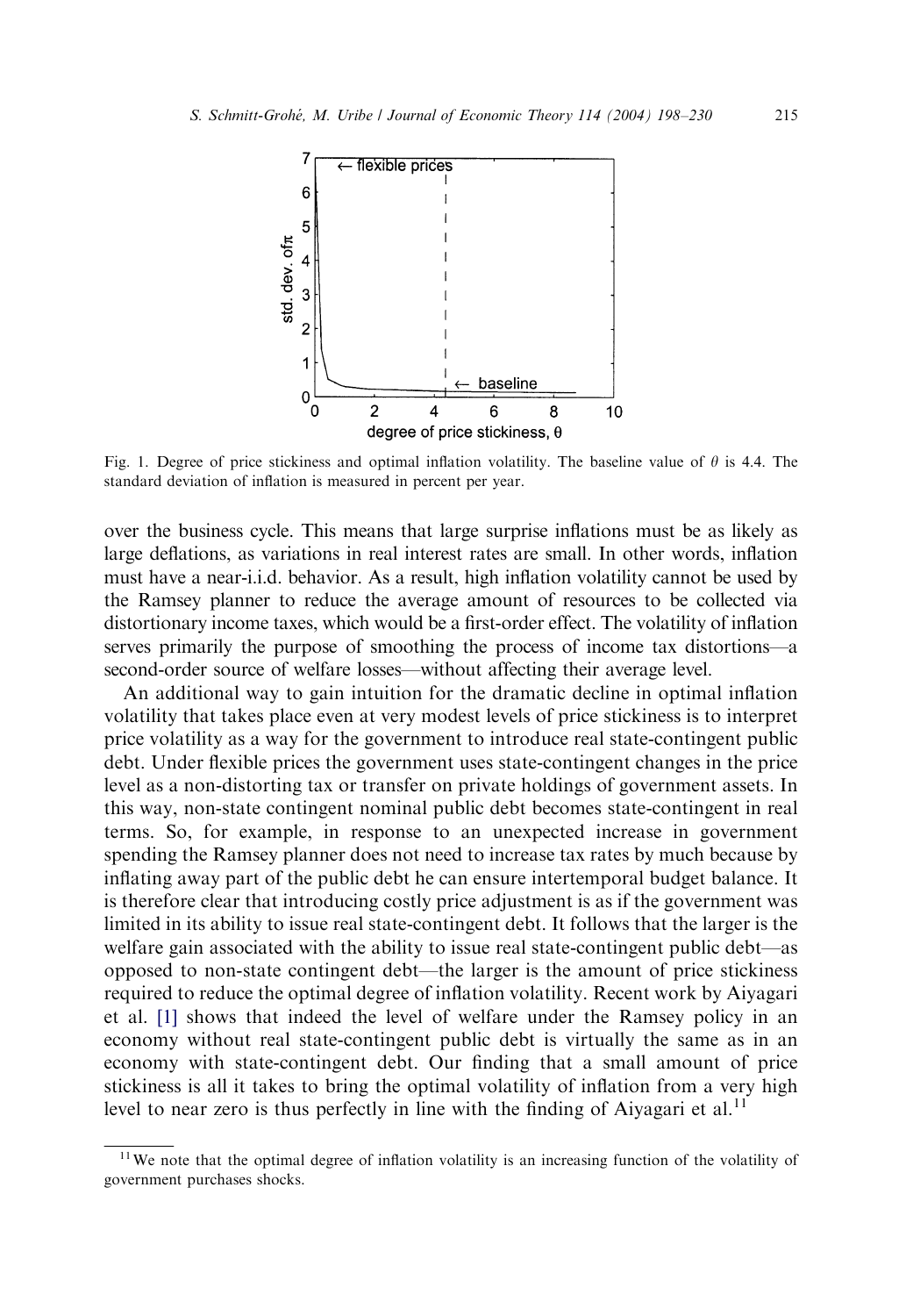<span id="page-17-0"></span>

Fig. 1. Degree of price stickiness and optimal inflation volatility. The baseline value of  $\theta$  is 4.4. The standard deviation of inflation is measured in percent per year.

over the business cycle. This means that large surprise inflations must be as likely as large deflations, as variations in real interest rates are small. In other words, inflation must have a near-i.i.d. behavior. As a result, high inflation volatility cannot be used by the Ramsey planner to reduce the average amount of resources to be collected via distortionary income taxes, which would be a first-order effect. The volatility of inflation serves primarily the purpose of smoothing the process of income tax distortions—a second-order source of welfare losses—without affecting their average level.

An additional way to gain intuition for the dramatic decline in optimal inflation volatility that takes place even at very modest levels of price stickiness is to interpret price volatility as a way for the government to introduce real state-contingent public debt. Under flexible prices the government uses state-contingent changes in the price level as a non-distorting tax or transfer on private holdings of government assets. In this way, non-state contingent nominal public debt becomes state-contingent in real terms. So, for example, in response to an unexpectedincrease in government spending the Ramsey planner does not need to increase tax rates by much because by inflating away part of the public debt he can ensure intertemporal budget balance. It is therefore clear that introducing costly price adjustment is as if the government was limited in its ability to issue real state-contingent debt. It follows that the larger is the welfare gain associated with the ability to issue real state-contingent public debt—as opposedto non-state contingent debt—the larger is the amount of price stickiness required to reduce the optimal degree of inflation volatility. Recent work by Aiyagari et al. [\[1\]](#page-31-0) shows that indeed the level of welfare under the Ramsey policy in an economy without real state-contingent public debt is virtually the same as in an economy with state-contingent debt. Our finding that a small amount of price stickiness is all it takes to bring the optimal volatility of inflation from a very high level to near zero is thus perfectly in line with the finding of Aiyagari et al.<sup>11</sup>

<sup>&</sup>lt;sup>11</sup>We note that the optimal degree of inflation volatility is an increasing function of the volatility of government purchases shocks.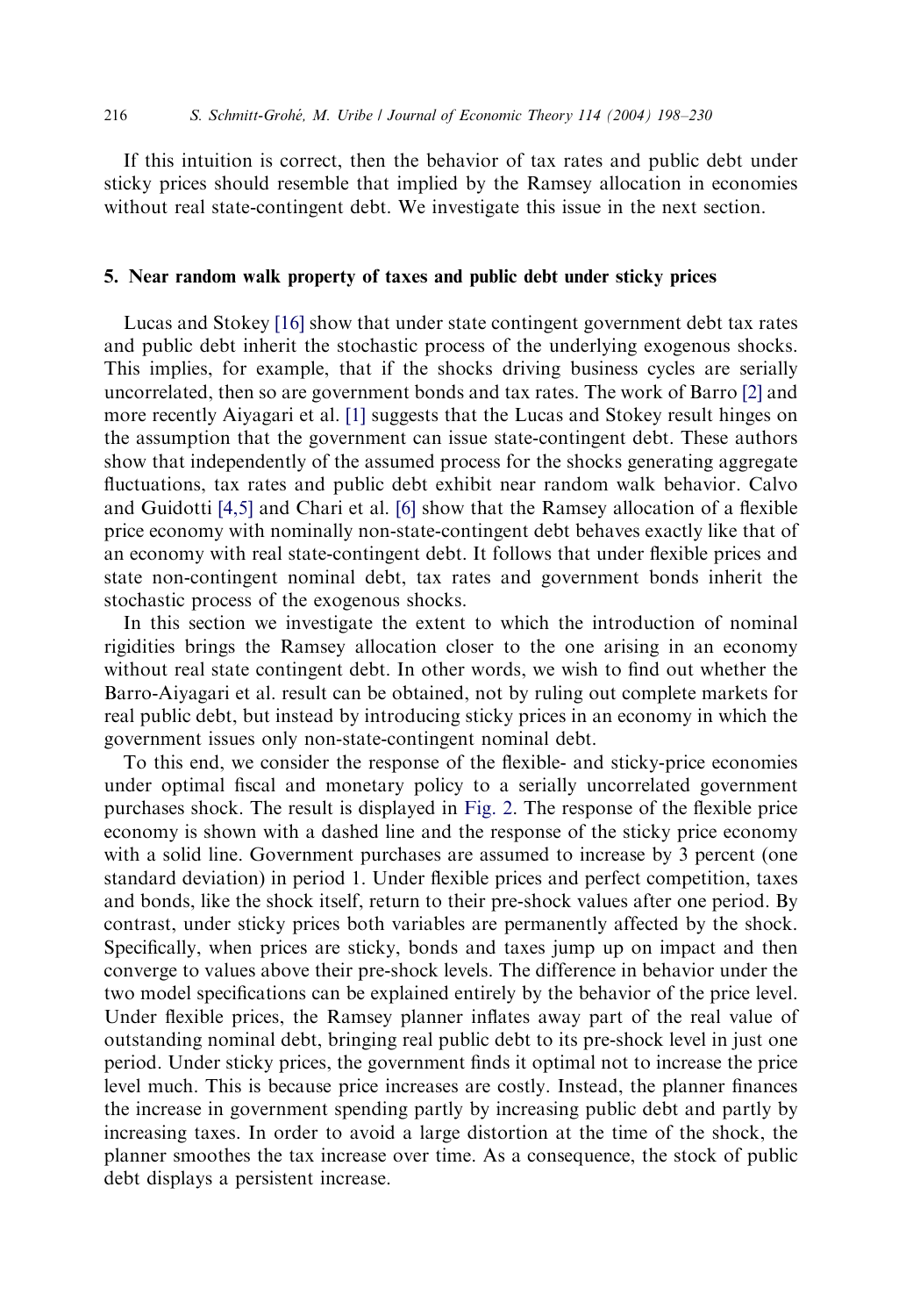If this intuition is correct, then the behavior of tax rates and public debt under sticky prices should resemble that implied by the Ramsey allocation in economies without real state-contingent debt. We investigate this issue in the next section.

# 5. Near random walk property of taxes and public debt under sticky prices

Lucas and Stokey [\[16\]](#page-32-0) show that under state contingent government debt tax rates and public debt inherit the stochastic process of the underlying exogenous shocks. This implies, for example, that if the shocks driving business cycles are serially uncorrelated, then so are government bonds and tax rates. The work of Barro [\[2\]](#page-31-0) and more recently Aiyagari et al. [\[1\]](#page-31-0) suggests that the Lucas and Stokey result hinges on the assumption that the government can issue state-contingent debt. These authors show that independently of the assumed process for the shocks generating aggregate fluctuations, tax rates and public debt exhibit near random walk behavior. Calvo and Guidotti  $[4,5]$  and Chari et al.  $[6]$  show that the Ramsey allocation of a flexible price economy with nominally non-state-contingent debt behaves exactly like that of an economy with real state-contingent debt. It follows that under flexible prices and state non-contingent nominal debt, tax rates and government bonds inherit the stochastic process of the exogenous shocks.

In this section we investigate the extent to which the introduction of nominal rigidities brings the Ramsey allocation closer to the one arising in an economy without real state contingent debt. In other words, we wish to find out whether the Barro-Aiyagari et al. result can be obtained, not by ruling out complete markets for real public debt, but instead by introducing sticky prices in an economy in which the government issues only non-state-contingent nominal debt.

To this end, we consider the response of the flexible- and sticky-price economies under optimal fiscal and monetary policy to a serially uncorrelated government purchases shock. The result is displayed in [Fig. 2.](#page-19-0) The response of the flexible price economy is shown with a dashed line and the response of the sticky price economy with a solid line. Government purchases are assumed to increase by 3 percent (one standard deviation) in period 1. Under flexible prices and perfect competition, taxes and bonds, like the shock itself, return to their pre-shock values after one period. By contrast, under sticky prices both variables are permanently affected by the shock. Specifically, when prices are sticky, bonds and taxes jump up on impact and then converge to values above their pre-shock levels. The difference in behavior under the two model specifications can be explained entirely by the behavior of the price level. Under flexible prices, the Ramsey planner inflates away part of the real value of outstanding nominal debt, bringing real public debt to its pre-shock level in just one period. Under sticky prices, the government finds it optimal not to increase the price level much. This is because price increases are costly. Instead, the planner finances the increase in government spending partly by increasing public debt and partly by increasing taxes. In order to avoid a large distortion at the time of the shock, the planner smoothes the tax increase over time. As a consequence, the stock of public debt displays a persistent increase.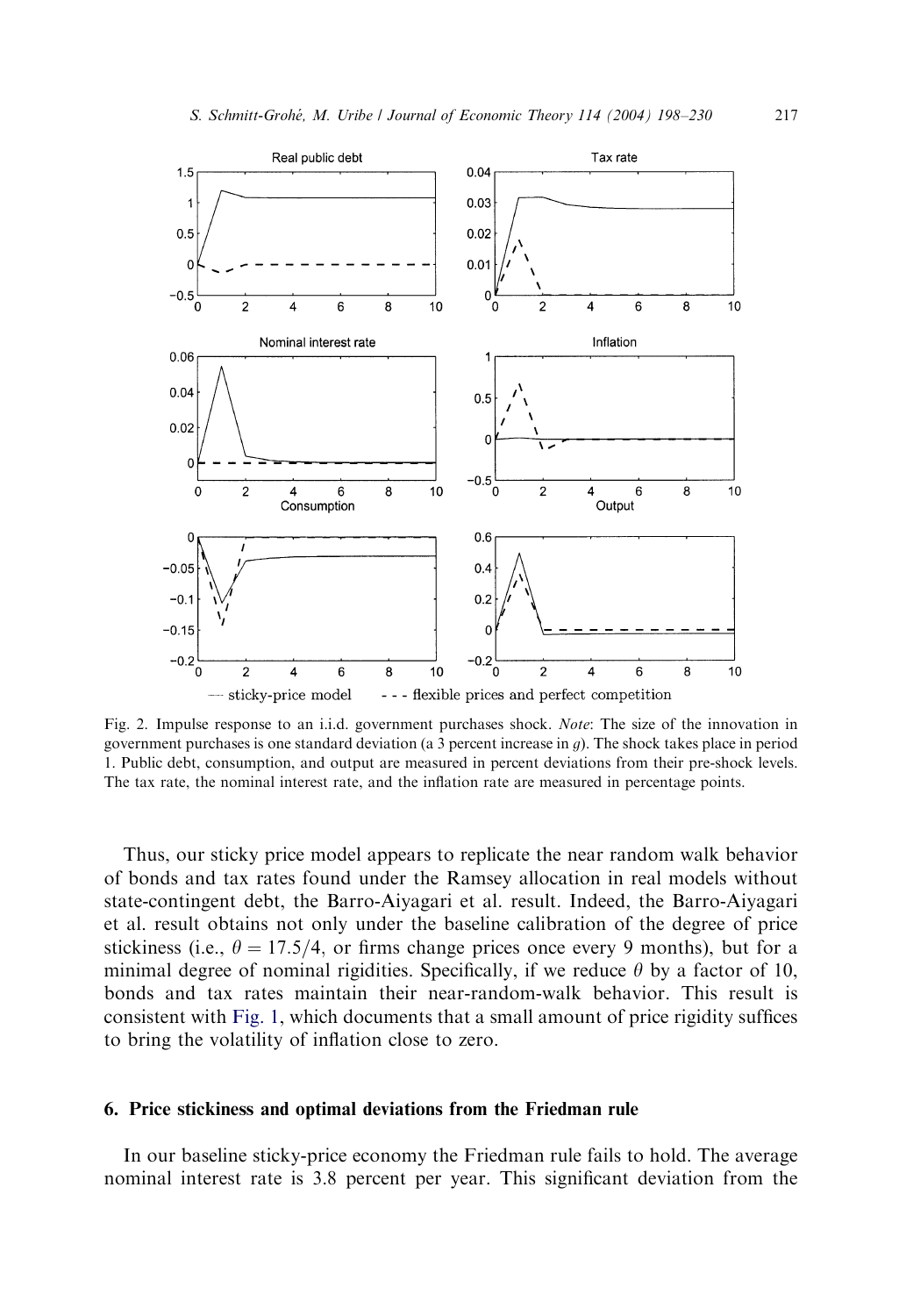<span id="page-19-0"></span>

Fig. 2. Impulse response to an i.i.d. government purchases shock. Note: The size of the innovation in government purchases is one standard deviation (a 3 percent increase in q). The shock takes place in period 1. Public debt, consumption, and output are measured in percent deviations from their pre-shock levels. The tax rate, the nominal interest rate, and the inflation rate are measured in percentage points.

Thus, our sticky price model appears to replicate the near random walk behavior of bonds and tax rates found under the Ramsey allocation in real models without state-contingent debt, the Barro-Aiyagari et al. result. Indeed, the Barro-Aiyagari et al. result obtains not only under the baseline calibration of the degree of price stickiness (i.e.,  $\theta = 17.5/4$ , or firms change prices once every 9 months), but for a minimal degree of nominal rigidities. Specifically, if we reduce  $\theta$  by a factor of 10, bonds and tax rates maintain their near-random-walk behavior. This result is consistent with [Fig. 1](#page-17-0), which documents that a small amount of price rigidity suffices to bring the volatility of inflation close to zero.

#### 6. Price stickiness and optimal deviations from the Friedman rule

In our baseline sticky-price economy the Friedman rule fails to hold. The average nominal interest rate is 3.8 percent per year. This significant deviation from the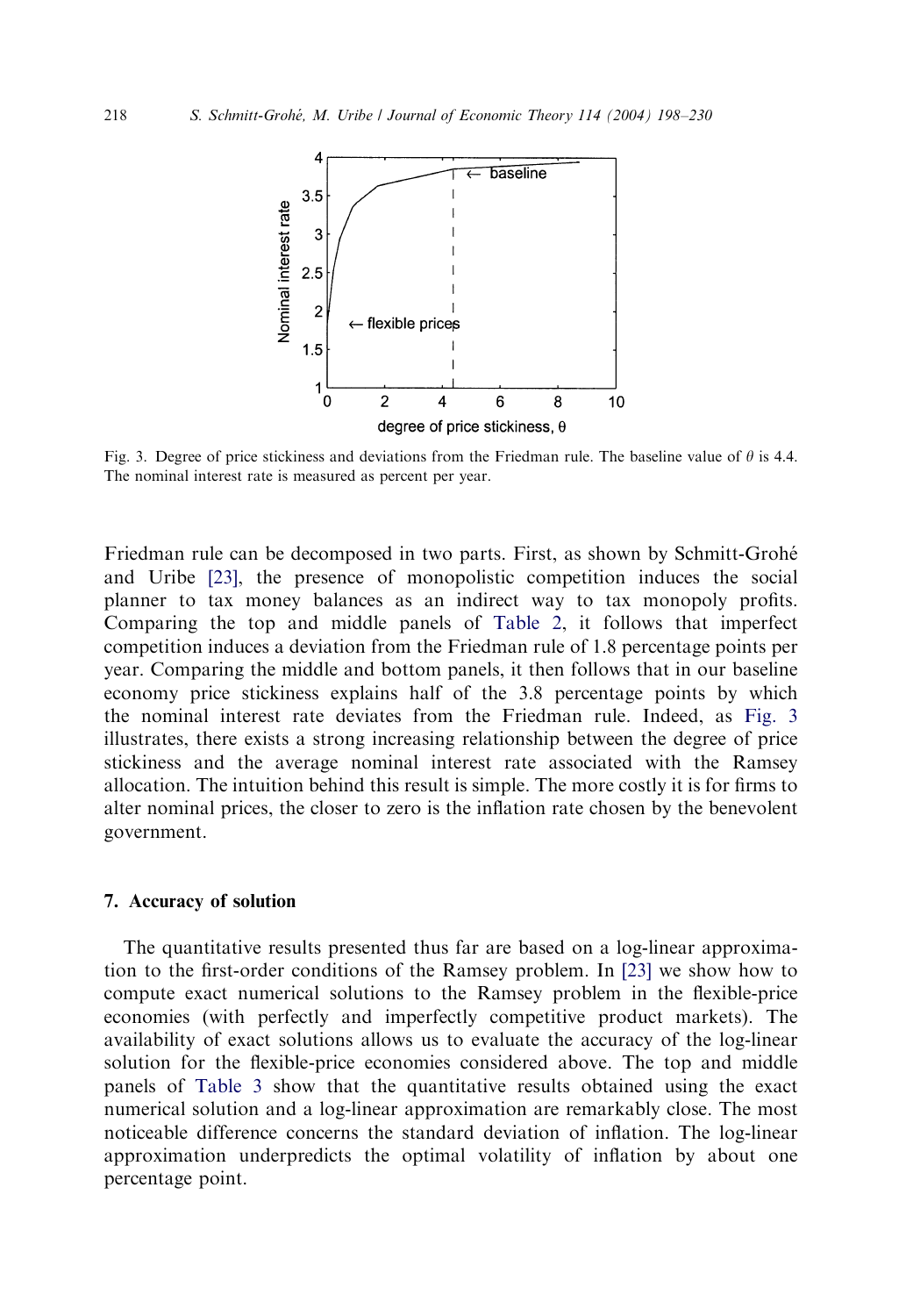

Fig. 3. Degree of price stickiness and deviations from the Friedman rule. The baseline value of  $\theta$  is 4.4. The nominal interest rate is measured as percent per year.

Friedman rule can be decomposed in two parts. First, as shown by Schmitt-Grohe´ and Uribe [\[23\]](#page-32-0), the presence of monopolistic competition induces the social planner to tax money balances as an indirect way to tax monopoly profits. Comparing the top and middle panels of [Table 2](#page-14-0), it follows that imperfect competition induces a deviation from the Friedman rule of 1.8 percentage points per year. Comparing the middle and bottom panels, it then follows that in our baseline economy price stickiness explains half of the 3.8 percentage points by which the nominal interest rate deviates from the Friedman rule. Indeed, as Fig. 3 illustrates, there exists a strong increasing relationship between the degree of price stickiness and the average nominal interest rate associated with the Ramsey allocation. The intuition behind this result is simple. The more costly it is for firms to alter nominal prices, the closer to zero is the inflation rate chosen by the benevolent government.

## 7. Accuracy of solution

The quantitative results presented thus far are based on a log-linear approximation to the first-order conditions of the Ramsey problem. In [\[23\]](#page-32-0) we show how to compute exact numerical solutions to the Ramsey problem in the flexible-price economies (with perfectly andimperfectly competitive product markets). The availability of exact solutions allows us to evaluate the accuracy of the log-linear solution for the flexible-price economies considered above. The top and middle panels of [Table 3](#page-21-0) show that the quantitative results obtained using the exact numerical solution anda log-linear approximation are remarkably close. The most noticeable difference concerns the standard deviation of inflation. The log-linear approximation underpredicts the optimal volatility of inflation by about one percentage point.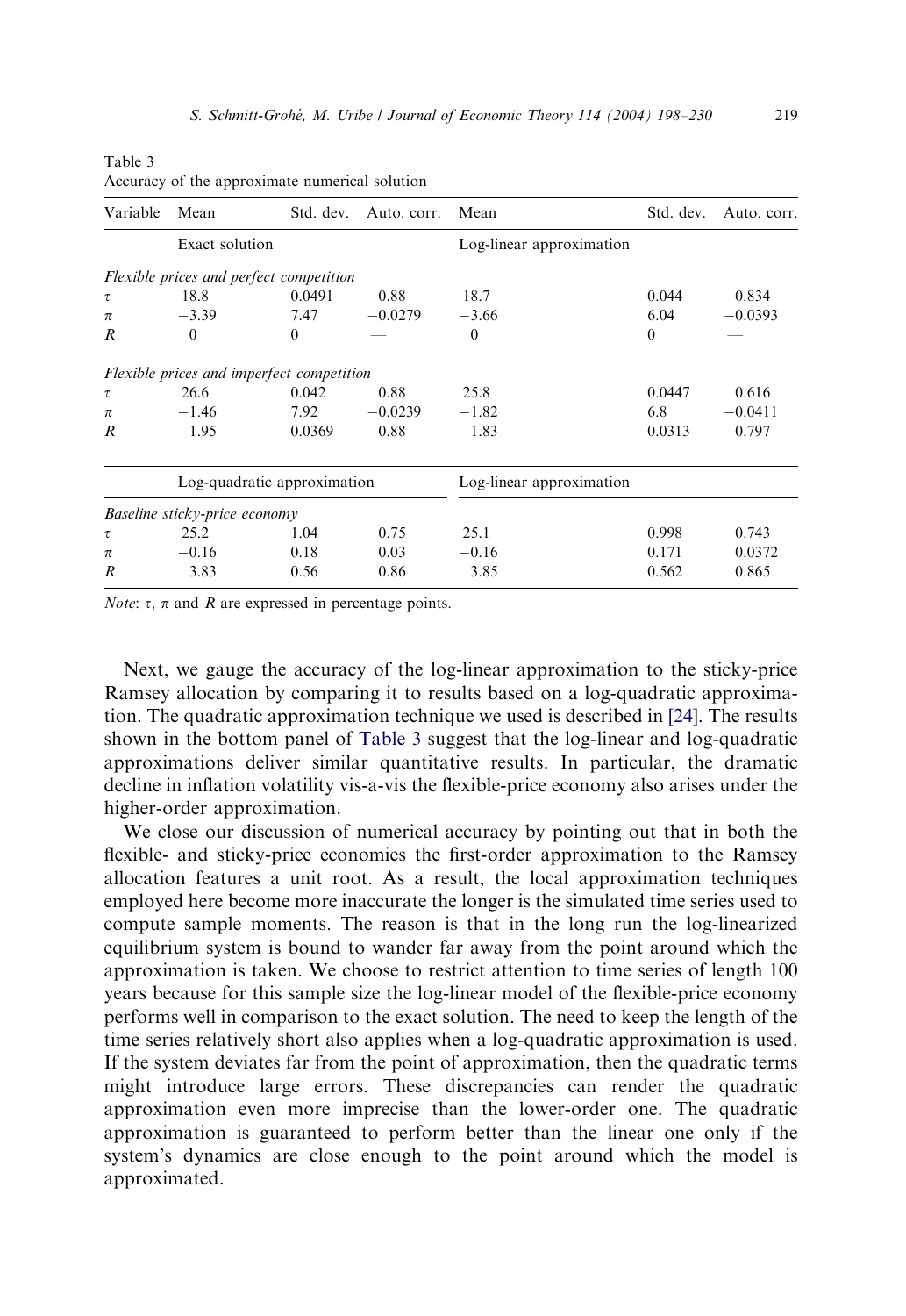| Variable         | Mean                                      | Std. dev. | Auto, corr. | Mean                     | Std. dev. | Auto, corr. |
|------------------|-------------------------------------------|-----------|-------------|--------------------------|-----------|-------------|
|                  | Exact solution                            |           |             | Log-linear approximation |           |             |
|                  | Flexible prices and perfect competition   |           |             |                          |           |             |
| $\tau$           | 18.8                                      | 0.0491    | 0.88        | 18.7                     | 0.044     | 0.834       |
| $\pi$            | $-3.39$                                   | 7.47      | $-0.0279$   | $-3.66$                  | 6.04      | $-0.0393$   |
| $\boldsymbol{R}$ | $\Omega$                                  | $\theta$  |             | $\Omega$                 | $\Omega$  |             |
|                  | Flexible prices and imperfect competition |           |             |                          |           |             |
| τ                | 26.6                                      | 0.042     | 0.88        | 25.8                     | 0.0447    | 0.616       |
| $\pi$            | $-1.46$                                   | 7.92      | $-0.0239$   | $-1.82$                  | 6.8       | $-0.0411$   |
| R                | 1.95                                      | 0.0369    | 0.88        | 1.83                     | 0.0313    | 0.797       |
|                  | Log-quadratic approximation               |           |             | Log-linear approximation |           |             |
|                  | Baseline sticky-price economy             |           |             |                          |           |             |
| $\tau$           | 25.2                                      | 1.04      | 0.75        | 25.1                     | 0.998     | 0.743       |
| $\pi$            | $-0.16$                                   | 0.18      | 0.03        | $-0.16$                  | 0.171     | 0.0372      |
| R                | 3.83                                      | 0.56      | 0.86        | 3.85                     | 0.562     | 0.865       |

<span id="page-21-0"></span>Table 3 Accuracy of the approximate numerical solution

*Note:*  $\tau$ ,  $\pi$  and  $R$  are expressed in percentage points.

Next, we gauge the accuracy of the log-linear approximation to the sticky-price Ramsey allocation by comparing it to results based on a log-quadratic approximation. The quadratic approximation technique we used is described in [\[24\].](#page-32-0) The results shown in the bottom panel of Table 3 suggest that the log-linear and log-quadratic approximations deliver similar quantitative results. In particular, the dramatic decline in inflation volatility vis-a-vis the flexible-price economy also arises under the higher-order approximation.

We close our discussion of numerical accuracy by pointing out that in both the flexible- and sticky-price economies the first-order approximation to the Ramsey allocation features a unit root. As a result, the local approximation techniques employed here become more inaccurate the longer is the simulated time series used to compute sample moments. The reason is that in the long run the log-linearized equilibrium system is bound to wander far away from the point around which the approximation is taken. We choose to restrict attention to time series of length 100 years because for this sample size the log-linear model of the flexible-price economy performs well in comparison to the exact solution. The need to keep the length of the time series relatively short also applies when a log-quadratic approximation is used. If the system deviates far from the point of approximation, then the quadratic terms might introduce large errors. These discrepancies can render the quadratic approximation even more imprecise than the lower-order one. The quadratic approximation is guaranteed to perform better than the linear one only if the system's dynamics are close enough to the point around which the model is approximated.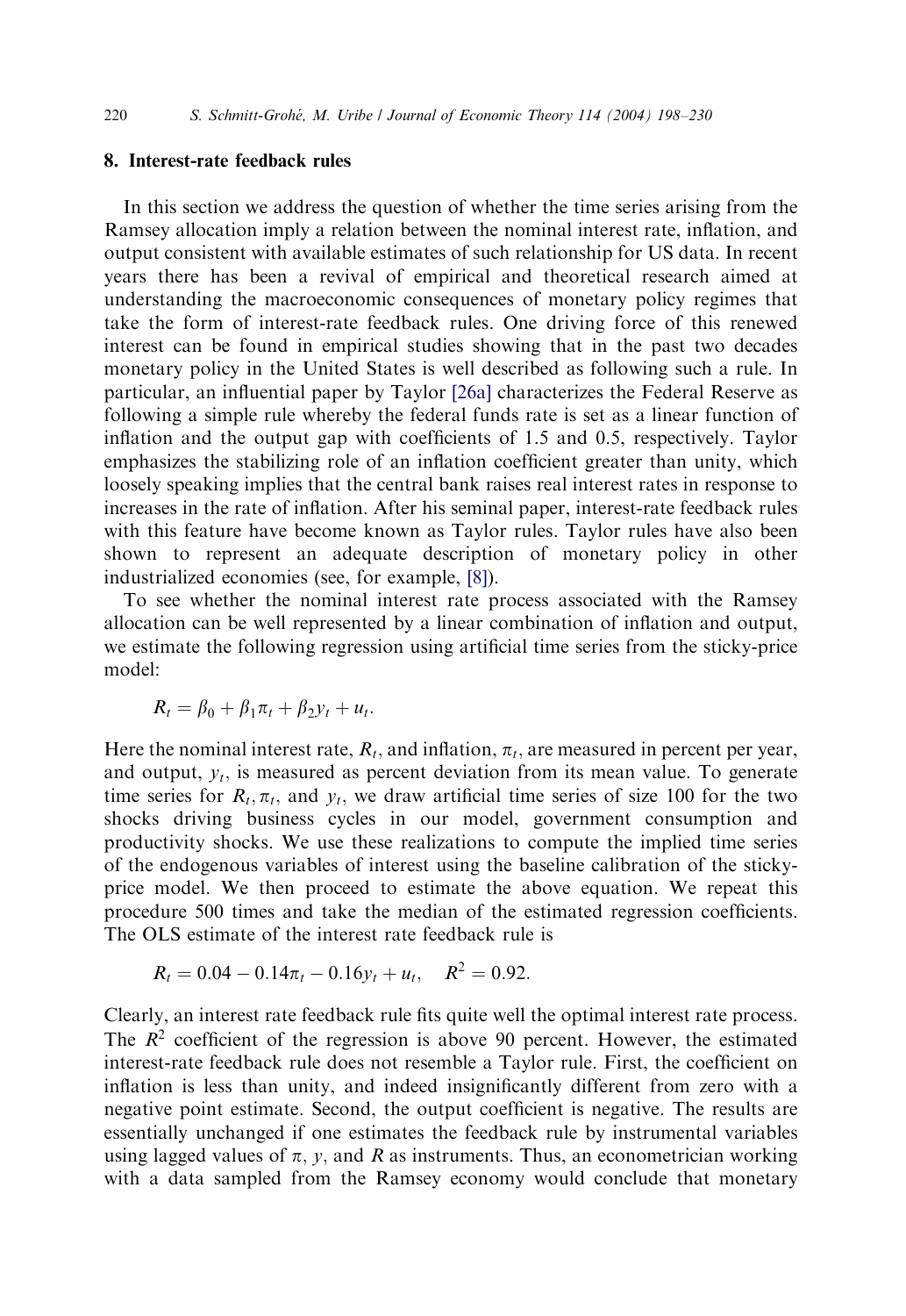# 8. Interest-rate feedback rules

In this section we address the question of whether the time series arising from the Ramsey allocation imply a relation between the nominal interest rate, inflation, and output consistent with available estimates of such relationship for US data. In recent years there has been a revival of empirical and theoretical research aimed at understanding the macroeconomic consequences of monetary policy regimes that take the form of interest-rate feedback rules. One driving force of this renewed interest can be found in empirical studies showing that in the past two decades monetary policy in the United States is well described as following such a rule. In particular, an influential paper by Taylor [\[26a\]](#page-32-0) characterizes the Federal Reserve as following a simple rule whereby the federal funds rate is set as a linear function of inflation and the output gap with coefficients of 1.5 and 0.5, respectively. Taylor emphasizes the stabilizing role of an inflation coefficient greater than unity, which loosely speaking implies that the central bank raises real interest rates in response to increases in the rate of inflation. After his seminal paper, interest-rate feedback rules with this feature have become known as Taylor rules. Taylor rules have also been shown to represent an adequate description of monetary policy in other industrialized economies (see, for example, [\[8\]\)](#page-32-0).

To see whether the nominal interest rate process associatedwith the Ramsey allocation can be well represented by a linear combination of inflation and output, we estimate the following regression using artificial time series from the sticky-price model:

$$
R_t = \beta_0 + \beta_1 \pi_t + \beta_2 y_t + u_t.
$$

Here the nominal interest rate,  $R_t$ , and inflation,  $\pi_t$ , are measured in percent per year, and output,  $y_t$ , is measured as percent deviation from its mean value. To generate time series for  $R_t$ ,  $\pi_t$ , and  $y_t$ , we draw artificial time series of size 100 for the two shocks driving business cycles in our model, government consumption and productivity shocks. We use these realizations to compute the implied time series of the endogenous variables of interest using the baseline calibration of the stickyprice model. We then proceed to estimate the above equation. We repeat this procedure 500 times and take the median of the estimated regression coefficients. The OLS estimate of the interest rate feedback rule is

$$
R_t = 0.04 - 0.14\pi_t - 0.16y_t + u_t, \quad R^2 = 0.92.
$$

Clearly, an interest rate feedback rule fits quite well the optimal interest rate process. The  $R<sup>2</sup>$  coefficient of the regression is above 90 percent. However, the estimated interest-rate feedback rule does not resemble a Taylor rule. First, the coefficient on inflation is less than unity, and indeed insignificantly different from zero with a negative point estimate. Second, the output coefficient is negative. The results are essentially unchanged if one estimates the feedback rule by instrumental variables using lagged values of  $\pi$ ,  $\nu$ , and R as instruments. Thus, an econometrician working with a data sampled from the Ramsey economy would conclude that monetary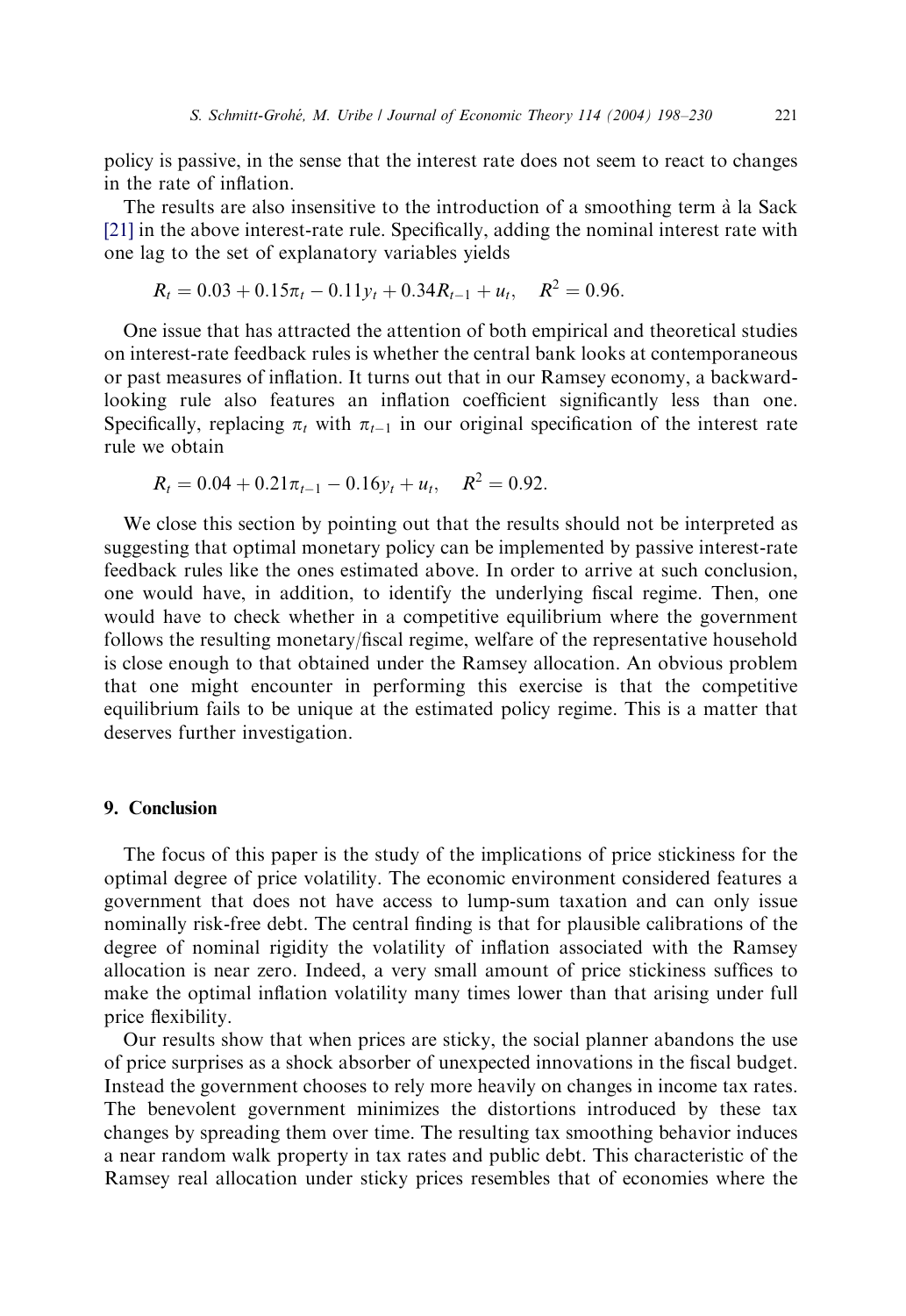policy is passive, in the sense that the interest rate does not seem to react to changes in the rate of inflation.

The results are also insensitive to the introduction of a smoothing term a la Sack [\[21\]](#page-32-0) in the above interest-rate rule. Specifically, adding the nominal interest rate with one lag to the set of explanatory variables yields

$$
R_t = 0.03 + 0.15\pi_t - 0.11y_t + 0.34R_{t-1} + u_t, \quad R^2 = 0.96.
$$

One issue that has attracted the attention of both empirical and theoretical studies on interest-rate feedback rules is whether the central bank looks at contemporaneous or past measures of inflation. It turns out that in our Ramsey economy, a backwardlooking rule also features an inflation coefficient significantly less than one. Specifically, replacing  $\pi_t$  with  $\pi_{t-1}$  in our original specification of the interest rate rule we obtain

$$
R_t = 0.04 + 0.21\pi_{t-1} - 0.16y_t + u_t, \quad R^2 = 0.92.
$$

We close this section by pointing out that the results should not be interpreted as suggesting that optimal monetary policy can be implemented by passive interest-rate feedback rules like the ones estimated above. In order to arrive at such conclusion, one would have, in addition, to identify the underlying fiscal regime. Then, one would have to check whether in a competitive equilibrium where the government follows the resulting monetary/fiscal regime, welfare of the representative household is close enough to that obtained under the Ramsey allocation. An obvious problem that one might encounter in performing this exercise is that the competitive equilibrium fails to be unique at the estimated policy regime. This is a matter that deserves further investigation.

# 9. Conclusion

The focus of this paper is the study of the implications of price stickiness for the optimal degree of price volatility. The economic environment considered features a government that does not have access to lump-sum taxation and can only issue nominally risk-free debt. The central finding is that for plausible calibrations of the degree of nominal rigidity the volatility of inflation associated with the Ramsey allocation is near zero. Indeed, a very small amount of price stickiness suffices to make the optimal inflation volatility many times lower than that arising under full price flexibility.

Our results show that when prices are sticky, the social planner abandons the use of price surprises as a shock absorber of unexpectedinnovations in the fiscal budget. Instead the government chooses to rely more heavily on changes in income tax rates. The benevolent government minimizes the distortions introduced by these tax changes by spreading them over time. The resulting tax smoothing behavior induces a near random walk property in tax rates and public debt. This characteristic of the Ramsey real allocation under sticky prices resembles that of economies where the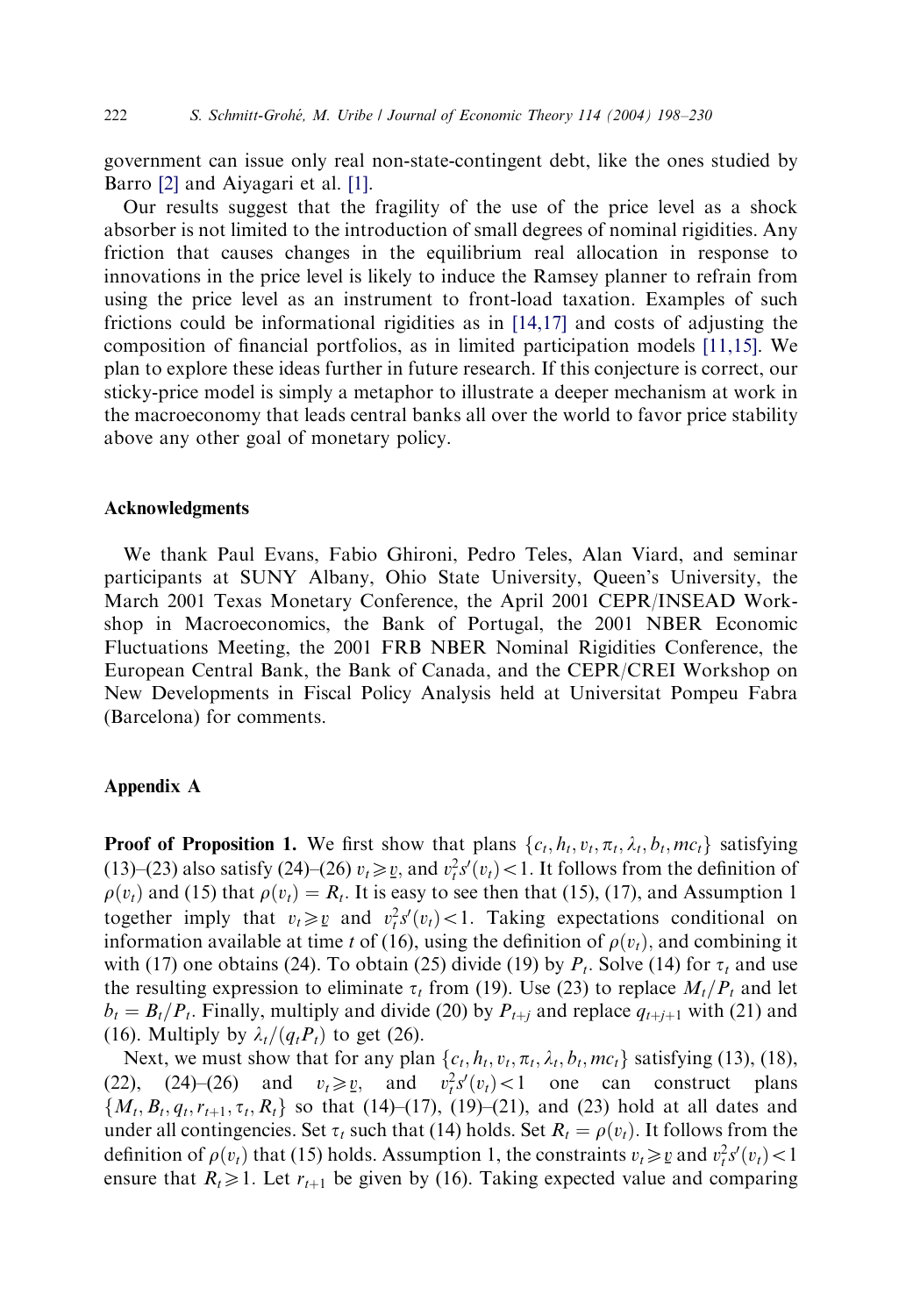government can issue only real non-state-contingent debt, like the ones studied by Barro [\[2\]](#page-31-0) and Aiyagari et al. [\[1\]](#page-31-0).

Our results suggest that the fragility of the use of the price level as a shock absorber is not limited to the introduction of small degrees of nominal rigidities. Any friction that causes changes in the equilibrium real allocation in response to innovations in the price level is likely to induce the Ramsey planner to refrain from using the price level as an instrument to front-load taxation. Examples of such frictions could be informational rigidities as in  $[14,17]$  and costs of adjusting the composition of financial portfolios, as in limited participation models  $[11,15]$ . We plan to explore these ideas further in future research. If this conjecture is correct, our sticky-price model is simply a metaphor to illustrate a deeper mechanism at work in the macroeconomy that leads central banks all over the world to favor price stability above any other goal of monetary policy.

#### Acknowledgments

We thank Paul Evans, Fabio Ghironi, Pedro Teles, Alan Viard, and seminar participants at SUNY Albany, Ohio State University, Queen's University, the March 2001 Texas Monetary Conference, the April 2001 CEPR/INSEAD Workshop in Macroeconomics, the Bank of Portugal, the 2001 NBER Economic Fluctuations Meeting, the 2001 FRB NBER Nominal Rigidities Conference, the European Central Bank, the Bank of Canada, and the CEPR/CREI Workshop on New Developments in Fiscal Policy Analysis heldat Universitat Pompeu Fabra (Barcelona) for comments.

# Appendix A

**Proof of Proposition 1.** We first show that plans  $\{c_t, h_t, v_t, \pi_t, \lambda_t, b_t, mc_t\}$  satisfying (13)–(23) also satisfy (24)–(26)  $v_t \ge v_t$ , and  $v_t^2 s'(v_t) < 1$ . It follows from the definition of  $g(x)$  and (15) that  $g(x) = R$ . It is easy to see then that (15)–(17) and Assumption 1  $\rho(v_t)$  and (15) that  $\rho(v_t) = R_t$ . It is easy to see then that (15), (17), and Assumption 1 together imply that  $v_t \geq v$  and  $v_t^2 s'(v_t) < 1$ . Taking expectations conditional on<br>information available at time t of (16) using the definition of  $g(x)$  and combining it information available at time t of (16), using the definition of  $\rho(v_t)$ , and combining it with (17) one obtains (24). To obtain (25) divide (19) by  $P_t$ . Solve (14) for  $\tau_t$  and use the resulting expression to eliminate  $\tau_t$  from (19). Use (23) to replace  $M_t/P_t$  and let  $b_t = B_t/P_t$ . Finally, multiply and divide (20) by  $P_{t+j}$  and replace  $q_{t+j+1}$  with (21) and (16). Multiply by  $\lambda_t/(q_tP_t)$  to get (26).

Next, we must show that for any plan  $\{c_t, h_t, v_t, \pi_t, \lambda_t, b_t, mc_t\}$  satisfying (13), (18), (22), (24)–(26) and  $v_t \ge v$ , and  $v_t^2 s'(v_t) < 1$  one can construct plans  ${M_t, B_t, q_t, r_{t+1}, \tau_t, R_t}$  so that (14)–(17), (19)–(21), and (23) hold at all dates and under all contingencies. Set  $\tau_t$  such that (14) holds. Set  $R_t = \rho(v_t)$ . It follows from the definition of  $\rho(v_t)$  that (15) holds. Assumption 1, the constraints  $v_t \geq v$  and  $v_t^2 s'(v_t) < 1$ <br>ensure that  $R > 1$ . Let  $r_{\text{min}}$  be given by (16). Taking expected value and comparing ensure that  $R_t \geq 1$ . Let  $r_{t+1}$  be given by (16). Taking expected value and comparing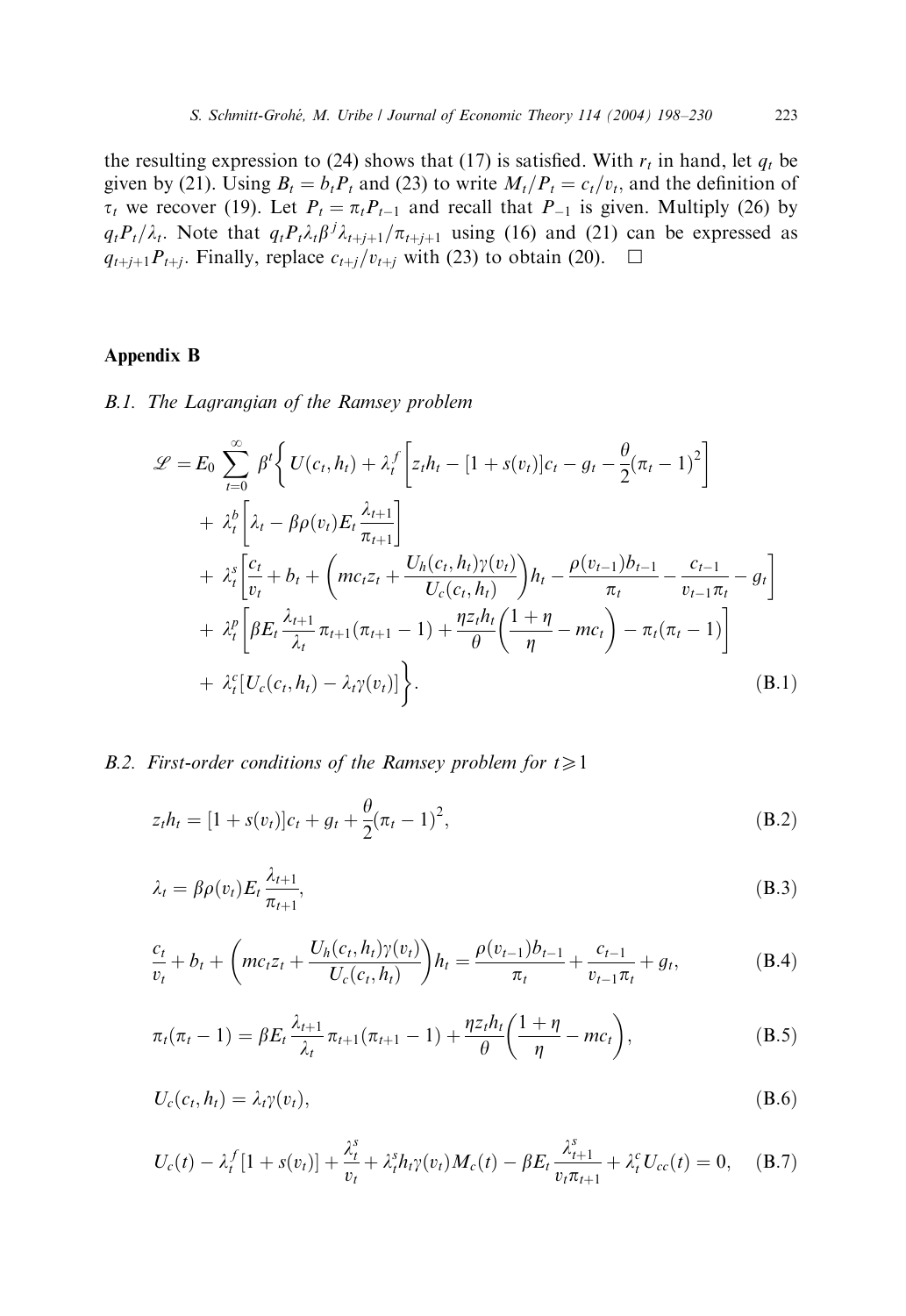the resulting expression to (24) shows that (17) is satisfied. With  $r_t$  in hand, let  $q_t$  be given by (21). Using  $B_t = b_t P_t$  and (23) to write  $M_t/P_t = c_t/v_t$ , and the definition of  $\tau_t$  we recover (19). Let  $P_t = \pi_t P_{t-1}$  and recall that  $P_{-1}$  is given. Multiply (26) by  $q_t P_t / \lambda_t$ . Note that  $q_t P_t \lambda_t \beta^j \lambda_{t+j+1} / \pi_{t+j+1}$  using (16) and (21) can be expressed as  $q_{t+j+1}P_{t+j}$ . Finally, replace  $c_{t+j}/v_{t+j}$  with (23) to obtain (20).  $\Box$ 

# Appendix B

B.1. The Lagrangian of the Ramsey problem

$$
\mathcal{L} = E_0 \sum_{t=0}^{\infty} \beta^t \left\{ U(c_t, h_t) + \lambda_t^f \left[ z_t h_t - [1 + s(v_t)] c_t - g_t - \frac{\theta}{2} (\pi_t - 1)^2 \right] \right.\n+ \lambda_t^b \left[ \lambda_t - \beta \rho(v_t) E_t \frac{\lambda_{t+1}}{\pi_{t+1}} \right] \n+ \lambda_t^s \left[ \frac{c_t}{v_t} + b_t + \left( m c_t z_t + \frac{U_h(c_t, h_t) \gamma(v_t)}{U_c(c_t, h_t)} \right) h_t - \frac{\rho(v_{t-1}) b_{t-1}}{\pi_t} - \frac{c_{t-1}}{v_{t-1} \pi_t} - g_t \right] \n+ \lambda_t^p \left[ \beta E_t \frac{\lambda_{t+1}}{\lambda_t} \pi_{t+1} (\pi_{t+1} - 1) + \frac{\eta z_t h_t}{\theta} \left( \frac{1 + \eta}{\eta} - m c_t \right) - \pi_t (\pi_t - 1) \right] \n+ \lambda_t^c [U_c(c_t, h_t) - \lambda_t \gamma(v_t)] \bigg\}.
$$
\n(B.1)

# B.2. First-order conditions of the Ramsey problem for  $t \geq 1$

$$
z_t h_t = [1 + s(v_t)]c_t + g_t + \frac{\theta}{2}(\pi_t - 1)^2,
$$
\n(B.2)

$$
\lambda_t = \beta \rho(v_t) E_t \frac{\lambda_{t+1}}{\pi_{t+1}},
$$
\n(B.3)

$$
\frac{c_t}{v_t} + b_t + \left( mc_t z_t + \frac{U_h(c_t, h_t) \gamma(v_t)}{U_c(c_t, h_t)} \right) h_t = \frac{\rho(v_{t-1}) b_{t-1}}{\pi_t} + \frac{c_{t-1}}{v_{t-1} \pi_t} + g_t,
$$
\n(B.4)

$$
\pi_t(\pi_t - 1) = \beta E_t \frac{\lambda_{t+1}}{\lambda_t} \pi_{t+1}(\pi_{t+1} - 1) + \frac{\eta z_t h_t}{\theta} \left(\frac{1 + \eta}{\eta} - mc_t\right),
$$
\n(B.5)

$$
U_c(c_t, h_t) = \lambda_t \gamma(v_t), \tag{B.6}
$$

$$
U_c(t) - \lambda_t^f [1 + s(v_t)] + \frac{\lambda_t^s}{v_t} + \lambda_t^s h_t \gamma(v_t) M_c(t) - \beta E_t \frac{\lambda_{t+1}^s}{v_t \pi_{t+1}} + \lambda_t^c U_{cc}(t) = 0, \quad (B.7)
$$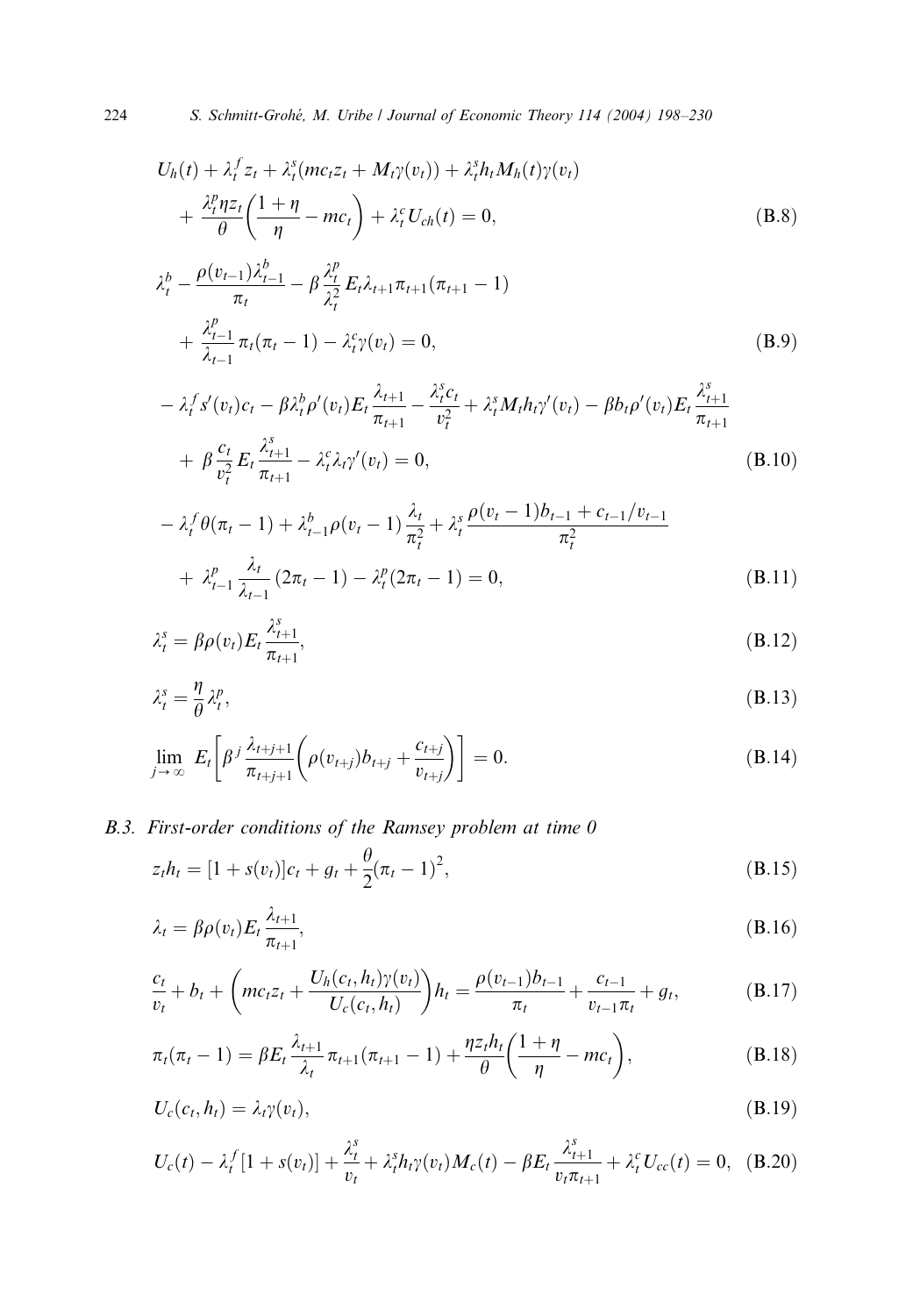$$
U_h(t) + \lambda_t^f z_t + \lambda_t^s (mc_t z_t + M_t \gamma(v_t)) + \lambda_t^s h_t M_h(t) \gamma(v_t)
$$
  
+ 
$$
\frac{\lambda_t^p \eta z_t}{\theta} \left( \frac{1 + \eta}{\eta} - mc_t \right) + \lambda_t^c U_{ch}(t) = 0,
$$
 (B.8)

$$
\lambda_t^b - \frac{\rho(v_{t-1})\lambda_{t-1}^b}{\pi_t} - \beta \frac{\lambda_t^p}{\lambda_t^2} E_t \lambda_{t+1} \pi_{t+1} (\pi_{t+1} - 1) + \frac{\lambda_{t-1}^p}{\lambda_{t-1}} \pi_t (\pi_t - 1) - \lambda_t^c \gamma(v_t) = 0,
$$
\n(B.9)

$$
- \lambda_t^f s'(v_t)c_t - \beta \lambda_t^b \rho'(v_t) E_t \frac{\lambda_{t+1}}{\pi_{t+1}} - \frac{\lambda_t^s c_t}{v_t^2} + \lambda_t^s M_t h_t \gamma'(v_t) - \beta b_t \rho'(v_t) E_t \frac{\lambda_{t+1}^s}{\pi_{t+1}} + \beta \frac{c_t}{v_t^2} E_t \frac{\lambda_{t+1}^s}{\pi_{t+1}} - \lambda_t^c \lambda_t \gamma'(v_t) = 0,
$$
(B.10)

$$
- \lambda_t^f \theta(\pi_t - 1) + \lambda_{t-1}^b \rho(v_t - 1) \frac{\lambda_t}{\pi_t^2} + \lambda_t^s \frac{\rho(v_t - 1)b_{t-1} + c_{t-1}/v_{t-1}}{\pi_t^2} + \lambda_{t-1}^p \frac{\lambda_t}{\lambda_{t-1}} (2\pi_t - 1) - \lambda_t^p (2\pi_t - 1) = 0,
$$
\n(B.11)

$$
\lambda_t^s = \beta \rho(v_t) E_t \frac{\lambda_{t+1}^s}{\pi_{t+1}},
$$
\n(B.12)

$$
\lambda_t^s = \frac{\eta}{\theta} \lambda_t^p, \tag{B.13}
$$

$$
\lim_{j \to \infty} E_t \left[ \beta^j \frac{\lambda_{t+j+1}}{\pi_{t+j+1}} \left( \rho(v_{t+j}) b_{t+j} + \frac{c_{t+j}}{v_{t+j}} \right) \right] = 0. \tag{B.14}
$$

# B.3. First-order conditions of the Ramsey problem at time 0

$$
z_t h_t = [1 + s(v_t)]c_t + g_t + \frac{\theta}{2}(\pi_t - 1)^2,
$$
\n(B.15)

$$
\lambda_t = \beta \rho(v_t) E_t \frac{\lambda_{t+1}}{\pi_{t+1}},\tag{B.16}
$$

$$
\frac{c_t}{v_t} + b_t + \left( mc_t z_t + \frac{U_h(c_t, h_t) \gamma(v_t)}{U_c(c_t, h_t)} \right) h_t = \frac{\rho(v_{t-1}) b_{t-1}}{\pi_t} + \frac{c_{t-1}}{v_{t-1} \pi_t} + g_t,
$$
\n(B.17)

$$
\pi_t(\pi_t - 1) = \beta E_t \frac{\lambda_{t+1}}{\lambda_t} \pi_{t+1}(\pi_{t+1} - 1) + \frac{\eta z_t h_t}{\theta} \left(\frac{1 + \eta}{\eta} - mc_t\right),
$$
\n(B.18)

$$
U_c(c_t, h_t) = \lambda_t \gamma(v_t), \tag{B.19}
$$

$$
U_c(t) - \lambda_t^f [1 + s(v_t)] + \frac{\lambda_t^s}{v_t} + \lambda_t^s h_t \gamma(v_t) M_c(t) - \beta E_t \frac{\lambda_{t+1}^s}{v_t \pi_{t+1}} + \lambda_t^c U_{cc}(t) = 0, \quad (B.20)
$$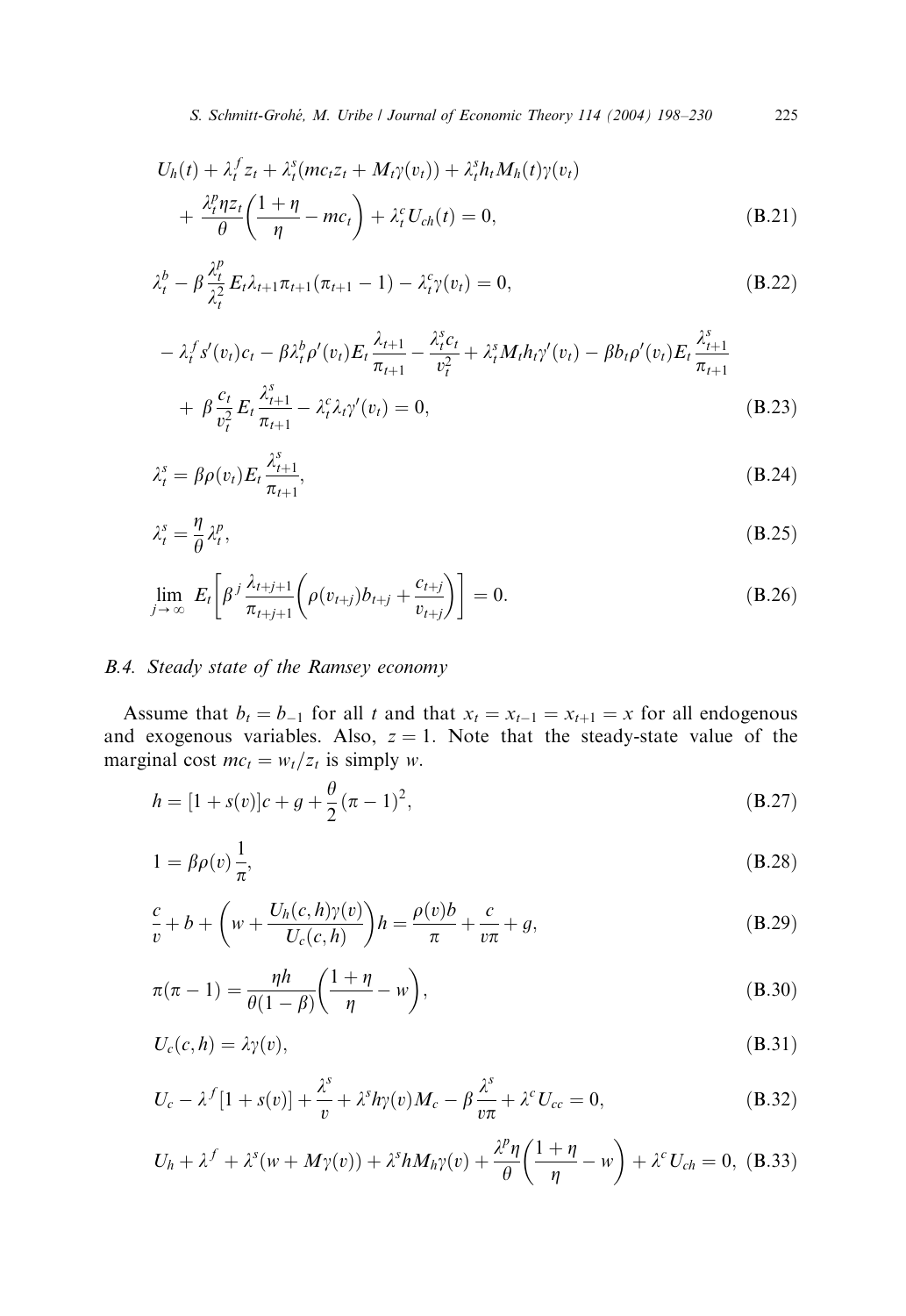S. Schmitt-Grohé, M. Uribe / Journal of Economic Theory 114 (2004) 198-230 225

$$
U_h(t) + \lambda_t^f z_t + \lambda_t^s (mc_t z_t + M_t \gamma(v_t)) + \lambda_t^s h_t M_h(t) \gamma(v_t)
$$
  
+ 
$$
\frac{\lambda_t^p \eta z_t}{\theta} \left( \frac{1 + \eta}{\eta} - mc_t \right) + \lambda_t^c U_{ch}(t) = 0,
$$
 (B.21)

$$
\lambda_t^b - \beta \frac{\lambda_t^p}{\lambda_t^2} E_t \lambda_{t+1} \pi_{t+1} (\pi_{t+1} - 1) - \lambda_t^c \gamma(v_t) = 0, \tag{B.22}
$$

$$
- \lambda_t^f s'(v_t)c_t - \beta \lambda_t^b \rho'(v_t) E_t \frac{\lambda_{t+1}}{\pi_{t+1}} - \frac{\lambda_t^s c_t}{v_t^2} + \lambda_t^s M_t h_t \gamma'(v_t) - \beta b_t \rho'(v_t) E_t \frac{\lambda_{t+1}^s}{\pi_{t+1}} + \beta \frac{c_t}{v_t^2} E_t \frac{\lambda_{t+1}^s}{\pi_{t+1}} - \lambda_t^c \lambda_t \gamma'(v_t) = 0,
$$
(B.23)

$$
\lambda_t^s = \beta \rho(v_t) E_t \frac{\lambda_{t+1}^s}{\pi_{t+1}},
$$
\n(B.24)

$$
\lambda_t^s = \frac{\eta}{\theta} \lambda_t^p,\tag{B.25}
$$

$$
\lim_{j \to \infty} E_t \left[ \beta^j \frac{\lambda_{t+j+1}}{\pi_{t+j+1}} \left( \rho(v_{t+j}) b_{t+j} + \frac{c_{t+j}}{v_{t+j}} \right) \right] = 0. \tag{B.26}
$$

# B.4. Steady state of the Ramsey economy

Assume that  $b_t = b_{-1}$  for all t and that  $x_t = x_{t-1} = x_{t+1} = x$  for all endogenous and exogenous variables. Also,  $z = 1$ . Note that the steady-state value of the marginal cost  $mc_t = w_t / z_t$  is simply w.

$$
h = [1 + s(v)]c + g + \frac{\theta}{2}(\pi - 1)^2,
$$
\n(B.27)

$$
1 = \beta \rho(v) \frac{1}{\pi},\tag{B.28}
$$

$$
\frac{c}{v} + b + \left(w + \frac{U_h(c, h)\gamma(v)}{U_c(c, h)}\right)h = \frac{\rho(v)b}{\pi} + \frac{c}{v\pi} + g,
$$
\n(B.29)

$$
\pi(\pi - 1) = \frac{\eta h}{\theta(1 - \beta)} \left( \frac{1 + \eta}{\eta} - w \right),\tag{B.30}
$$

$$
U_c(c,h) = \lambda \gamma(v), \tag{B.31}
$$

$$
U_c - \lambda^f [1 + s(v)] + \frac{\lambda^s}{v} + \lambda^s h \gamma(v) M_c - \beta \frac{\lambda^s}{v \pi} + \lambda^c U_{cc} = 0,
$$
 (B.32)

$$
U_h + \lambda^f + \lambda^s (w + M\gamma(v)) + \lambda^s h M_h \gamma(v) + \frac{\lambda^p \eta}{\theta} \left( \frac{1 + \eta}{\eta} - w \right) + \lambda^c U_{ch} = 0, \ (B.33)
$$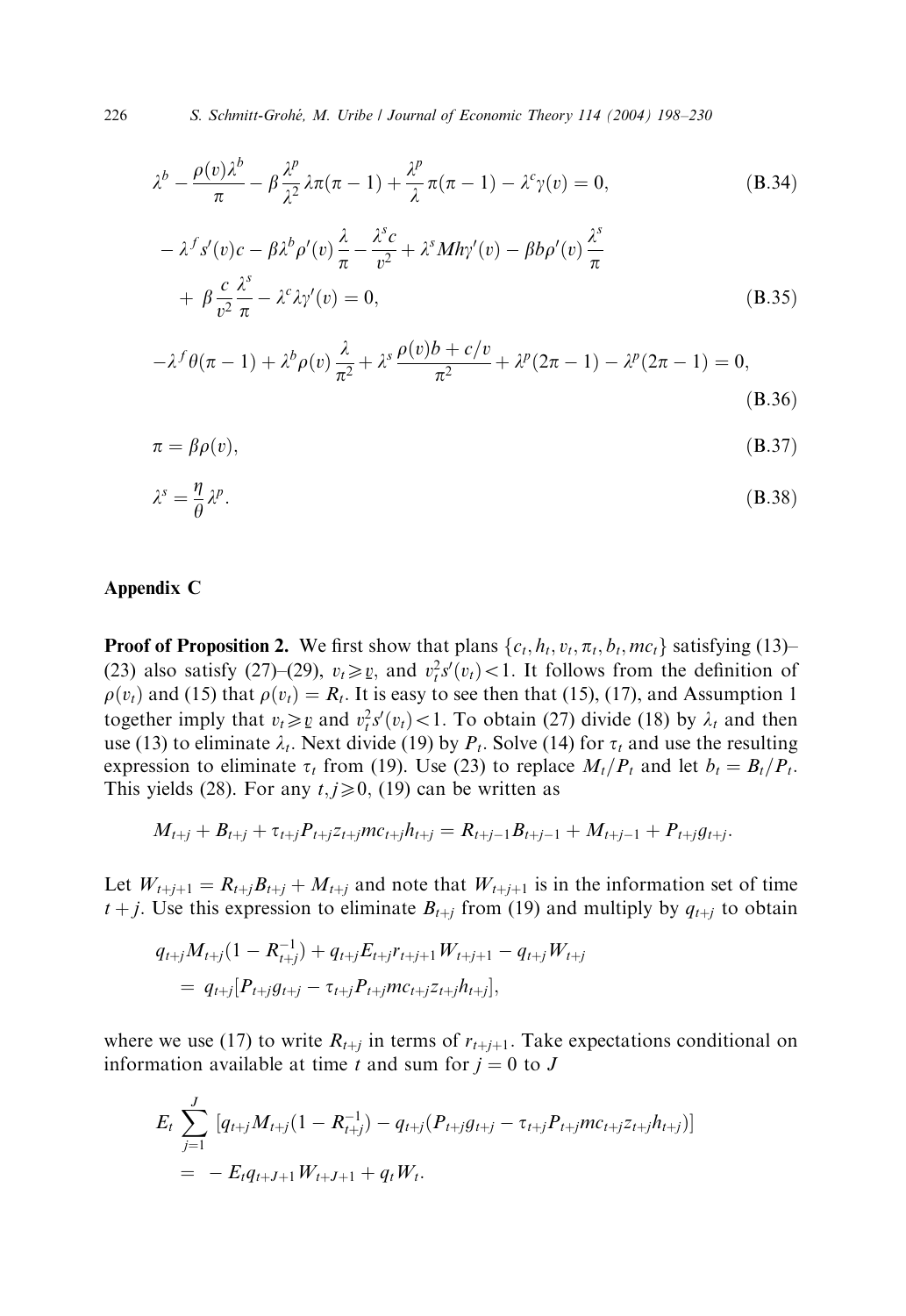226 S. Schmitt-Grohé, M. Uribe / Journal of Economic Theory 114 (2004) 198-230

$$
\lambda^{b} - \frac{\rho(v)\lambda^{b}}{\pi} - \beta \frac{\lambda^{p}}{\lambda^{2}} \lambda \pi(\pi - 1) + \frac{\lambda^{p}}{\lambda} \pi(\pi - 1) - \lambda^{c} \gamma(v) = 0, \tag{B.34}
$$

$$
- \lambda^f s'(v)c - \beta \lambda^b \rho'(v) \frac{\lambda}{\pi} - \frac{\lambda^s c}{v^2} + \lambda^s M h \gamma'(v) - \beta b \rho'(v) \frac{\lambda^s}{\pi}
$$
  
+  $\beta \frac{c}{v^2} \frac{\lambda^s}{\pi} - \lambda^c \lambda \gamma'(v) = 0,$  (B.35)

$$
-\lambda^f \theta(\pi - 1) + \lambda^b \rho(v) \frac{\lambda}{\pi^2} + \lambda^s \frac{\rho(v)b + c/v}{\pi^2} + \lambda^p (2\pi - 1) - \lambda^p (2\pi - 1) = 0,
$$
\n(B.36)

$$
\pi = \beta \rho(v),\tag{B.37}
$$

$$
\lambda^s = \frac{\eta}{\theta} \lambda^p. \tag{B.38}
$$

# Appendix C

**Proof of Proposition 2.** We first show that plans  $\{c_t, h_t, v_t, \pi_t, b_t, mc_t\}$  satisfying (13)– (23) also satisfy (27)–(29),  $v_t \geq v_t$ , and  $v_t^2 s'(v_t) < 1$ . It follows from the definition of  $g(x)$  and (15) that  $g(y) = \mathbf{R}$ . It is easy to see then that (15) (17) and Assumption 1  $\rho(v_t)$  and (15) that  $\rho(v_t) = R_t$ . It is easy to see then that (15), (17), and Assumption 1 together imply that  $v_t \geq v$  and  $v_t^2 s'(v_t) < 1$ . To obtain (27) divide (18) by  $\lambda_t$  and then<br>use (13) to eliminate  $\lambda$ . Next divide (19) by P. Solve (14) for  $\tau$  and use the resulting use (13) to eliminate  $\lambda_t$ . Next divide (19) by  $P_t$ . Solve (14) for  $\tau_t$  and use the resulting expression to eliminate  $\tau_t$  from (19). Use (23) to replace  $M_t/P_t$  and let  $b_t = B_t/P_t$ . This yields (28). For any  $t, j \ge 0$ , (19) can be written as

$$
M_{t+j} + B_{t+j} + \tau_{t+j} P_{t+j} z_{t+j} m c_{t+j} h_{t+j} = R_{t+j-1} B_{t+j-1} + M_{t+j-1} + P_{t+j} g_{t+j}.
$$

Let  $W_{t+j+1} = R_{t+j}B_{t+j} + M_{t+j}$  and note that  $W_{t+j+1}$  is in the information set of time  $t + j$ . Use this expression to eliminate  $B_{t+j}$  from (19) and multiply by  $q_{t+j}$  to obtain

$$
q_{t+j}M_{t+j}(1 - R_{t+j}^{-1}) + q_{t+j}E_{t+j}r_{t+j+1}W_{t+j+1} - q_{t+j}W_{t+j}
$$
  
=  $q_{t+j}[P_{t+j}g_{t+j} - \tau_{t+j}P_{t+j}mc_{t+j}z_{t+j}h_{t+j}],$ 

where we use (17) to write  $R_{t+j}$  in terms of  $r_{t+j+1}$ . Take expectations conditional on information available at time t and sum for  $j = 0$  to J

$$
E_t \sum_{j=1}^{J} [q_{t+j}M_{t+j}(1 - R_{t+j}^{-1}) - q_{t+j}(P_{t+j}g_{t+j} - \tau_{t+j}P_{t+j}mc_{t+j}z_{t+j}h_{t+j})]
$$
  
= - E\_t q\_{t+J+1}W\_{t+J+1} + q\_t W\_t.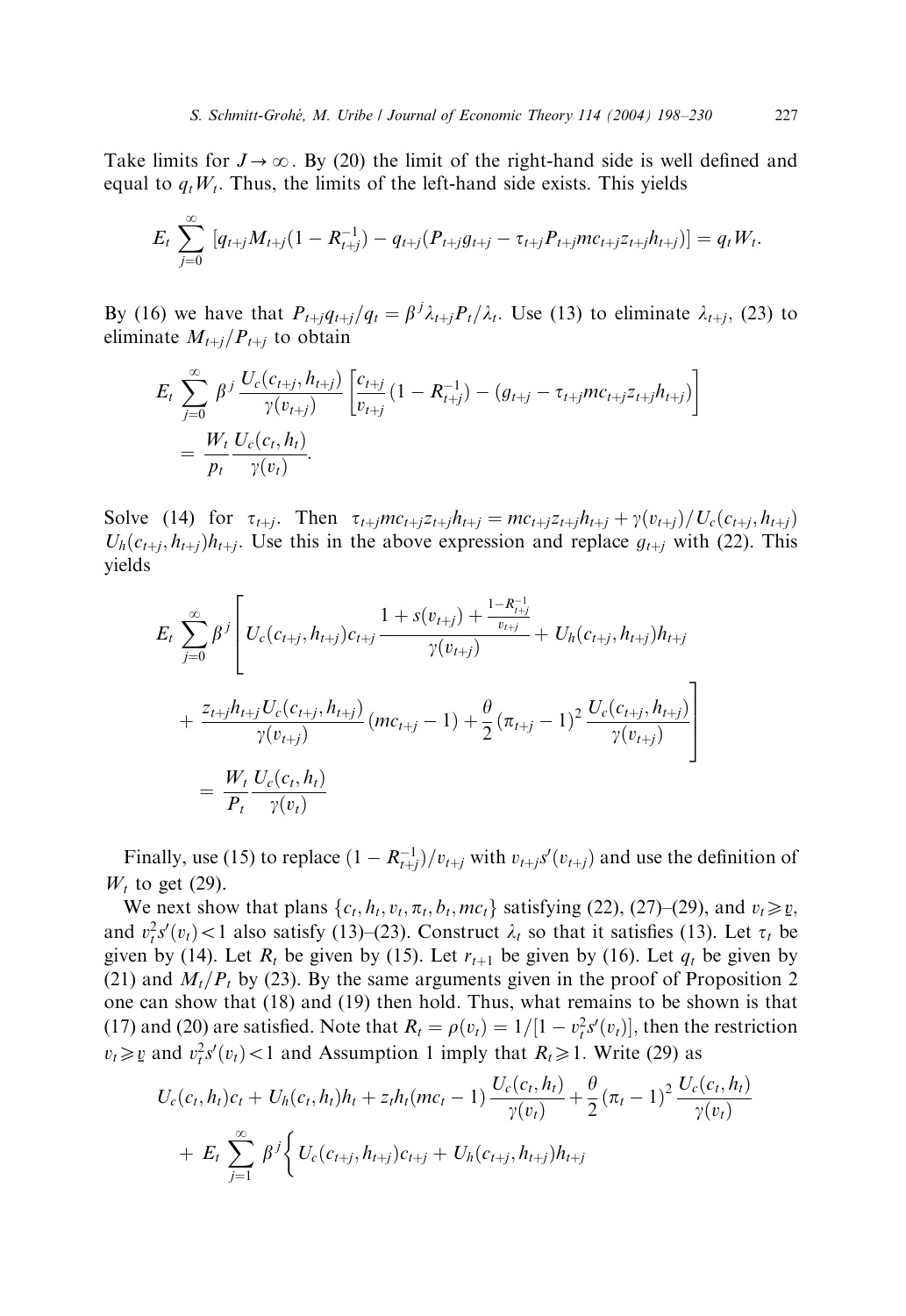Take limits for  $J \rightarrow \infty$ . By (20) the limit of the right-hand side is well defined and equal to  $q_tW_t$ . Thus, the limits of the left-hand side exists. This yields

$$
E_t\sum_{j=0}^{\infty}\left[q_{t+j}M_{t+j}(1-R_{t+j}^{-1})-q_{t+j}(P_{t+j}g_{t+j}-\tau_{t+j}P_{t+j}mc_{t+j}z_{t+j}h_{t+j})\right]=q_tW_t.
$$

By (16) we have that  $P_{t+j}q_{t+j}/q_t = \beta^j \lambda_{t+j} P_t/\lambda_t$ . Use (13) to eliminate  $\lambda_{t+j}$ , (23) to eliminate  $M_{t+j}/P_{t+j}$  to obtain

$$
E_{t} \sum_{j=0}^{\infty} \beta^{j} \frac{U_{c}(c_{t+j}, h_{t+j})}{\gamma(v_{t+j})} \left[ \frac{c_{t+j}}{v_{t+j}} (1 - R_{t+j}^{-1}) - (g_{t+j} - \tau_{t+j}mc_{t+j}z_{t+j}h_{t+j}) \right]
$$
  
= 
$$
\frac{W_{t}}{p_{t}} \frac{U_{c}(c_{t}, h_{t})}{\gamma(v_{t})}.
$$

Solve (14) for  $\tau_{t+j}$ . Then  $\tau_{t+j}mc_{t+j}z_{t+j}h_{t+j} = mc_{t+j}z_{t+j}h_{t+j} + \gamma(v_{t+j})/U_c(c_{t+j}, h_{t+j})$  $U_h(c_{t+j}, h_{t+j})h_{t+j}$ . Use this in the above expression and replace  $g_{t+j}$  with (22). This yields

$$
E_{t} \sum_{j=0}^{\infty} \beta^{j} \left[ U_{c}(c_{t+j}, h_{t+j}) c_{t+j} \frac{1 + s(v_{t+j}) + \frac{1 - R_{t+j}^{-1}}{v_{t+j}}}{\gamma(v_{t+j})} + U_{h}(c_{t+j}, h_{t+j}) h_{t+j} \right] + \frac{z_{t+j} h_{t+j} U_{c}(c_{t+j}, h_{t+j})}{\gamma(v_{t+j})} (mc_{t+j} - 1) + \frac{\theta}{2} (\pi_{t+j} - 1)^{2} \frac{U_{c}(c_{t+j}, h_{t+j})}{\gamma(v_{t+j})} \right]
$$
  
=  $\frac{W_{t}}{P_{t}} \frac{U_{c}(c_{t}, h_{t})}{\gamma(v_{t})}$ 

Finally, use (15) to replace  $(1 - R_{t+j}^{-1})/v_{t+j}$  with  $v_{t+j} s'(v_{t+j})$  and use the definition of  $W_t$  to get (29).

We next show that plans  $\{c_t, h_t, v_t, \pi_t, b_t, mc_t\}$  satisfying (22), (27)–(29), and  $v_t \ge v$ ,<br>d  $v^2c'(v) \le 1$  also satisfy (13) (23). Construct  $\lambda$  so that it satisfies (13). Let  $\tau$  be and  $v_t^2 s'(v_t) < 1$  also satisfy (13)–(23). Construct  $\lambda_t$  so that it satisfies (13). Let  $\tau_t$  be given by (14). Let  $R_t$  be given by (15). Let  $r_{t+1}$  be given by (16). Let  $q_t$  be given by (21) and  $M_t/P_t$  by (23). By the same arguments given in the proof of Proposition 2 one can show that (18) and(19) then hold. Thus, what remains to be shown is that (17) and (20) are satisfied. Note that  $R_t = \rho(v_t) = 1/[1 - v_t^2 s'(v_t)]$ , then the restriction  $v_t \ge v_t$  and  $v_t^2 s'(v_t) < 1$  and Assumption 1 imply that  $R_t \ge 1$ . Write (29) as

$$
U_c(c_t, h_t)c_t + U_h(c_t, h_t)h_t + z_th_t(mc_t - 1)\frac{U_c(c_t, h_t)}{\gamma(v_t)} + \frac{\theta}{2}(\pi_t - 1)^2 \frac{U_c(c_t, h_t)}{\gamma(v_t)} + E_t \sum_{j=1}^{\infty} \beta^j \Bigg\{ U_c(c_{t+j}, h_{t+j})c_{t+j} + U_h(c_{t+j}, h_{t+j})h_{t+j}
$$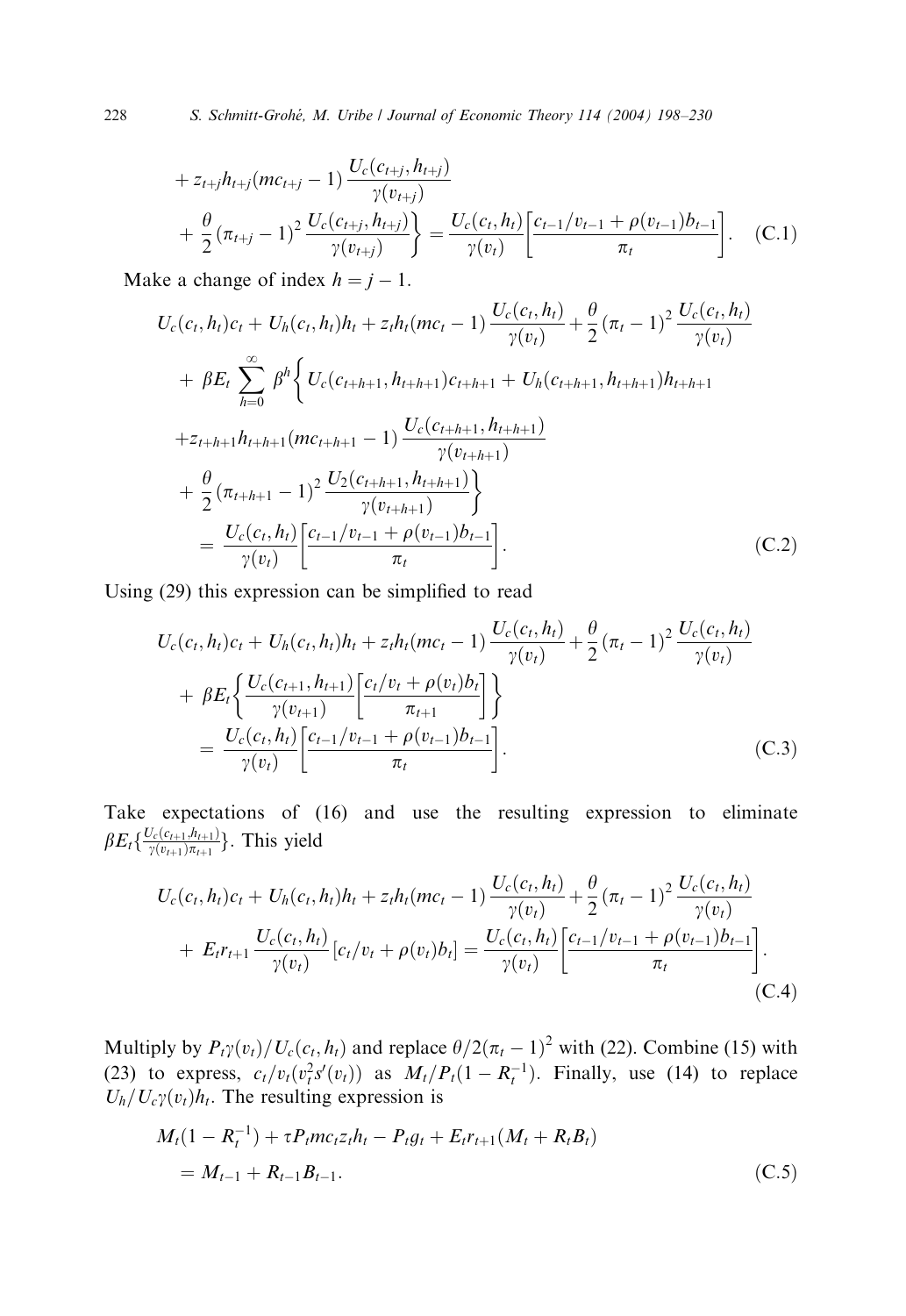228 S. Schmitt-Grohé, M. Uribe / Journal of Economic Theory 114 (2004) 198-230

+ 
$$
z_{t+j}h_{t+j}(mc_{t+j} - 1) \frac{U_c(c_{t+j}, h_{t+j})}{\gamma(v_{t+j})}
$$
  
+  $\frac{\theta}{2}(\pi_{t+j} - 1)^2 \frac{U_c(c_{t+j}, h_{t+j})}{\gamma(v_{t+j})} = \frac{U_c(c_t, h_t)}{\gamma(v_t)} \left[\frac{c_{t-1}/v_{t-1} + \rho(v_{t-1})b_{t-1}}{\pi_t}\right].$  (C.1)

Make a change of index  $h = j - 1$ .

$$
U_c(c_t, h_t)c_t + U_h(c_t, h_t)h_t + z_t h_t(mc_t - 1)\frac{U_c(c_t, h_t)}{\gamma(v_t)} + \frac{\theta}{2}(\pi_t - 1)^2 \frac{U_c(c_t, h_t)}{\gamma(v_t)}
$$
  
+  $\beta E_t \sum_{h=0}^{\infty} \beta^h \left\{ U_c(c_{t+h+1}, h_{t+h+1})c_{t+h+1} + U_h(c_{t+h+1}, h_{t+h+1})h_{t+h+1} + z_{t+h+1}h_{t+h+1}(mc_{t+h+1} - 1) \frac{U_c(c_{t+h+1}, h_{t+h+1})}{\gamma(v_{t+h+1})} + \frac{\theta}{2}(\pi_{t+h+1} - 1)^2 \frac{U_2(c_{t+h+1}, h_{t+h+1})}{\gamma(v_{t+h+1})} \right\}$   
=  $\frac{U_c(c_t, h_t)}{\gamma(v_t)} \left[ \frac{c_{t-1}/v_{t-1} + \rho(v_{t-1})b_{t-1}}{\pi_t} \right].$  (C.2)

Using  $(29)$  this expression can be simplified to read

$$
U_c(c_t, h_t)c_t + U_h(c_t, h_t)h_t + z_t h_t(mc_t - 1)\frac{U_c(c_t, h_t)}{\gamma(v_t)} + \frac{\theta}{2}(\pi_t - 1)^2 \frac{U_c(c_t, h_t)}{\gamma(v_t)} + \beta E_t \left\{ \frac{U_c(c_{t+1}, h_{t+1})}{\gamma(v_{t+1})} \left[ \frac{c_t/v_t + \rho(v_t)b_t}{\pi_{t+1}} \right] \right\}
$$
  
= 
$$
\frac{U_c(c_t, h_t)}{\gamma(v_t)} \left[ \frac{c_{t-1}/v_{t-1} + \rho(v_{t-1})b_{t-1}}{\pi_t} \right].
$$
 (C.3)

Take expectations of  $(16)$  and use the resulting expression to eliminate  $\beta E_t\{\frac{U_c(c_{t+1}, h_{t+1})}{\gamma(v_{t+1})\pi_{t+1}}\}$ . This yield

$$
U_c(c_t, h_t)c_t + U_h(c_t, h_t)h_t + z_th_t(mc_t - 1)\frac{U_c(c_t, h_t)}{\gamma(v_t)} + \frac{\theta}{2}(\pi_t - 1)^2 \frac{U_c(c_t, h_t)}{\gamma(v_t)} + E_tr_{t+1}\frac{U_c(c_t, h_t)}{\gamma(v_t)}[c_t/v_t + \rho(v_t)b_t] = \frac{U_c(c_t, h_t)}{\gamma(v_t)}\left[\frac{c_{t-1}/v_{t-1} + \rho(v_{t-1})b_{t-1}}{\pi_t}\right].
$$
\n(C.4)

Multiply by  $P_t \gamma(v_t) / U_c(c_t, h_t)$  and replace  $\theta/2(\pi_t - 1)^2$  with (22). Combine (15) with (23) to express,  $c_t/v_t(v_t^2 s'(v_t))$  as  $M_t/P_t(1 - R_t^{-1})$ . Finally, use (14) to replace  $U_h/U_c\gamma(v_t)h_t$ . The resulting expression is

$$
M_t(1 - R_t^{-1}) + \tau P_t m c_t z_t h_t - P_t g_t + E_t r_{t+1} (M_t + R_t B_t)
$$
  
=  $M_{t-1} + R_{t-1} B_{t-1}.$  (C.5)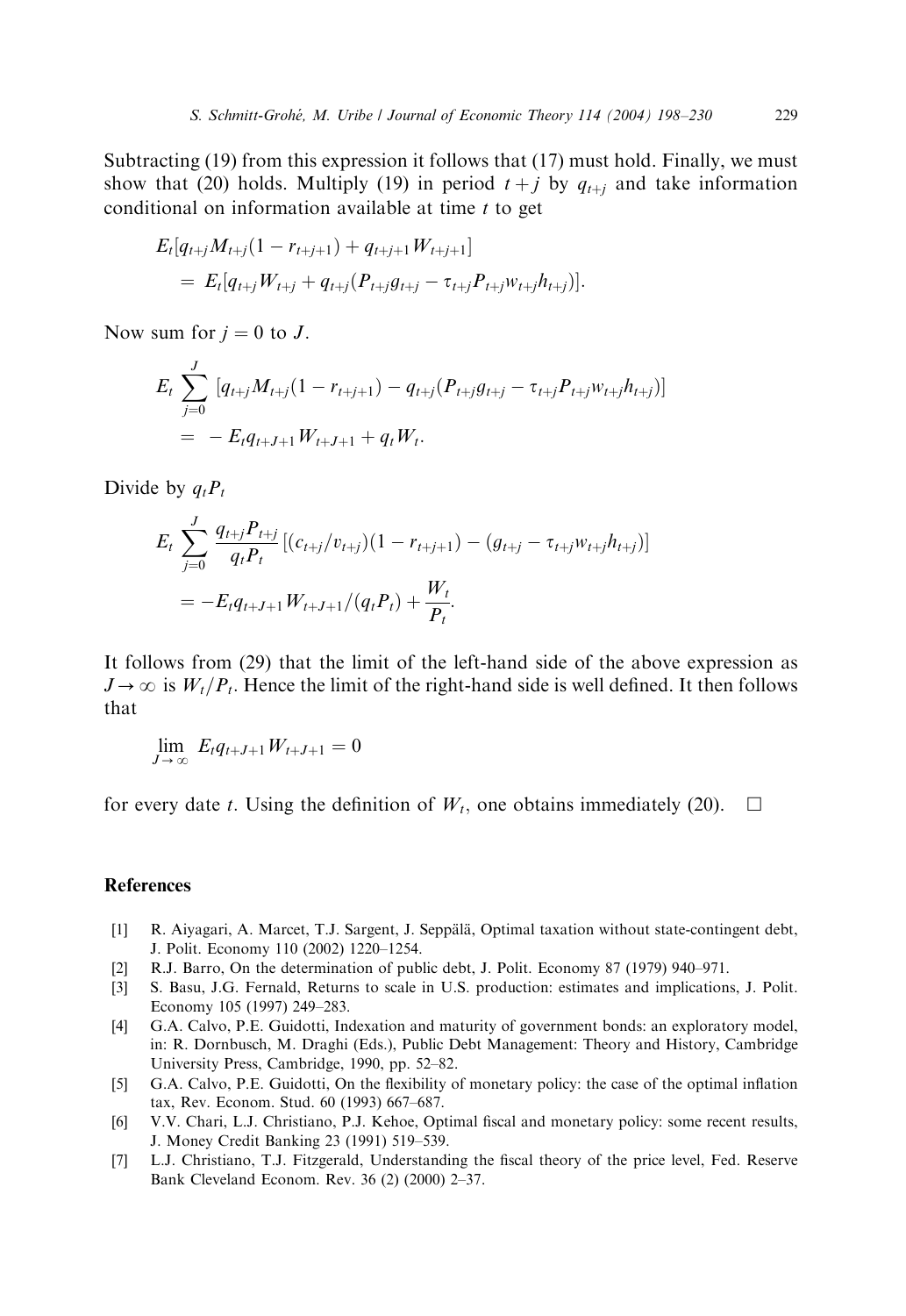<span id="page-31-0"></span>Subtracting (19) from this expression it follows that (17) must hold. Finally, we must show that (20) holds. Multiply (19) in period  $t + j$  by  $q_{t+j}$  and take information conditional on information available at time  $t$  to get

$$
E_t[q_{t+j}M_{t+j}(1-r_{t+j+1})+q_{t+j+1}W_{t+j+1}]
$$
  
= 
$$
E_t[q_{t+j}W_{t+j}+q_{t+j}(P_{t+j}g_{t+j}-\tau_{t+j}P_{t+j}W_{t+j}h_{t+j})].
$$

Now sum for  $j = 0$  to J.

$$
E_t \sum_{j=0}^{J} [q_{t+j}M_{t+j}(1 - r_{t+j+1}) - q_{t+j}(P_{t+j}g_{t+j} - \tau_{t+j}P_{t+j}w_{t+j}h_{t+j})]
$$
  
= 
$$
- E_t q_{t+J+1} W_{t+J+1} + q_t W_t.
$$

Divide by  $q_tP_t$ 

$$
E_t \sum_{j=0}^{J} \frac{q_{t+j} P_{t+j}}{q_t P_t} [(c_{t+j}/v_{t+j})(1 - r_{t+j+1}) - (g_{t+j} - \tau_{t+j} w_{t+j} h_{t+j})]
$$
  
= 
$$
-E_t q_{t+J+1} W_{t+J+1}/(q_t P_t) + \frac{W_t}{P_t}.
$$

It follows from  $(29)$  that the limit of the left-hand side of the above expression as  $J \rightarrow \infty$  is  $W_t/P_t$ . Hence the limit of the right-hand side is well defined. It then follows that

$$
\lim_{J\to\infty} E_t q_{t+J+1} W_{t+J+1} = 0
$$

for every date t. Using the definition of  $W_t$ , one obtains immediately (20).  $\Box$ 

# **References**

- [1] R. Aiyagari, A. Marcet, T.J. Sargent, J. Seppalä, Optimal taxation without state-contingent debt, J. Polit. Economy 110 (2002) 1220–1254.
- [2] R.J. Barro, On the determination of public debt, J. Polit. Economy 87 (1979) 940–971.
- [3] S. Basu, J.G. Fernald, Returns to scale in U.S. production: estimates and implications, J. Polit. Economy 105 (1997) 249–283.
- [4] G.A. Calvo, P.E. Guidotti, Indexation and maturity of government bonds: an exploratory model, in: R. Dornbusch, M. Draghi (Eds.), Public Debt Management: Theory and History, Cambridge University Press, Cambridge, 1990, pp. 52–82.
- [5] G.A. Calvo, P.E. Guidotti, On the flexibility of monetary policy: the case of the optimal inflation tax, Rev. Econom. Stud. 60 (1993) 667–687.
- [6] V.V. Chari, L.J. Christiano, P.J. Kehoe, Optimal fiscal and monetary policy: some recent results, J. Money Credit Banking 23 (1991) 519–539.
- [7] L.J. Christiano, T.J. Fitzgerald, Understanding the fiscal theory of the price level, Fed. Reserve Bank Cleveland Econom. Rev. 36 (2) (2000) 2-37.